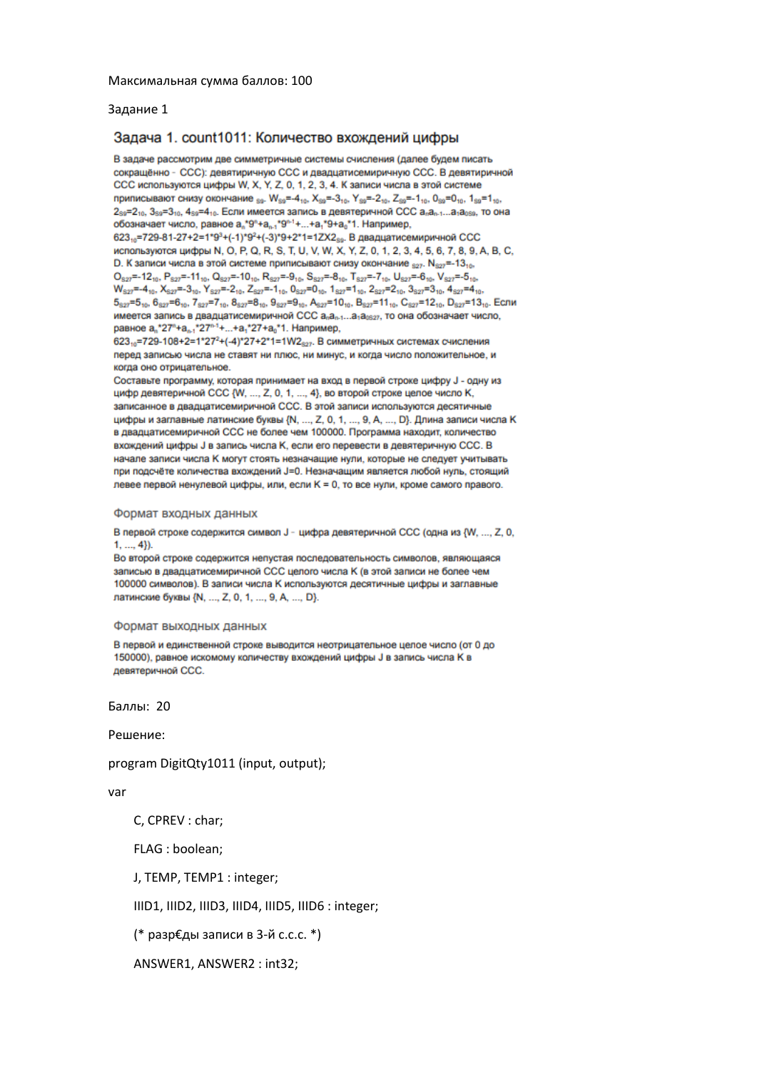### Задание 1

## Задача 1. count1011: Количество вхождений цифры

В задаче рассмотрим две симметричные системы счисления (далее будем писать сокращённо - ССС); девятиричную ССС и двадцатисемиричную ССС. В девятиричной ССС используются цифры W, X, Y, Z, 0, 1, 2, 3, 4. К записи числа в этой системе приписывают снизу окончание sg. Wsg=-410, Xsg=-310, Ysg=-210, Zsg=-110, Osg=010, 1sg=110, 2ss=210, 3ss=310, 4ss=410. Если имеется запись в девятеричной ССС а.а.,1...а.а. по она обозначает число, равное a \*9°+a - \*9°+1... +a \*9+a \*1. Например, 623<sub>10</sub>=729-81-27+2=1\*9<sup>3</sup>+(-1)\*9<sup>2</sup>+(-3)\*9+2\*1=1ZX2<sub>59</sub>. В двадцатисемиричной ССС используются цифры N, O, P, Q, R, S, T, U, V, W, X, Y, Z, 0, 1, 2, 3, 4, 5, 6, 7, 8, 9, A, B, C,

D. К записи числа в этой системе приписывают снизу окончание  $_{827}$ . N $_{827}$ =-13 $_{10}$ .  $O_{827} = -12_{10}$ ,  $P_{827} = -11_{10}$ ,  $Q_{827} = -10_{10}$ ,  $R_{827} = -9_{10}$ ,  $S_{827} = -8_{10}$ ,  $T_{827} = -7_{10}$ ,  $U_{827} = -6_{10}$ ,  $V_{827} = -5_{10}$  $W_{822} = -4_{10}$ ,  $X_{822} = -3_{10}$ ,  $Y_{822} = -2_{10}$ ,  $Z_{822} = -1_{10}$ ,  $0_{822} = 0_{10}$ ,  $1_{822} = 1_{10}$ ,  $2_{822} = 2_{10}$ ,  $3_{822} = 3_{10}$ ,  $4_{822} = 4_{10}$ ,  $5_{827} = 5_{10}$ ,  $6_{827} = 6_{10}$ ,  $7_{827} = 7_{10}$ ,  $8_{827} = 8_{10}$ ,  $9_{827} = 9_{10}$ ,  $A_{827} = 10_{10}$ ,  $B_{827} = 11_{10}$ ,  $C_{827} = 12_{10}$ ,  $D_{827} = 13_{10}$ . Если имеется запись в двадцатисемиричной ССС а<sub>n</sub>a<sub>n-1</sub>...а<sub>1</sub>а<sub>0827</sub>, то она обозначает число, равное a<sub>n</sub>\*27"+a<sub>n-1</sub>\*27"<sup>-1</sup>+...+a<sub>1</sub>\*27+a<sub>0</sub>\*1. Например,

 $623_{10}$ =729-108+2=1\*27<sup>2</sup>+(-4)\*27+2\*1=1W2<sub>827</sub>. В симметричных системах счисления перед записью числа не ставят ни плюс, ни минус, и когда число положительное, и когда оно отрицательное.

Составьте программу, которая принимает на вход в первой строке цифру J - одну из цифр девятеричной ССС {W, ..., Z, 0, 1, ..., 4}, во второй строке целое число К, записанное в двадцатисемиричной ССС. В этой записи используются десятичные цифры и заглавные латинские буквы {N, ..., Z, 0, 1, ..., 9, A, ..., D}. Длина записи числа К в двадцатисемиричной ССС не более чем 100000. Программа находит, количество вхождений цифры Ј в запись числа К, если его перевести в девятеричную ССС. В начале записи числа К могут стоять незначащие нули, которые не следует учитывать при подсчёте количества вхождений J=0. Незначащим является любой нуль, стоящий левее первой ненулевой цифры, или, если К = 0, то все нули, кроме самого правого.

#### Формат входных данных

В первой строке содержится символ J - цифра девятеричной ССС (одна из {W, ..., Z, 0,  $1, ..., 4$ }).

Во второй строке содержится непустая последовательность символов, являющаяся записью в двадцатисемиричной ССС целого числа К (в этой записи не более чем 100000 символов). В записи числа К используются десятичные цифры и заглавные латинские буквы {N, ..., Z, 0, 1, ..., 9, A, ..., D}.

### Формат выходных данных

В первой и единственной строке выводится неотрицательное целое число (от 0 до 150000), равное искомому количеству вхождений цифры Ј в запись числа К в девятеричной ССС.

Баллы: 20

Решение:

program DigitQty1011 (input, output);

### var

C, CPREV : char;

FLAG : boolean;

J, TEMP, TEMP1 : integer;

IIID1, IIID2, IIID3, IIID4, IIID5, IIID6 : integer;

(\* разр€ды записи в 3-й с.с.с. \*)

ANSWER1, ANSWER2 : int32;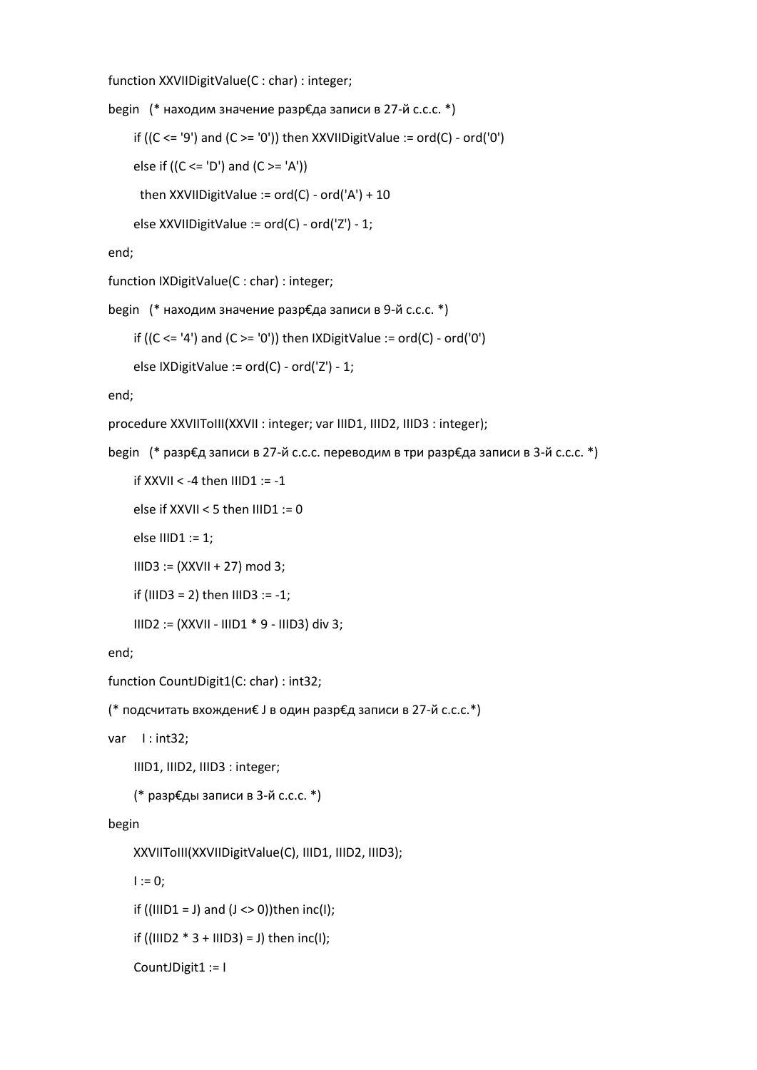function XXVIIDigitValue(C : char) : integer;

```
begin (* находим значение разр€да записи в 27-й с.с.с. *)
    if ((C <= '9') and (C >= '0')) then XXVIIDigitValue := ord(C) - ord('0')else if ((C \leq D') and (C \geq D')then XXVIIDigitValue := ord(C) - ord('A') + 10
```

```
 else XXVIIDigitValue := ord(C) - ord('Z') - 1;
```
end;

function IXDigitValue(C : char) : integer;

begin (\* находим значение разр€да записи в 9-й с.с.с. \*)

```
if ((C <= '4') and (C >= '0')) then IXDigitValue := ord(C) - ord('0')
```

```
 else IXDigitValue := ord(C) - ord('Z') - 1;
```
end;

procedure XXVIIToIII(XXVII : integer; var IIID1, IIID2, IIID3 : integer);

```
begin (* разр€д записи в 27-й с.с.с. переводим в три разр€да записи в 3-й с.с.с. *)
```

```
if XXVII < -4 then IIIDI := -1
```

```
else if XXVII < 5 then IIIDI := 0
```
else IIID1 := 1;

```
 IIID3 := (XXVII + 27) mod 3;
```

```
if (IIID3 = 2) then IIID3 := -1;
```

```
 IIID2 := (XXVII - IIID1 * 9 - IIID3) div 3;
```
end;

```
function CountJDigit1(C: char) : int32;
```

```
(* подсчитать вхождени€ J в один разр€д записи в 27-й c.c.c.*)
```
var I: int32;

IIID1, IIID2, IIID3 : integer;

(\* разр€ды записи в 3-й с.с.с. \*)

# begin

```
 XXVIIToIII(XXVIIDigitValue(C), IIID1, IIID2, IIID3);
```
 $I := 0;$ 

if ((IIID1 = J) and  $(J \le 0)$ )then inc(I);

```
if ((IIID2 * 3 + IIID3) = J) then inc(I);
```

```
 CountJDigit1 := I
```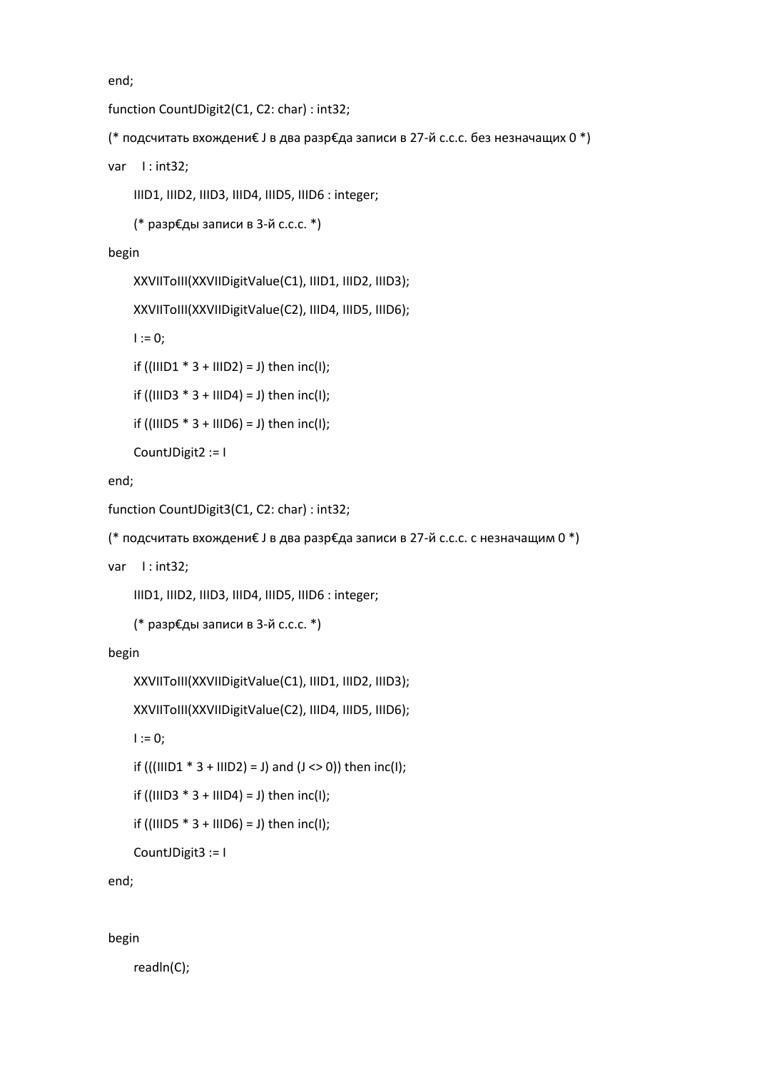end;

```
function CountJDigit2(C1, C2: char) : int32;
```

```
(* подсчитать вхождени€ J в два разр€да записи в 27-й c.c.c. без незначащих 0 *)
```
var I: int32;

IIID1, IIID2, IIID3, IIID4, IIID5, IIID6 : integer;

```
 (* разр€ды записи в 3-й с.с.с. *)
```
begin

```
 XXVIIToIII(XXVIIDigitValue(C1), IIID1, IIID2, IIID3);
```
XXVIIToIII(XXVIIDigitValue(C2), IIID4, IIID5, IIID6);

 $I := 0;$ 

if  $((IIID1 * 3 + IIID2) = J)$  then  $inc(I);$ 

if ((IIID3  $* 3 + IIID4$ ) = J) then inc(I);

```
if ((IIID5 * 3 + IIID6) = J) then inc(I);
```

```
 CountJDigit2 := I
```
end;

```
function CountJDigit3(C1, C2: char) : int32;
```

```
(* подсчитать вхождени€ J в два разр€да записи в 27-й c.c.c. c незначащим 0 *)
```
var 1: int32;

IIID1, IIID2, IIID3, IIID4, IIID5, IIID6 : integer;

```
 (* разр€ды записи в 3-й с.с.с. *)
```
begin

```
 XXVIIToIII(XXVIIDigitValue(C1), IIID1, IIID2, IIID3);
```

```
 XXVIIToIII(XXVIIDigitValue(C2), IIID4, IIID5, IIID6);
```
 $I := 0;$ 

if (((IIID1  $* 3 + IIID2$ ) = J) and (J <> 0)) then inc(I);

```
if ((IIID3 * 3 + IIID4) = J) then inc(I);
```

```
if ((IIID5 * 3 + IIID6) = J) then inc(I);
```

```
 CountJDigit3 := I
```
end;

begin

readln(C);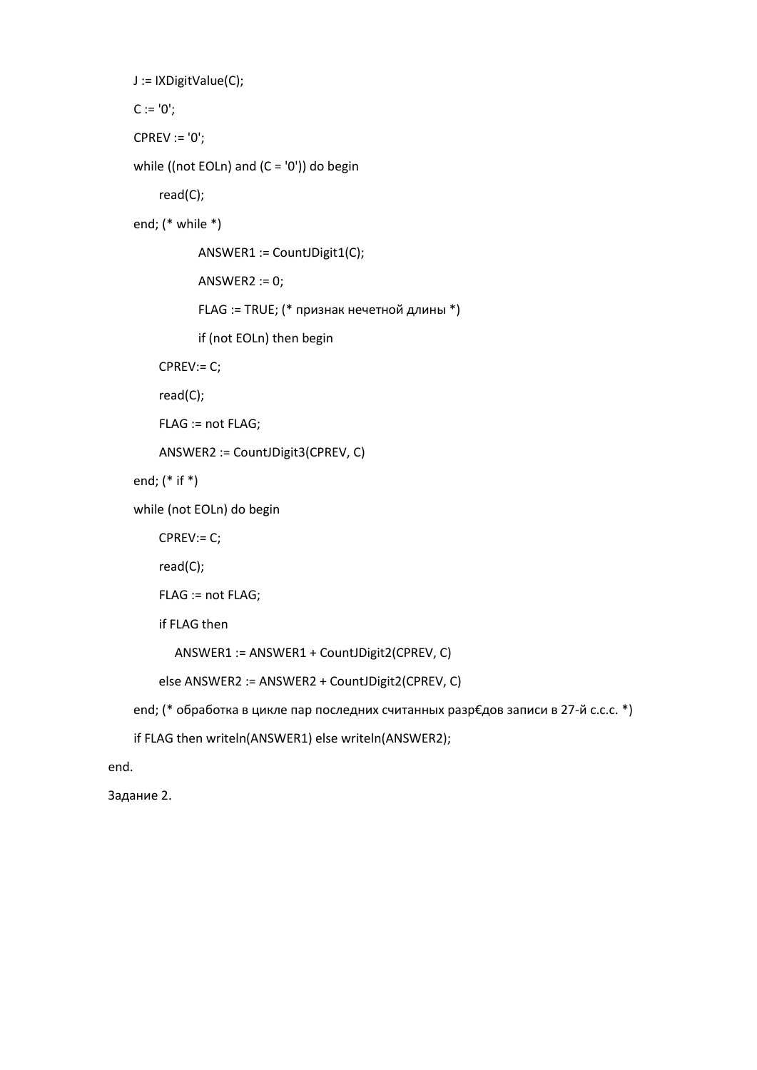```
 J := IXDigitValue(C);
```
 $C := '0';$ 

CPREV := '0';

```
while ((not EOLn) and (C = '0')) do begin
```
read(C);

end; (\* while \*)

ANSWER1 := CountJDigit1(C);

ANSWER2 := 0;

FLAG := TRUE; (\* признак нечетной длины \*)

if (not EOLn) then begin

CPREV:= C;

read(C);

FLAG := not FLAG;

ANSWER2 := CountJDigit3(CPREV, C)

end; (\* if \*)

while (not EOLn) do begin

```
 CPREV:= C;
```
read(C);

```
 FLAG := not FLAG;
```
if FLAG then

```
 ANSWER1 := ANSWER1 + CountJDigit2(CPREV, C)
```

```
 else ANSWER2 := ANSWER2 + CountJDigit2(CPREV, C)
```
end; (\* обработка в цикле пар последних считанных разр€дов записи в 27-й с.с.с. \*)

```
 if FLAG then writeln(ANSWER1) else writeln(ANSWER2);
```
end.

Задание 2.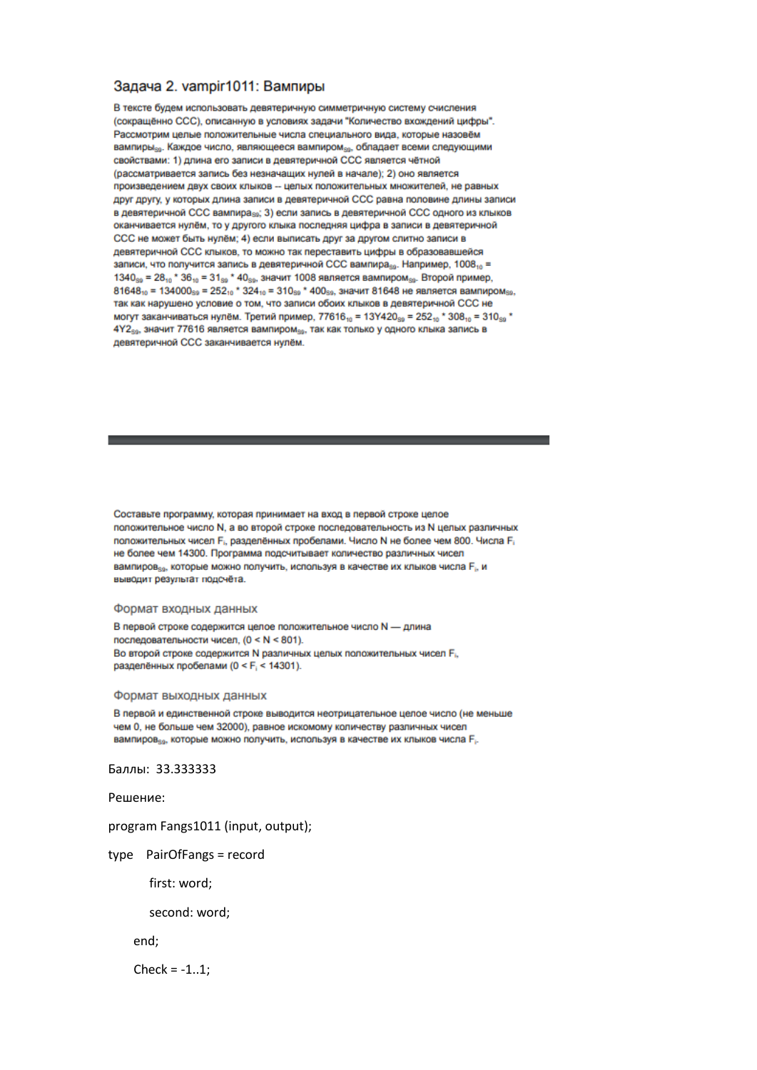### Задача 2. vampir1011: Вампиры

В тексте будем использовать девятеричную симметричную систему счисления (сокращённо ССС), описанную в условиях задачи "Количество вхождений цифры". Рассмотрим целые положительные числа специального вида, которые назовём вампиры<sub>ко</sub>. Каждое число, являющееся вампиром<sub>ко</sub>, обладает всеми следующими свойствами: 1) длина его записи в девятеричной ССС является чётной (рассматривается запись без незначащих нурей в начале): 2) оно является произведением двух своих клыков -- целых положительных множителей, не равных друг другу, у которых длина записи в девятеричной ССС равна половине длины записи в девятеричной ССС вампира<sub>за</sub>; 3) если запись в девятеричной ССС одного из клыков оканчивается нулём, то у другого клыка последняя цифра в записи в девятеричной ССС не может быть нулём; 4) если выписать друг за другом слитно записи в девятеричной ССС клыков, то можно так переставить цифры в образовавшейся записи, что получится запись в девятеричной ССС вампира<sub>ва</sub>. Например, 1008, =  $1340_{89}$  = 28 $_{10}$  \* 36 $_{10}$  = 31 $_{89}$  \* 40 $_{89}$ , значит 1008 является вампиром $_{89}$ . Второй пример,  $81648_{10} = 134000_{59} = 252_{10}$  \*  $324_{10} = 310_{59}$  \*  $400_{59}$ , значит 81648 не является вампиром $_{59}$ так как нарушено условие о том, что записи обоих клыков в девятеричной ССС не могут заканчиваться нулём. Третий пример, 77616, = 13Y420 so = 252, + 308, = 310 so \* 4Y2<sub>80</sub>, значит 77616 является вампиром<sub>80</sub>, так как только у одного клыка запись в девятеричной ССС заканчивается нулём.

Составьте программу, которая принимает на вход в первой строке целое положительное число N, а во второй строке последовательность из N целых различных положительных чисел F<sub>i</sub>, разделённых пробелами. Число N не более чем 800. Числа F<sub>i</sub> не более чем 14300. Программа подсчитывает количество различных чисел вампиров<sub>зя</sub>, которые можно получить, используя в качестве их клыков числа F<sub>i</sub>, и выводит результат подсчёта.

### Формат входных данных

В первой строке содержится целое положительное число N - длина последовательности чисел, (0 < N < 801). Во второй строке содержится N различных целых положительных чисел F<sub>i</sub>. разделённых пробелами (0 < F<sub>i</sub> < 14301).

#### Формат выходных данных

В первой и единственной строке выводится неотрицательное целое число (не меньше чем 0, не больше чем 32000), равное искомому количеству различных чисел вампиров<sub>зо</sub>, которые можно получить, используя в качестве их клыков числа F<sub>i-</sub>

Баллы: 33.333333

Решение:

program Fangs1011 (input, output);

type PairOfFangs = record

first: word;

second: word;

end;

 $Check = -1...1$ :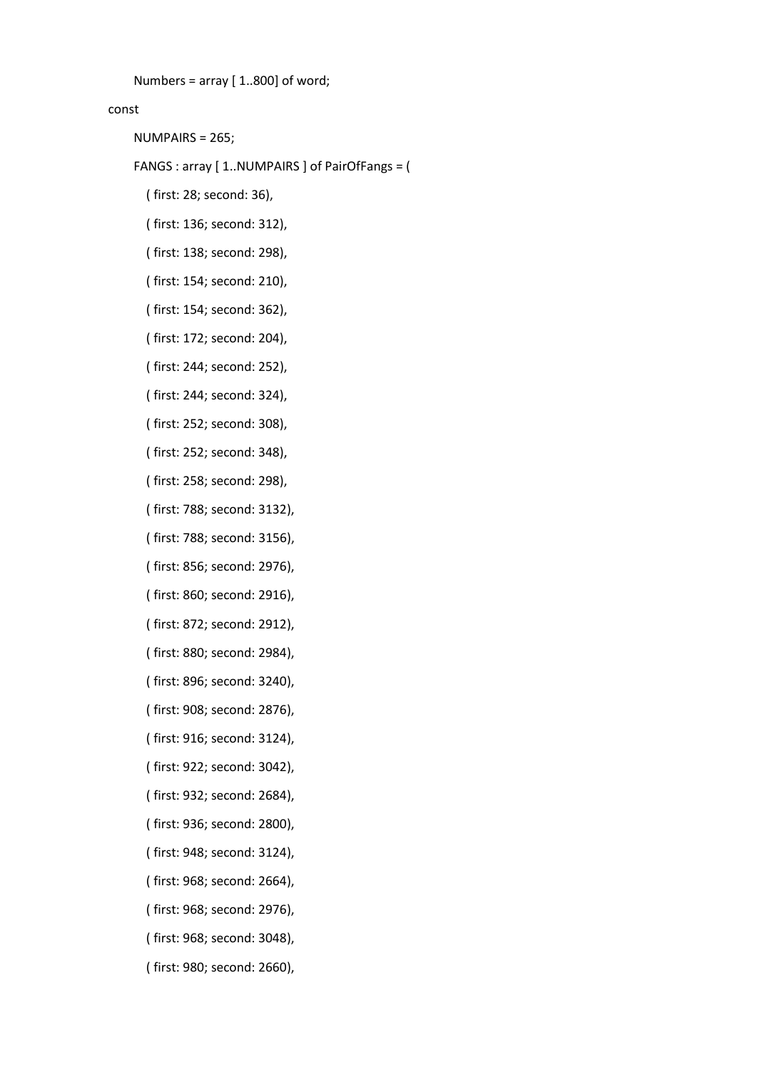```
Numbers = array [ 1..800] of word;
```
## const

NUMPAIRS = 265;

FANGS : array [ 1..NUMPAIRS ] of PairOfFangs = (

- ( first: 28; second: 36),
- ( first: 136; second: 312),
- ( first: 138; second: 298),
- ( first: 154; second: 210),
- ( first: 154; second: 362),
- ( first: 172; second: 204),
- ( first: 244; second: 252),
- ( first: 244; second: 324),
- ( first: 252; second: 308),
- ( first: 252; second: 348),
- ( first: 258; second: 298),
- ( first: 788; second: 3132),
- ( first: 788; second: 3156),
- ( first: 856; second: 2976),
- ( first: 860; second: 2916),
- ( first: 872; second: 2912),
- ( first: 880; second: 2984),
- ( first: 896; second: 3240),
- ( first: 908; second: 2876),
- ( first: 916; second: 3124),
- ( first: 922; second: 3042),
- ( first: 932; second: 2684),
- ( first: 936; second: 2800),
- ( first: 948; second: 3124),
- ( first: 968; second: 2664),
- ( first: 968; second: 2976),
- ( first: 968; second: 3048),
- ( first: 980; second: 2660),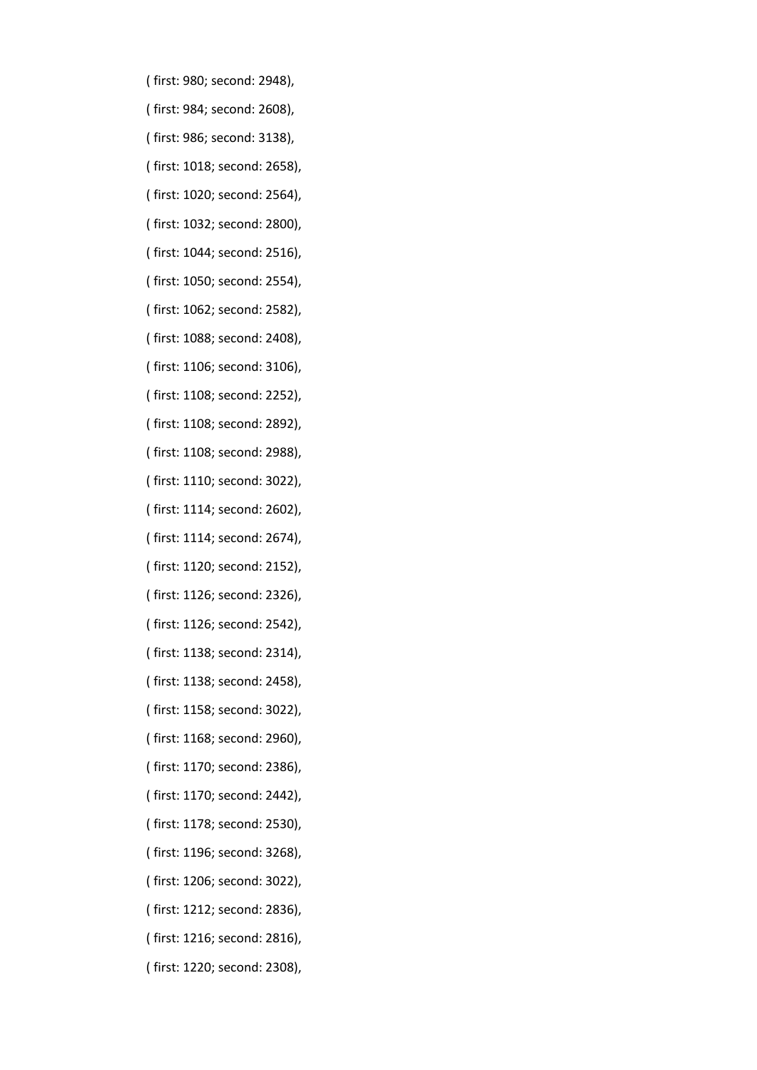- ( first: 980; second: 2948),
- ( first: 984; second: 2608),
- ( first: 986; second: 3138),
- ( first: 1018; second: 2658),
- ( first: 1020; second: 2564),
- ( first: 1032; second: 2800),
- ( first: 1044; second: 2516),
- ( first: 1050; second: 2554),
- ( first: 1062; second: 2582),
- ( first: 1088; second: 2408),
- ( first: 1106; second: 3106),
- ( first: 1108; second: 2252),
- ( first: 1108; second: 2892),
- ( first: 1108; second: 2988),
- ( first: 1110; second: 3022),
- ( first: 1114; second: 2602),
- ( first: 1114; second: 2674),
- ( first: 1120; second: 2152),
- ( first: 1126; second: 2326),
- ( first: 1126; second: 2542),
- ( first: 1138; second: 2314),
- ( first: 1138; second: 2458),
- ( first: 1158; second: 3022),
- ( first: 1168; second: 2960),
- ( first: 1170; second: 2386),
- ( first: 1170; second: 2442),
- ( first: 1178; second: 2530),
- ( first: 1196; second: 3268),
- ( first: 1206; second: 3022),
- ( first: 1212; second: 2836),
- ( first: 1216; second: 2816),
- ( first: 1220; second: 2308),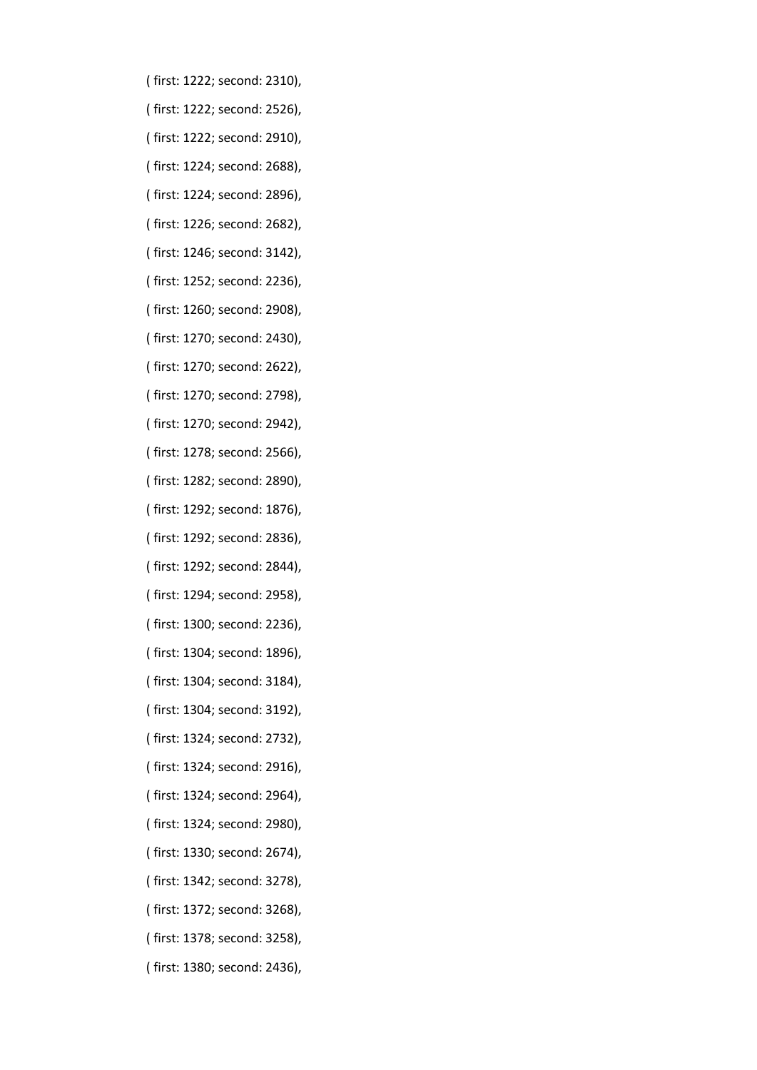- ( first: 1222; second: 2310),
- ( first: 1222; second: 2526),
- ( first: 1222; second: 2910),
- ( first: 1224; second: 2688),
- ( first: 1224; second: 2896),
- ( first: 1226; second: 2682),
- ( first: 1246; second: 3142),
- ( first: 1252; second: 2236),
- ( first: 1260; second: 2908),
- ( first: 1270; second: 2430),
- ( first: 1270; second: 2622),
- ( first: 1270; second: 2798),
- ( first: 1270; second: 2942),
- ( first: 1278; second: 2566),
- ( first: 1282; second: 2890),
- ( first: 1292; second: 1876),
- ( first: 1292; second: 2836),
- ( first: 1292; second: 2844),
- ( first: 1294; second: 2958),
- ( first: 1300; second: 2236),
- ( first: 1304; second: 1896),
- ( first: 1304; second: 3184),
- ( first: 1304; second: 3192),
- ( first: 1324; second: 2732),
- ( first: 1324; second: 2916),
- ( first: 1324; second: 2964),
- ( first: 1324; second: 2980),
- ( first: 1330; second: 2674),
- ( first: 1342; second: 3278),
- ( first: 1372; second: 3268),
- ( first: 1378; second: 3258),
- ( first: 1380; second: 2436),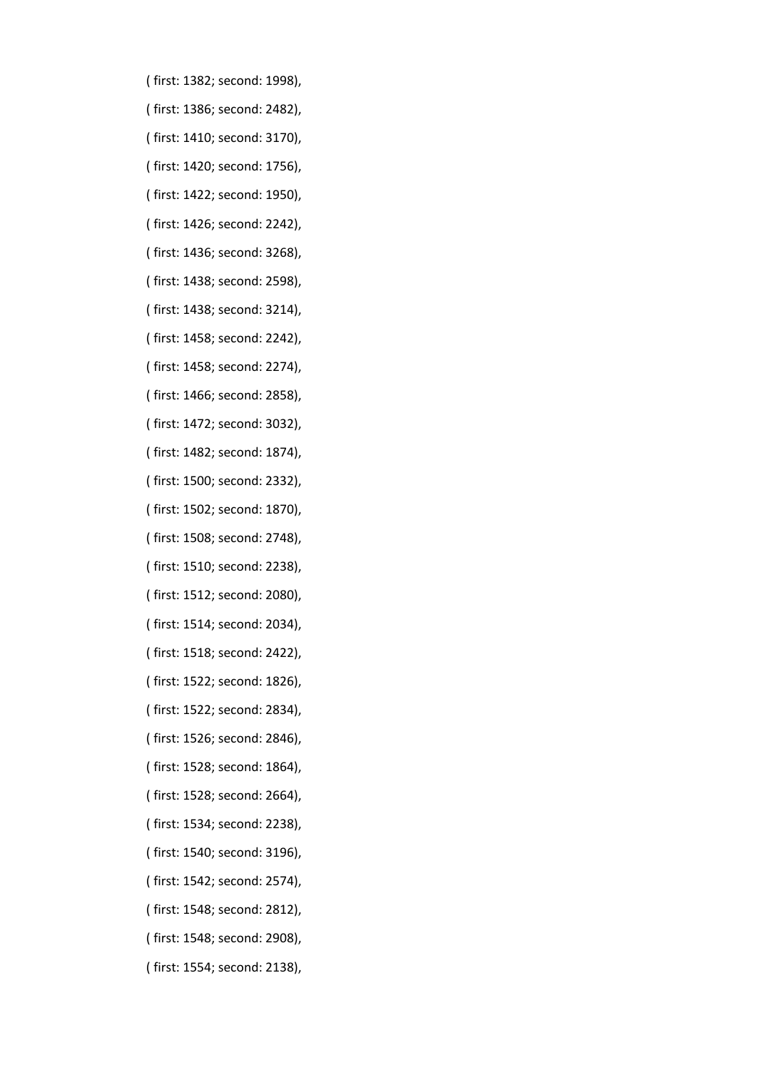- ( first: 1382; second: 1998),
- ( first: 1386; second: 2482),
- ( first: 1410; second: 3170),
- ( first: 1420; second: 1756),
- ( first: 1422; second: 1950),
- ( first: 1426; second: 2242),
- ( first: 1436; second: 3268),
- ( first: 1438; second: 2598),
- ( first: 1438; second: 3214),
- ( first: 1458; second: 2242),
- ( first: 1458; second: 2274),
- ( first: 1466; second: 2858),
- ( first: 1472; second: 3032),
- ( first: 1482; second: 1874),
- ( first: 1500; second: 2332),
- ( first: 1502; second: 1870),
- ( first: 1508; second: 2748),
- ( first: 1510; second: 2238),
- ( first: 1512; second: 2080),
- ( first: 1514; second: 2034),
- ( first: 1518; second: 2422),
- ( first: 1522; second: 1826),
- ( first: 1522; second: 2834),
- ( first: 1526; second: 2846),
- ( first: 1528; second: 1864),
- ( first: 1528; second: 2664),
- ( first: 1534; second: 2238),
- ( first: 1540; second: 3196),
- ( first: 1542; second: 2574),
- ( first: 1548; second: 2812),
- ( first: 1548; second: 2908),
- ( first: 1554; second: 2138),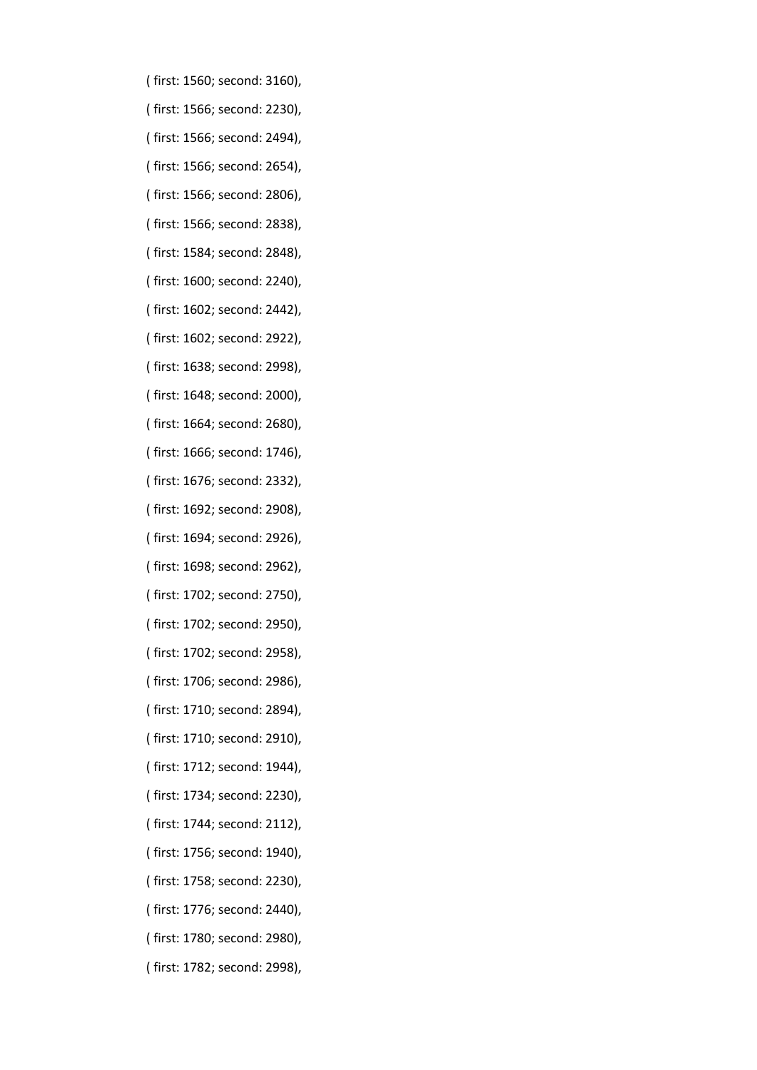- ( first: 1560; second: 3160),
- ( first: 1566; second: 2230),
- ( first: 1566; second: 2494),
- ( first: 1566; second: 2654),
- ( first: 1566; second: 2806),
- ( first: 1566; second: 2838),
- ( first: 1584; second: 2848),
- ( first: 1600; second: 2240),
- ( first: 1602; second: 2442),
- ( first: 1602; second: 2922),
- ( first: 1638; second: 2998),
- ( first: 1648; second: 2000),
- ( first: 1664; second: 2680),
- ( first: 1666; second: 1746),
- ( first: 1676; second: 2332),
- ( first: 1692; second: 2908),
- ( first: 1694; second: 2926),
- ( first: 1698; second: 2962),
- ( first: 1702; second: 2750),
- ( first: 1702; second: 2950),
- ( first: 1702; second: 2958),
- ( first: 1706; second: 2986),
- ( first: 1710; second: 2894),
- ( first: 1710; second: 2910),
- ( first: 1712; second: 1944),
- ( first: 1734; second: 2230),
- ( first: 1744; second: 2112),
- ( first: 1756; second: 1940),
- ( first: 1758; second: 2230),
- ( first: 1776; second: 2440),
- ( first: 1780; second: 2980),
- ( first: 1782; second: 2998),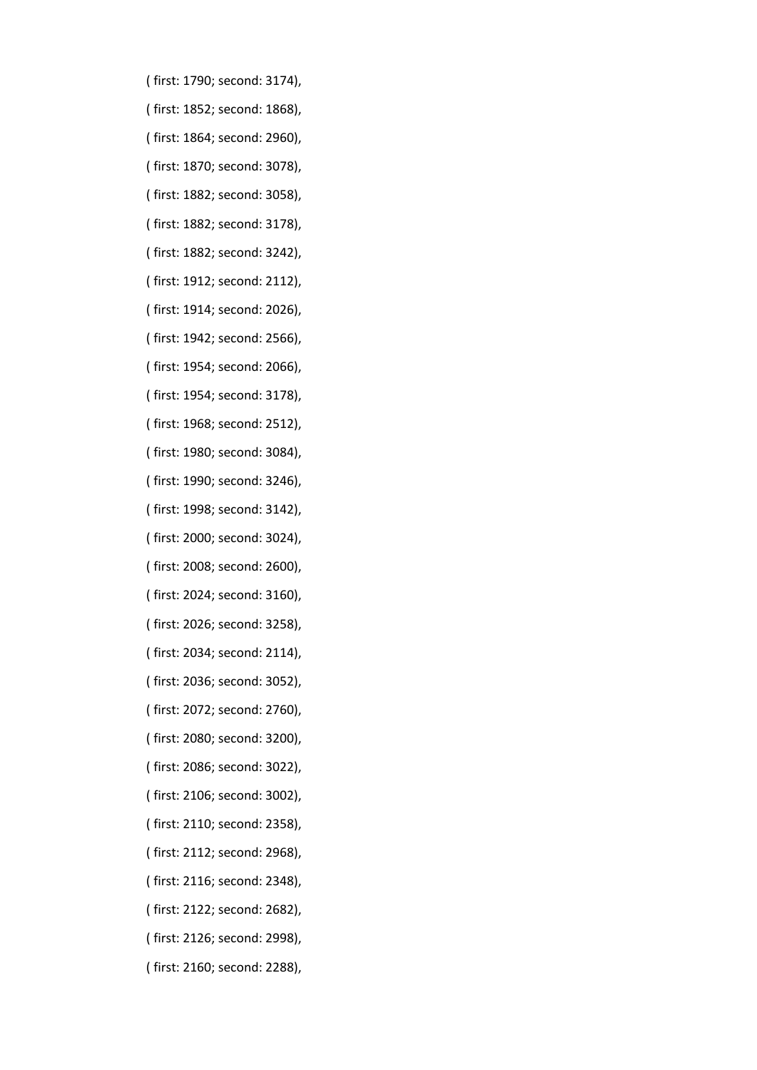- ( first: 1790; second: 3174),
- ( first: 1852; second: 1868),
- ( first: 1864; second: 2960),
- ( first: 1870; second: 3078),
- ( first: 1882; second: 3058),
- ( first: 1882; second: 3178),
- ( first: 1882; second: 3242),
- ( first: 1912; second: 2112),
- ( first: 1914; second: 2026),
- ( first: 1942; second: 2566),
- ( first: 1954; second: 2066),
- ( first: 1954; second: 3178),
- ( first: 1968; second: 2512),
- ( first: 1980; second: 3084),
- ( first: 1990; second: 3246),
- ( first: 1998; second: 3142),
- ( first: 2000; second: 3024),
- ( first: 2008; second: 2600),
- ( first: 2024; second: 3160),
- ( first: 2026; second: 3258),
- ( first: 2034; second: 2114),
- ( first: 2036; second: 3052),
- ( first: 2072; second: 2760),
- ( first: 2080; second: 3200),
- ( first: 2086; second: 3022),
- ( first: 2106; second: 3002),
- ( first: 2110; second: 2358),
- ( first: 2112; second: 2968),
- ( first: 2116; second: 2348),
- ( first: 2122; second: 2682),
- ( first: 2126; second: 2998),
- ( first: 2160; second: 2288),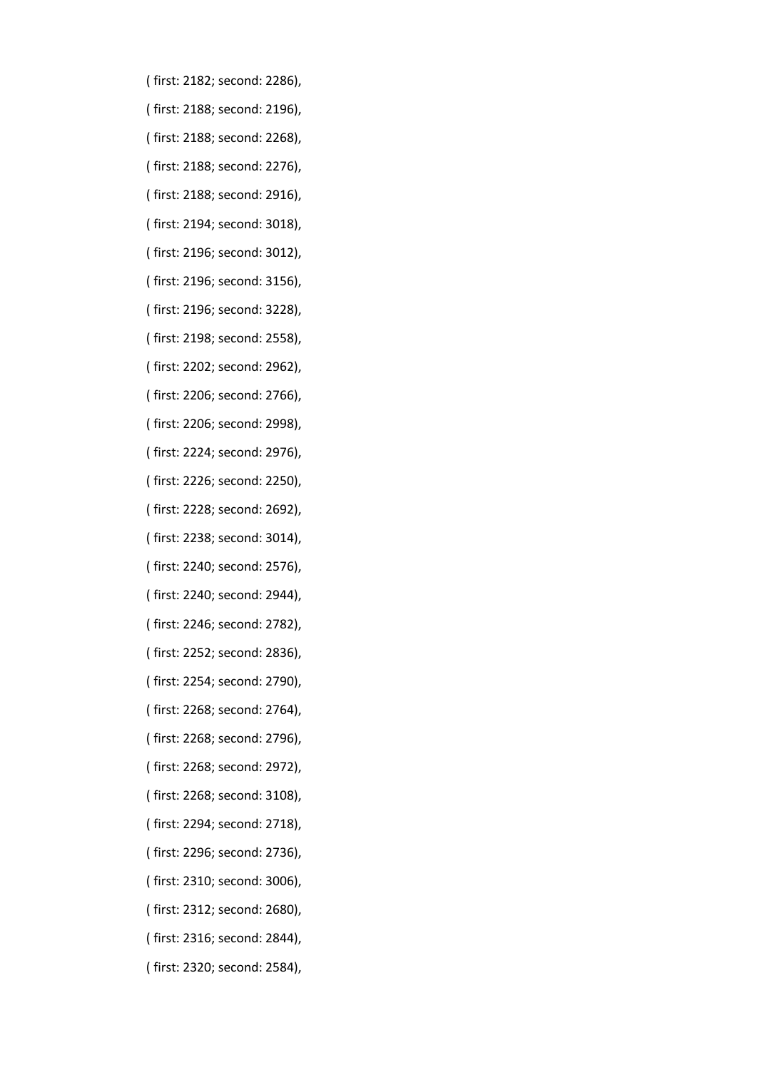- ( first: 2182; second: 2286),
- ( first: 2188; second: 2196),
- ( first: 2188; second: 2268),
- ( first: 2188; second: 2276),
- ( first: 2188; second: 2916),
- ( first: 2194; second: 3018),
- ( first: 2196; second: 3012),
- ( first: 2196; second: 3156),
- ( first: 2196; second: 3228),
- ( first: 2198; second: 2558),
- ( first: 2202; second: 2962),
- ( first: 2206; second: 2766),
- ( first: 2206; second: 2998),
- ( first: 2224; second: 2976),
- ( first: 2226; second: 2250),
- ( first: 2228; second: 2692),
- ( first: 2238; second: 3014),
- ( first: 2240; second: 2576),
- ( first: 2240; second: 2944),
- ( first: 2246; second: 2782),
- ( first: 2252; second: 2836),
- ( first: 2254; second: 2790),
- ( first: 2268; second: 2764),
- ( first: 2268; second: 2796),
- ( first: 2268; second: 2972),
- ( first: 2268; second: 3108),
- ( first: 2294; second: 2718),
- ( first: 2296; second: 2736),
- ( first: 2310; second: 3006),
- ( first: 2312; second: 2680),
- ( first: 2316; second: 2844),
- ( first: 2320; second: 2584),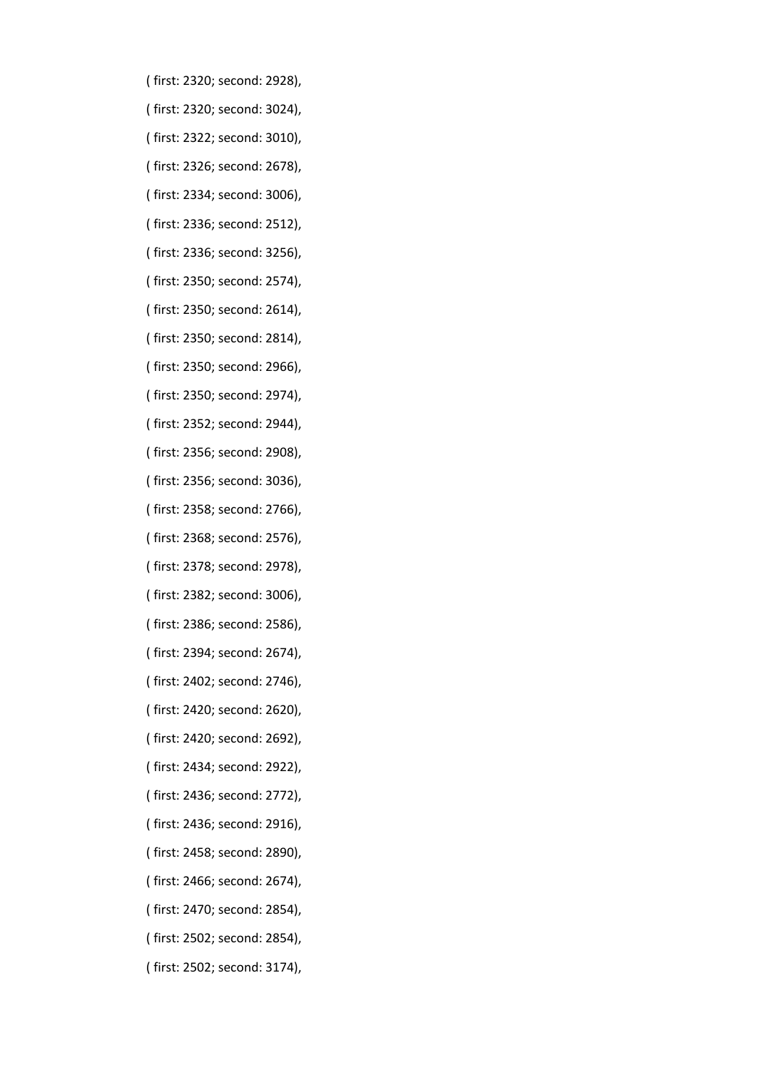- ( first: 2320; second: 2928),
- ( first: 2320; second: 3024),
- ( first: 2322; second: 3010),
- ( first: 2326; second: 2678),
- ( first: 2334; second: 3006),
- ( first: 2336; second: 2512),
- ( first: 2336; second: 3256),
- ( first: 2350; second: 2574),
- ( first: 2350; second: 2614),
- ( first: 2350; second: 2814),
- ( first: 2350; second: 2966),
- ( first: 2350; second: 2974),
- ( first: 2352; second: 2944),
- ( first: 2356; second: 2908),
- ( first: 2356; second: 3036),
- ( first: 2358; second: 2766),
- ( first: 2368; second: 2576),
- ( first: 2378; second: 2978),
- ( first: 2382; second: 3006),
- ( first: 2386; second: 2586),
- ( first: 2394; second: 2674),
- ( first: 2402; second: 2746),
- ( first: 2420; second: 2620),
- ( first: 2420; second: 2692),
- ( first: 2434; second: 2922),
- ( first: 2436; second: 2772),
- ( first: 2436; second: 2916),
- ( first: 2458; second: 2890),
- ( first: 2466; second: 2674),
- ( first: 2470; second: 2854),
- ( first: 2502; second: 2854),
- ( first: 2502; second: 3174),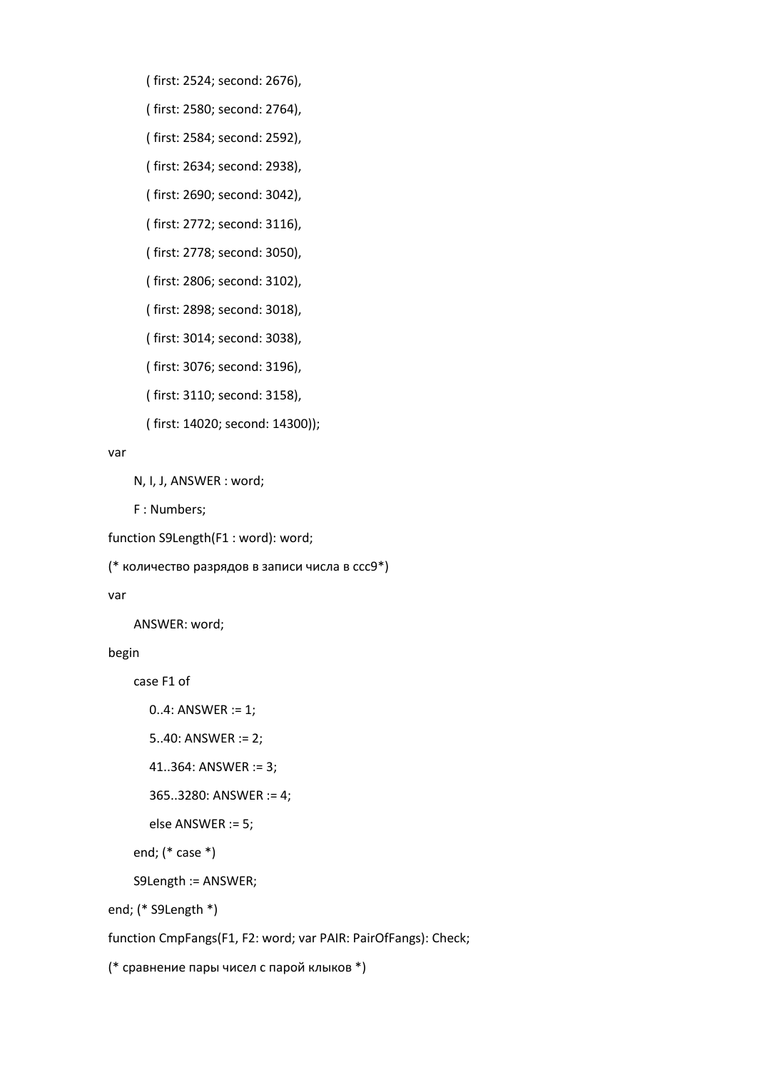- ( first: 2524; second: 2676),
- ( first: 2580; second: 2764),
- ( first: 2584; second: 2592),
- ( first: 2634; second: 2938),

( first: 2690; second: 3042),

( first: 2772; second: 3116),

( first: 2778; second: 3050),

( first: 2806; second: 3102),

- ( first: 2898; second: 3018),
- ( first: 3014; second: 3038),
- ( first: 3076; second: 3196),
- ( first: 3110; second: 3158),
- ( first: 14020; second: 14300));

## var

N, I, J, ANSWER : word;

F : Numbers;

```
function S9Length(F1 : word): word;
```
(\* количество разрядов в записи числа в ссс9\*)

## var

ANSWER: word;

## begin

case F1 of

```
 0..4: ANSWER := 1;
```

```
 5..40: ANSWER := 2;
```

```
 41..364: ANSWER := 3;
```

```
 365..3280: ANSWER := 4;
```

```
 else ANSWER := 5;
```

```
 end; (* case *)
```

```
 S9Length := ANSWER;
```
end; (\* S9Length \*)

function CmpFangs(F1, F2: word; var PAIR: PairOfFangs): Check;

(\* сравнение пары чисел с парой клыков \*)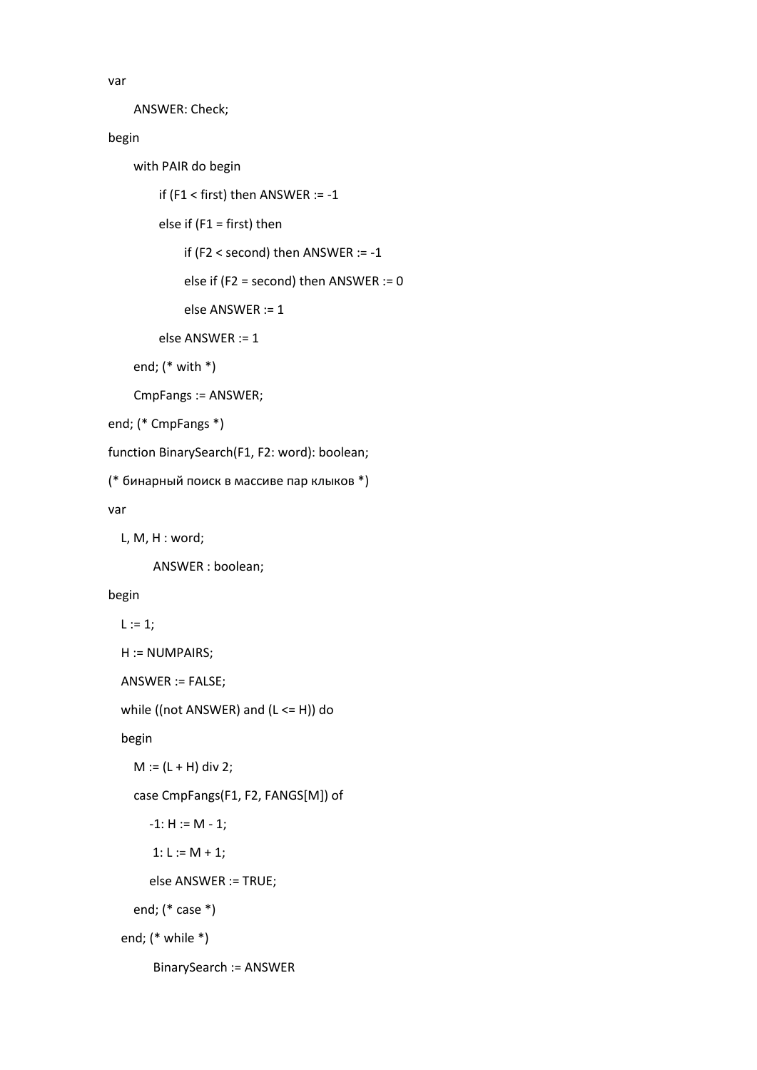var

ANSWER: Check;

begin

with PAIR do begin

```
 if (F1 < first) then ANSWER := -1
```
else if (F1 = first) then

if (F2 < second) then ANSWER := -1

else if (F2 = second) then ANSWER := 0

else ANSWER := 1

else ANSWER := 1

end; (\* with \*)

CmpFangs := ANSWER;

end; (\* CmpFangs \*)

function BinarySearch(F1, F2: word): boolean;

(\* бинарный поиск в массиве пар клыков \*)

var

L, M, H : word;

ANSWER : boolean;

## begin

 $L := 1;$ 

```
 H := NUMPAIRS;
```
ANSWER := FALSE;

while ((not ANSWER) and (L <= H)) do

begin

```
M := (L + H) div 2;
```
case CmpFangs(F1, F2, FANGS[M]) of

 $-1: H := M - 1;$ 

1:  $L := M + 1;$ 

else ANSWER := TRUE;

end; (\* case \*)

end; (\* while \*)

BinarySearch := ANSWER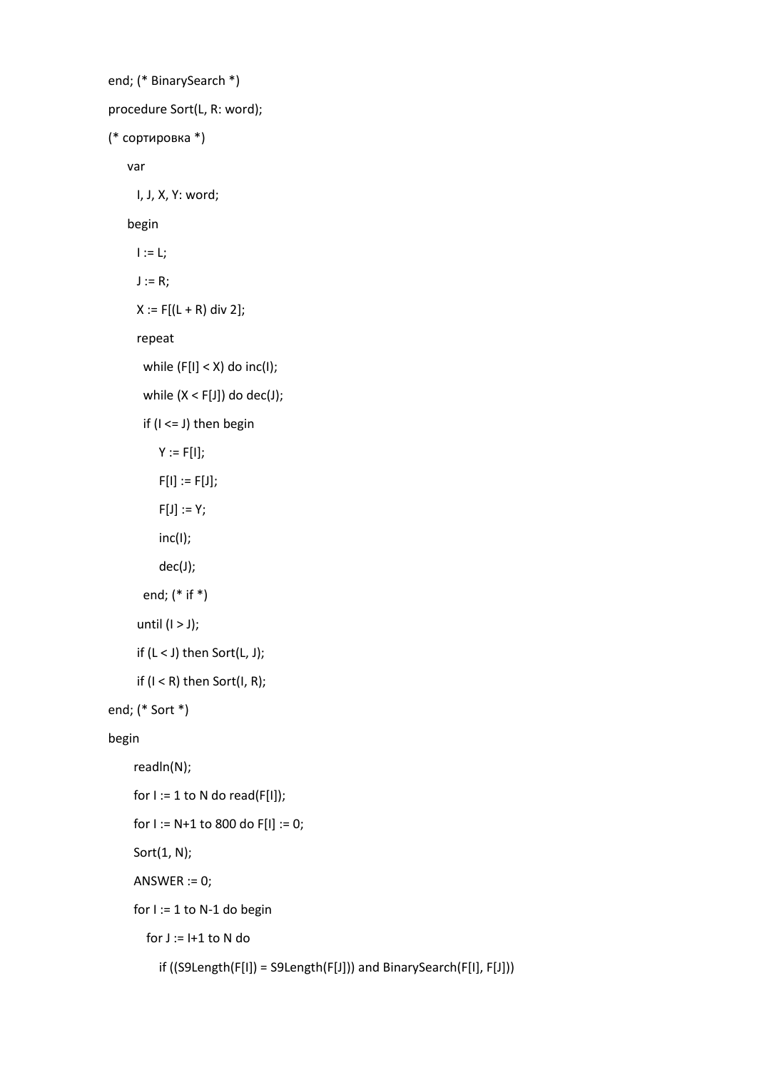```
end; (* BinarySearch *)
procedure Sort(L, R: word);
(* сортировка *)
    var
      I, J, X, Y: word;
    begin
     I := L;J := R;X := F[(L + R) \text{ div } 2]; repeat
      while (F[1] < X) do inc(I);
      while (X < F[J]) do dec(J);
       if (I <= J) then begin
         Y := F[1];
          F[I] := F[J];F[J] := Y; inc(I);
           dec(J);
       end; (* if *)
     until (1 > J);
      if (L < J) then Sort(L, J);
     if (I < R) then Sort(I, R);
end; (* Sort *)
begin
      readln(N);
    for I := 1 to N do read(F[I]);
    for I := N+1 to 800 do F[I] := 0;
     Sort(1, N);
     ANSWER := 0;
     for I := 1 to N-1 do begin
       for J := I + 1 to N do
           if ((S9Length(F[I]) = S9Length(F[J])) and BinarySearch(F[I], F[J]))
```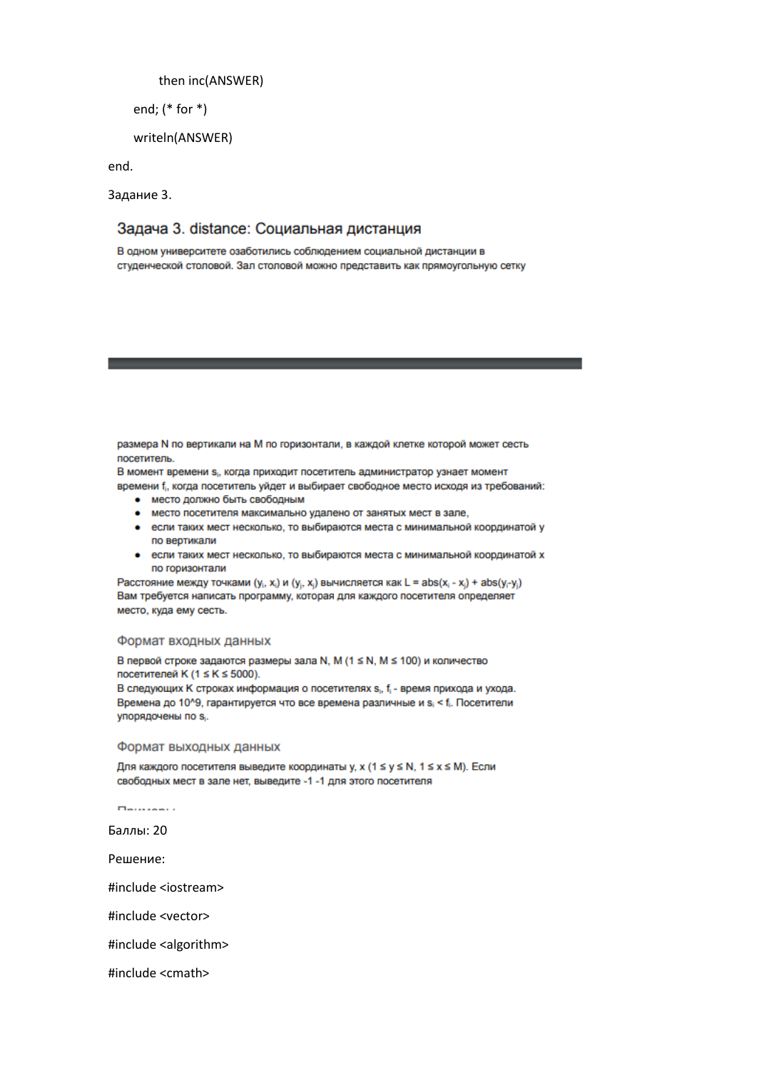```
 then inc(ANSWER)
```
end; (\* for \*)

writeln(ANSWER)

end.

Задание 3.

# Задача 3. distance: Социальная дистанция

В одном университете озаботились соблюдением социальной дистанции в студенческой столовой. Зал столовой можно представить как прямоугольную сетку

размера N по вертикали на M по горизонтали, в каждой клетке которой может сесть посетитель

В момент времени s., когда приходит посетитель администратор узнает момент времени f<sub>i</sub>, когда посетитель уйдет и выбирает свободное место исходя из требований:

- место должно быть свободным
- место посетителя максимально удалено от занятых мест в зале,
- если таких мест несколько, то выбираются места с минимальной координатой у по вертикали
- если таких мест несколько, то выбираются места с минимальной координатой х по горизонтали

Расстояние между точками  $(y_i, x_i)$  и  $(y_i, x_i)$  вычисляется как L = abs $(x_i - x_i)$  + abs $(y_i - y_i)$ Вам требуется написать программу, которая для каждого посетителя определяет место, куда ему сесть.

### Формат входных данных

В первой строке задаются размеры зала N, M (1 ≤ N, M ≤ 100) и количество посетителей К (1 ≤ К ≤ 5000).

В следующих К строках информация о посетителях s, f - время прихода и ухода. Времена до 10^9, гарантируется что все времена различные и si < fi. Посетители упорядочены по s.

## Формат выходных данных

Для каждого посетителя выведите координаты у, х (1 ≤ у ≤ N, 1 ≤ х ≤ M). Если свободных мест в зале нет, выведите -1 -1 для этого посетителя

 $T = 1$ 

Баллы: 20

Решение:

#include <iostream>

#include <vector>

#include <algorithm>

#include <cmath>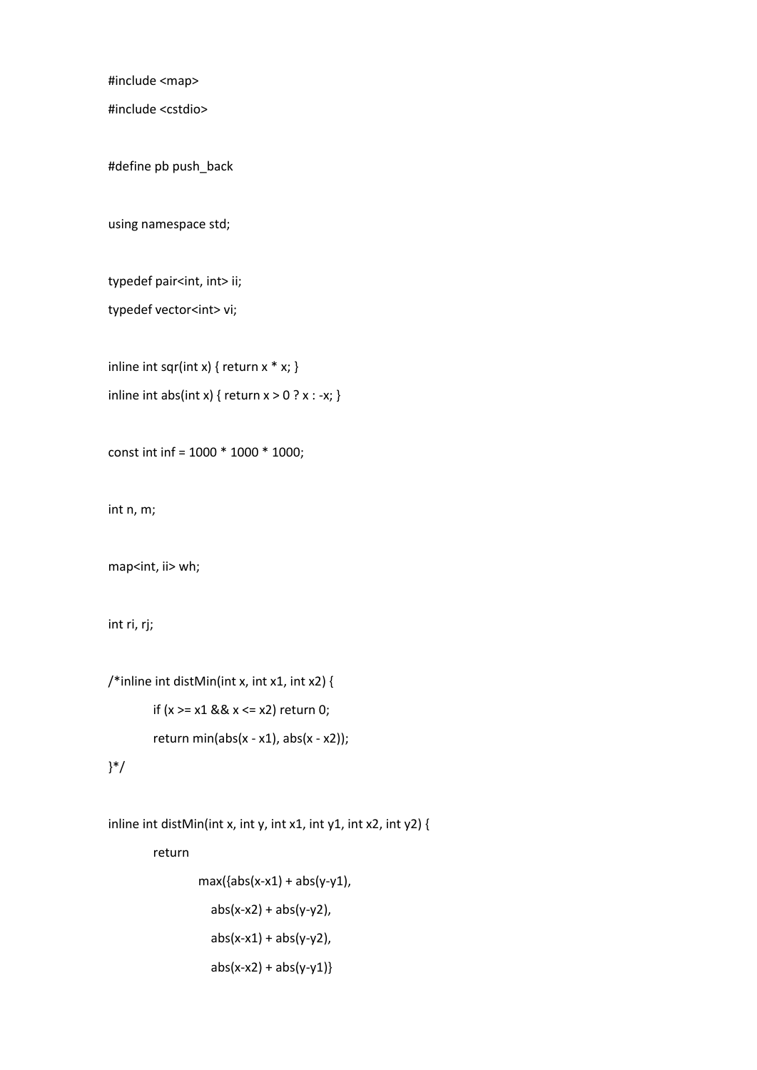#include <map>

#include <cstdio>

#define pb push\_back

using namespace std;

typedef pair<int, int> ii;

typedef vector<int> vi;

inline int sqr(int x) { return  $x * x$ ; } inline int abs(int x) { return  $x > 0$  ?  $x : -x$ ; }

const int inf = 1000 \* 1000 \* 1000;

int n, m;

map<int, ii> wh;

int ri, rj;

```
/*inline int distMin(int x, int x1, int x2) {
        if (x \ge x1 \& x \le x2) return 0;
        return min(abs(x - x1), abs(x - x2));
}*/
```
inline int distMin(int x, int y, int x1, int y1, int x2, int y2) {

return

 $max({\{abs(x-x1) + abs(y-y1)},$  $abs(x-x2) + abs(y-y2)$ ,  $abs(x-x1) + abs(y-y2)$ ,  $abs(x-x2) + abs(y-y1)$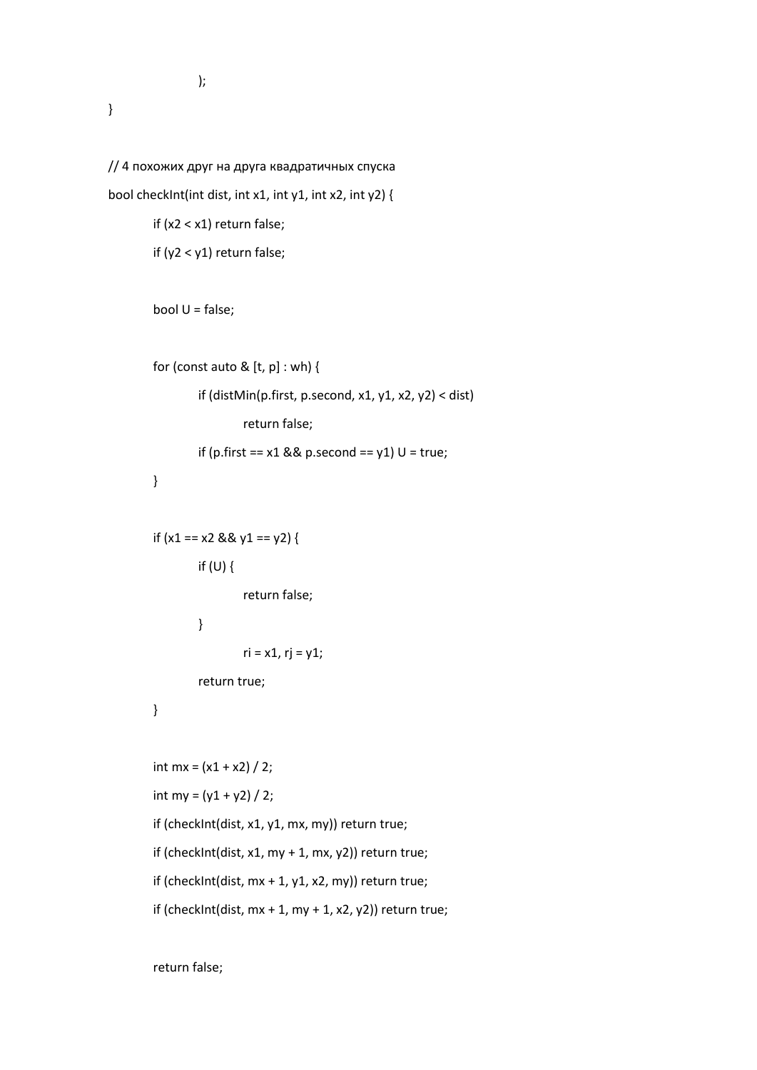);

```
// 4 похожих друг на друга квадратичных спуска
bool checkInt(int dist, int x1, int y1, int x2, int y2) {
        if (x2 < x1) return false;
        if (y2 < y1) return false;
        bool U = false;
        for (const auto & [t, p] : wh) {
                 if (distMin(p.first, p.second, x1, y1, x2, y2) < dist)
                         return false;
                 if (p.first == x1 && p.second == y1) U = true;
        }
        if (x1 == x2 & 8 & 91 == y2) {
                 if (U) {
                         return false;
                 }
                         ri = x1, rj = y1;return true;
        }
        int mx = (x1 + x2) / 2;
        int my = (y1 + y2) / 2;
        if (checkInt(dist, x1, y1, mx, my)) return true;
        if (checkInt(dist, x1, my + 1, mx, y2)) return true;
        if (checkInt(dist, mx + 1, y1, x2, my)) return true;
        if (checkInt(dist, mx + 1, my + 1, x2, y2)) return true;
```
return false;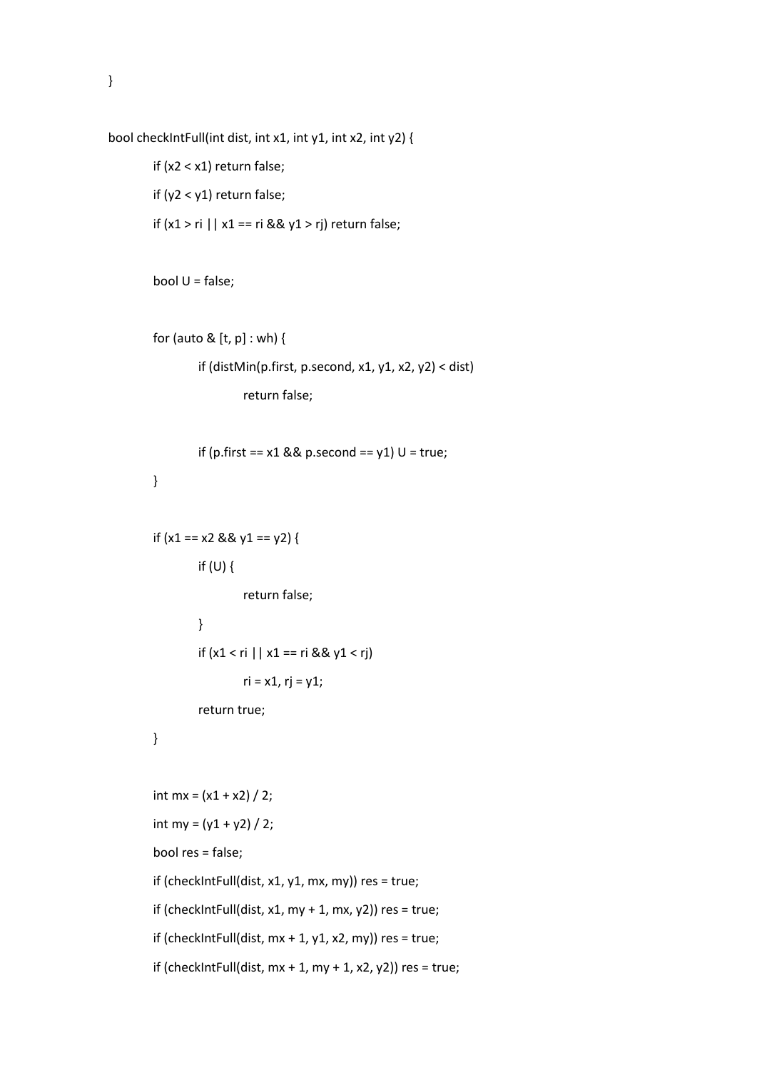```
bool checkIntFull(int dist, int x1, int y1, int x2, int y2) {
```

```
if (x2 < x1) return false;
if (y2 < y1) return false;
if (x1 > ri || x1 == ri && y1 > rj) return false;
```

```
bool U = false;
```

```
for (auto & [t, p] : wh) {
        if (distMin(p.first, p.second, x1, y1, x2, y2) < dist)
                 return false;
```

```
if (p.first == x1 && p.second == y1) U = true;
}
```

```
if (x1 == x2 & 8 & 91 == y2) {
         if (U) {
                  return false;
```

```
}
if (x1 < r i \mid x1 == r i & 8 & y1 < r j)ri = x1, rj = y1;return true;
```

```
}
```

```
int mx = (x1 + x2) / 2;
int my = (y1 + y2) / 2;
bool res = false;
if (checkIntFull(dist, x1, y1, mx, my)) res = true;
if (checkIntFull(dist, x1, my + 1, mx, y2)) res = true;
if (checkIntFull(dist, mx + 1, y1, x2, my)) res = true;
if (checkIntFull(dist, mx + 1, my + 1, x2, y2)) res = true;
```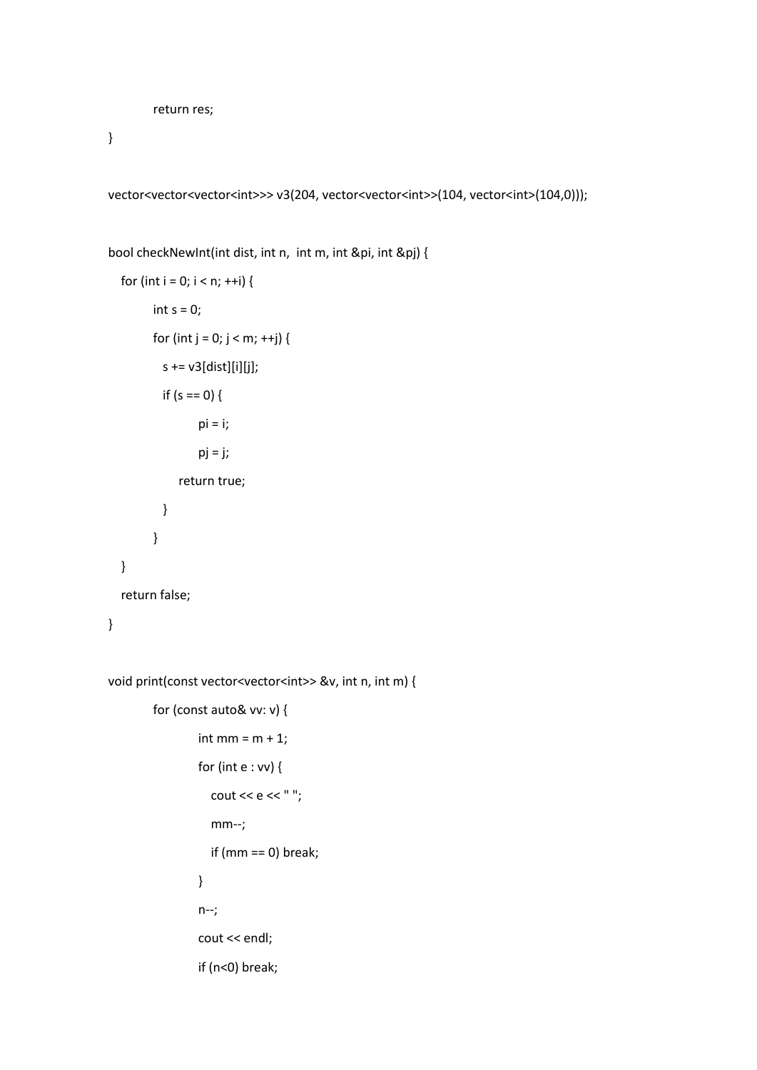```
return res;
```
}

vector<vector<vector<int>>> v3(204, vector<vector<int>>(104, vector<int>(104,0)));

```
bool checkNewInt(int dist, int n, int m, int &pi, int &pj) {
```

```
for (int i = 0; i < n; ++i) {
      int s = 0;
      for (int j = 0; j < m; ++j) {
        s += v3[dist][i][j];if (s == 0) {
               pi = i;pi = j; return true;
         }
      }
 }
 return false;
```
void print(const vector<vector<int>> &v, int n, int m) {

```
for (const auto& vv: v) {
        int mm = m + 1;
        for (int e : vv) {
          cout << e << ";
           mm--;
           if (mm == 0) break;
        }
        n--;
        cout << endl;
        if (n<0) break;
```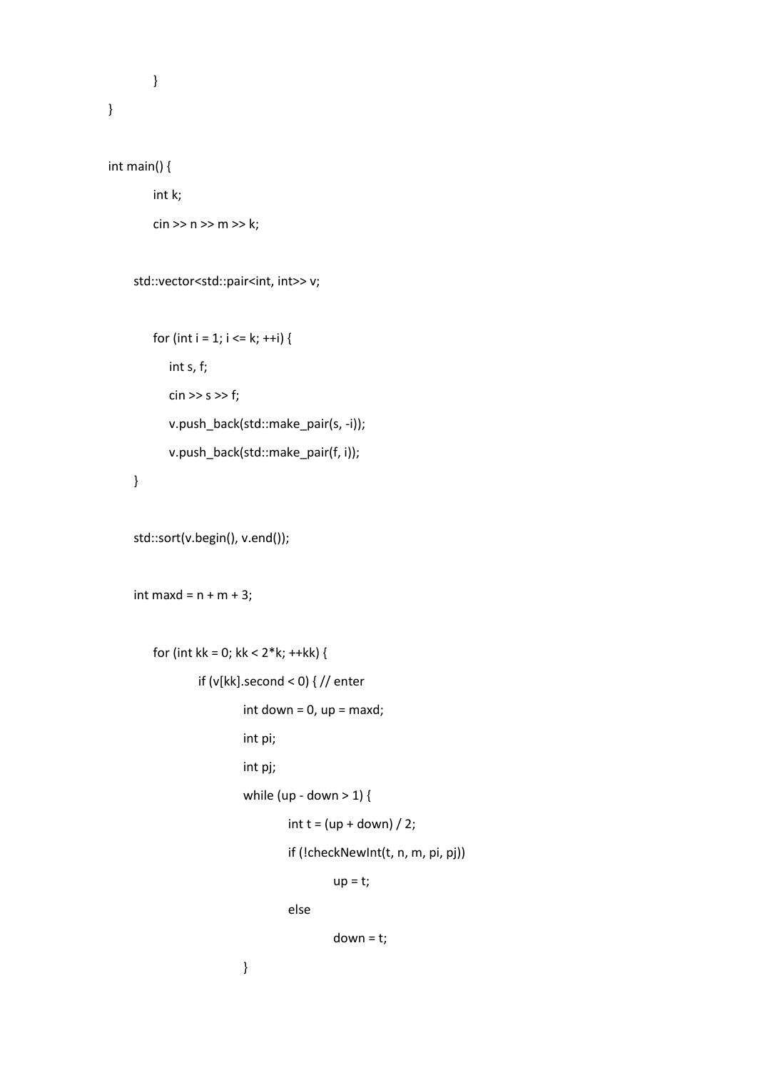```
}
```

```
int main() {
```
int k;  $\sin >> n >> m >> k$ ;

```
std::vector<std::pair<int, int>> v;
```

```
for (int i = 1; i <= k; ++i) {
    int s, f;
   \sin \gg s \gg f;
    v.push_back(std::make_pair(s, -i));
    v.push_back(std::make_pair(f, i));
```

```
 }
```

```
 std::sort(v.begin(), v.end());
```

```
int maxd = n + m + 3;
```

```
for (int kk = 0; kk < 2 * k; ++kk) {
        if (v[kk].second < 0) { // enter
                int down = 0, up = maxd;
                int pi;
                int pj;
                while (up - down > 1) {
                         int t = (up + down) / 2;if (!checkNewInt(t, n, m, pi, pj))
                                 up = t;
```
else

 $down = t;$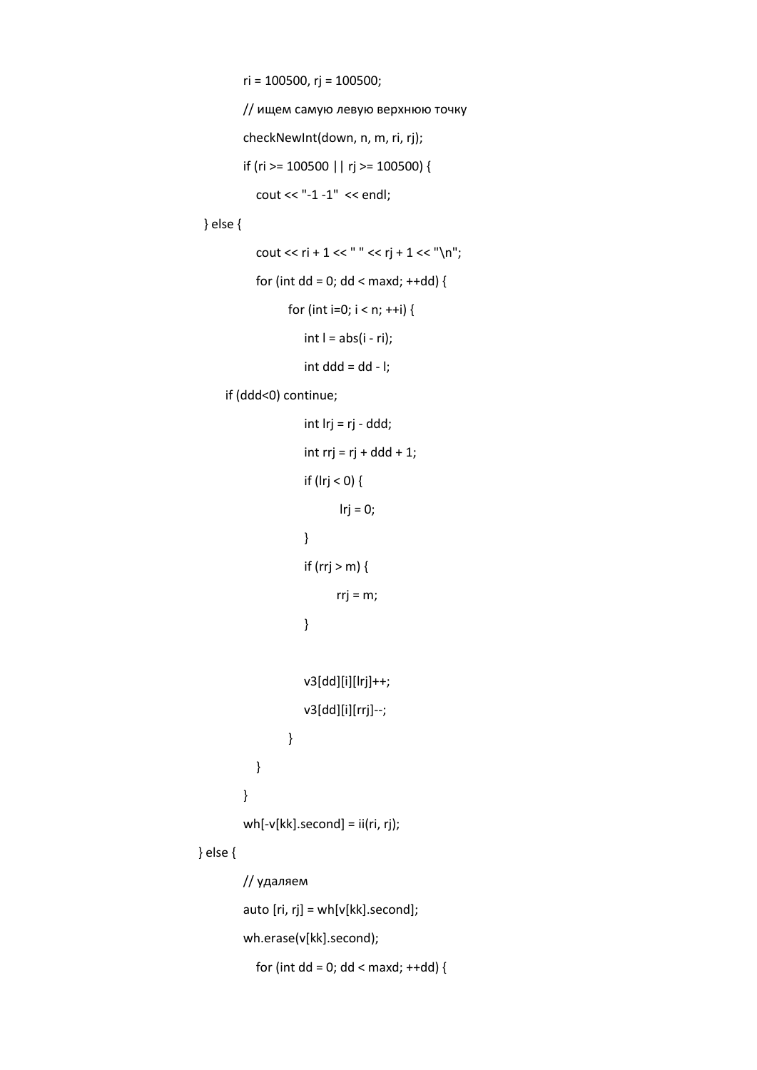ri = 100500, rj = 100500;

```
// ищем самую левую верхнюю точку
checkNewInt(down, n, m, ri, rj);
if (ri >= 100500 || rj >= 100500) {
```

```
 cout << "-1 -1" << endl;
```
} else {

```
cout << ri + 1 << " " << rj + 1 << "\n";
for (int dd = 0; dd < maxd; ++dd) {
      for (int i=0; i < n; ++i) {
         int l = abs(i - ri);
         int ddd = dd - I;
```
if (ddd<0) continue;

```
 int lrj = rj - ddd;
   int rrj = rj + ddd + 1;
   if (|rj < 0) {
           lrj = 0;
    }
   if (rrj > m) {
          rrj = m;
    }
    v3[dd][i][lrj]++;
    v3[dd][i][rrj]--;
}
```
} wh[-v[kk].second] = ii(ri, rj);

} else {

```
// удаляем
auto [ri, rj] = wh[v[kk].second];
wh.erase(v[kk].second);
  for (int dd = 0; dd < maxd; ++dd) {
```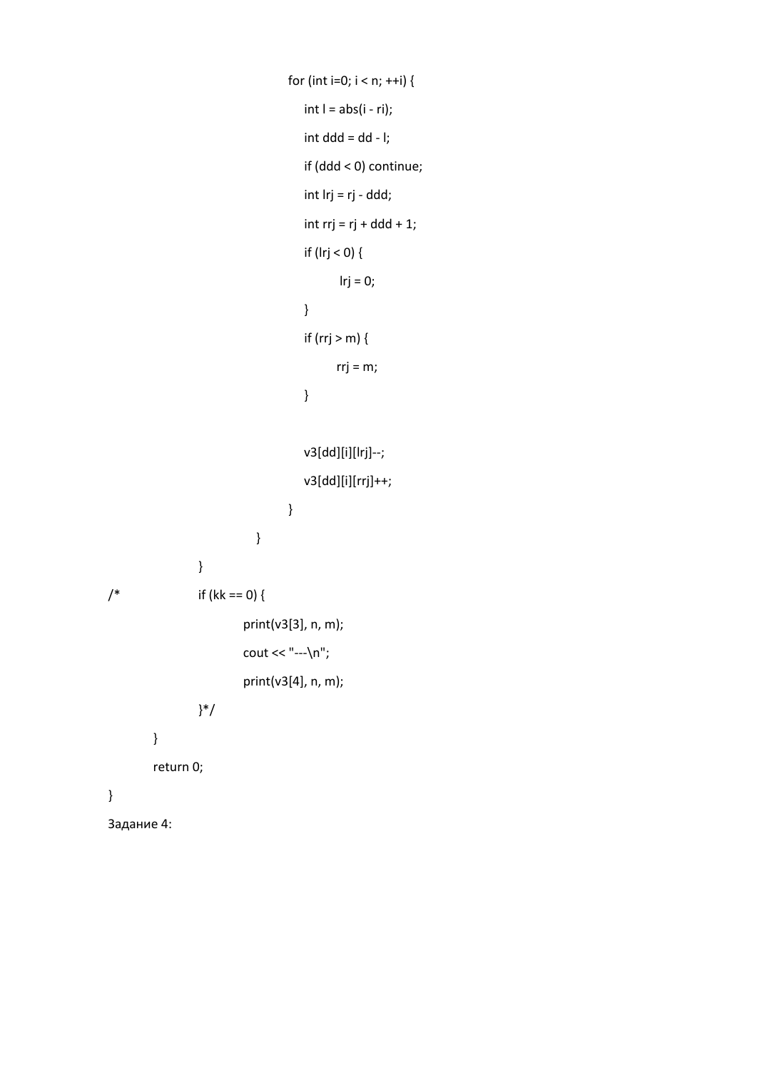```
for (int i=0; i < n; ++i) {
                                     int I = abs(i - ri);int ddd = dd - I; if (ddd < 0) continue;
                                      int lrj = rj - ddd;
                                     int rrj = rj + ddd + 1;
                                      if (lrj < 0) {
                                           lrj = 0;
                                      }
                                     if (rrj > m) {
                                           rrj = m;
                                      }
                                      v3[dd][i][lrj]--;
                                      v3[dd][i][rrj]++;
                                  }
                             }
                 }
/* if (kk == 0) {
                         print(v3[3], n, m);
                         cout << "---\n";
                         print(v3[4], n, m);
                 }*/
        }
        return 0;
}
Задание 4:
```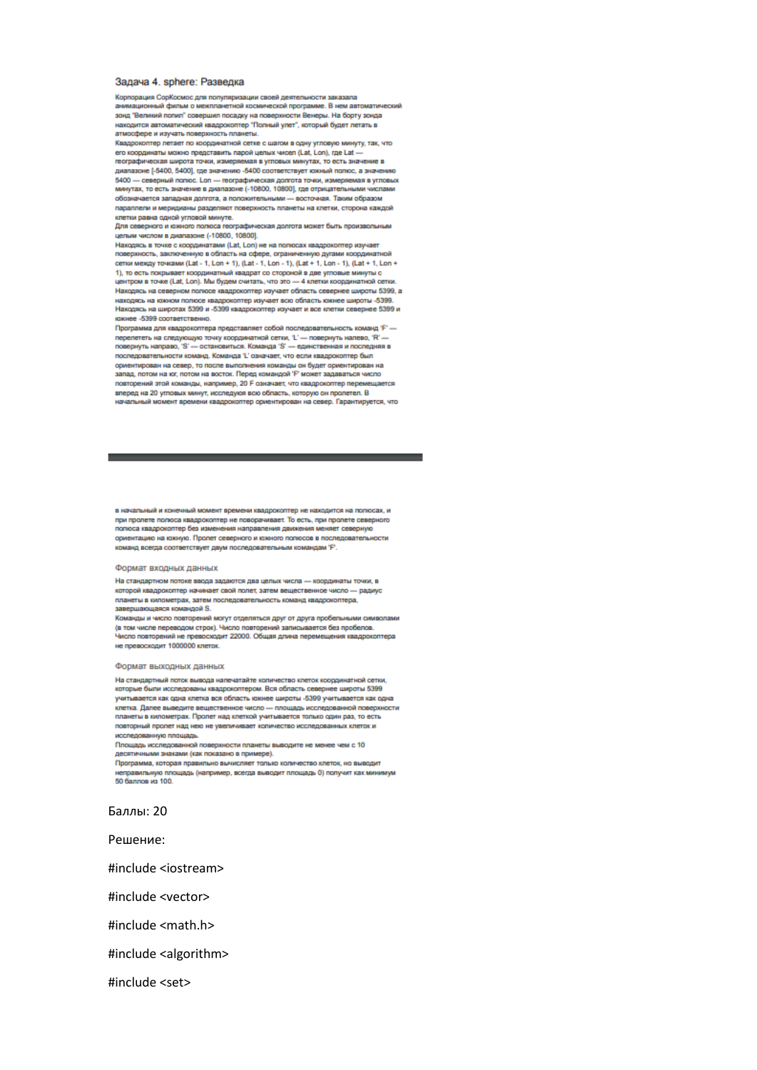#### Задача 4, sphere: Разведка

Корпорация СорКосмос для популяризации своей деятельности заказала анимационный фильм о межлоанетной космической постоямие. В нем автоматический зонд "Великий попил" совершил посадку на поверхности Венеры. На борту зонда находится автоматический квадрокоптер "Полный улет", который будет летать в атмосфере и изучать поверхность планеты.

Квадрокоптер летает по координатной сетке с шагом в одну угловую минуту, так, что его координаты можно представить парой целых чисел (Lat, Lon), где Lat географическая широта точки, измеряемая в угловых минутах, то есть знач диапазоне [-5400, 5400], где значению -5400 соответствует южный полюс, а значению 5400 - северный попюс. Lon - географическая долгота точки, измеряемая в угловых минутах, то есть значение в диапазоне (-10800, 10800), где отрицательными числами обозначается западная долгота, а положительными - восточная. Таким обозром параллели и меридианы разделяют поверхность планеты на клетки, сторона каждой клетки равна одной угловой минуте.

для северного и коюного полюса географическая долгота может быть произвольным .<br>целым числом в диапазоне (-10800, 10800).

Haxonsoy в точке с координатами (Lat. Lon) не на полюсах квадрокоптер изучает поверхность, заключенную в область на сфере, ограниченную дугами коорди сетки между точками (Lat - 1, Lon + 1), (Lat - 1, Lon - 1), (Lat + 1, Lon - 1), (Lat + 1, Lon + 1), то есть покрывает координатный квадрат со стороной в две угловые минуты с центром в точке (Lat, Lon). Мы будем считать, что это - 4 клетки координатной сетки .<br>Находясь на северном полюсе кваллокоптер изучает обрасть севернее широты 5399 а. находясь на южном полюсе квадрокоптер изучает всю область южнее широты -5399. Находясь на широтах 5399 и -5399 квадрокоптер изучает и все клетки севернее 5399 и кнонее -5399 соответственно.

Программа для квадрокоптера представляет собой последовательность команд 'F' перелететь на следующую точку координатной сетки, 1' - повернуть налево, 'R' - повернуть излево, 'R' последовательности команд. Команда "L' означает, что если квадрокоптер был ориентирован на север, то после выполнения команды он будет ориентирован на запад, потом на юг, потом на восток. Перед командой 'F' может задаваться число повторений этой команды, например, 20 F означает, что квадрокоптер перемещается вперед на 20 угловых минут, исследуюя всю область, которую он пролетел. В **BOURDEABLE MOMENT ROBMANN ERRODOKORTED OCHENTARIORSH NA CERED. FROM THOMASTIC UTD.** 

в начальный и конечный момент времени квадрокоптер не находится на полюсах, и при пролете полюса квадрокоптер не поворачивает. То есть, при пролете северного полюса квадрокоптер без изменения направления движения меняет северную ориентацию на коюную. Пролет северного и коюного полюсов в последовательности команд всегда соответствует двум последовательным командам 'F'.

#### Формат входных данных

На стандартном потоке ввода задаются два целых числа - координаты точки, в которой квадрокоптер начинает свой полет, затем вещественное число - радиус планеты в километрах, затем последовательность команд квадрокоптера, завершающаяся командой S.

Команды и число повторений могут отделяться друг от друга пробельными символами (в том числе переводом строк). Число повторений записывается без пробелов.<br>Число повторений не превосходит 22000. Общая длина перемещения квадрокоптера не превосходит 1000000 клеток.

#### Формат выходных данных

На стандартный поток вывода наличатайте количество клиток координатирй овтих которые были исследованы квадрокоптером. Вся область севернее широты 5399 учитывается как одна клетка вся область южнее широты -5399 учитывается как одна клетка. Далее выведите вещественное число - площадь исследованной поверхности планеты в километрах. Пролет над клеткой учитывается только один раз, то есть повторный пролет над нею не увеличивает количество исследованных клеток и исследованную площадь.

Площадь исследованной поверхности планеты выводите не менее чем с 10 десятичными знаками (как показано в примере).

Программа, которая правильно вычисляет только количество клеток, но выводит

неправильную площадь (например, всегда выводит площадь 0) получит как минимум 50 баллов из 100.

Баллы: 20

Решение:

#include <iostream>

#include <vector>

#include <math.h>

#include <algorithm>

#include <set>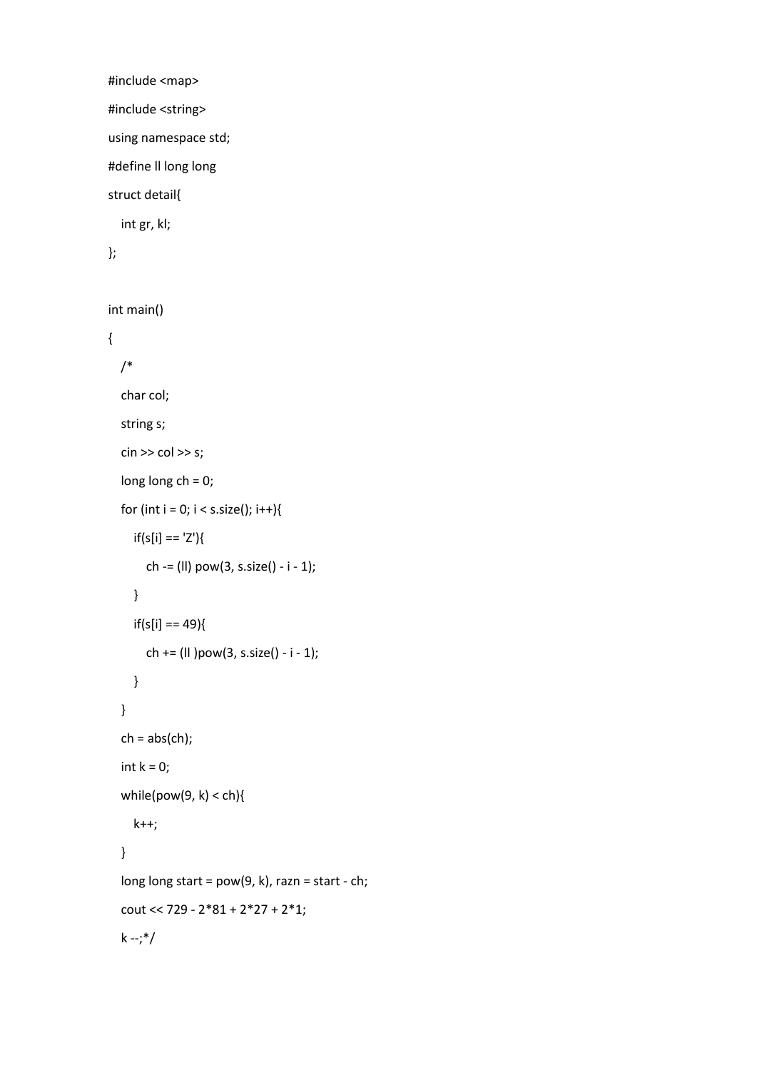#include <map> #include <string> using namespace std; #define ll long long struct detail{ int gr, kl;

```
};
```
int main()

```
{
   /*
   char col;
   string s;
  \sin \gg \cot \gg s;
   long long ch = 0;
  for (int i = 0; i < s.size(); i++){
     if(s[i] == 'Z')\{ ch -= (ll) pow(3, s.size() - i - 1);
      }
     if(s[i] == 49){
        ch += (ll )pow(3, s.size() - i - 1);
     }
   }
  ch = abs(ch);int k = 0;
  while(pow(9, k) < ch){
      k++;
   }
  long long start = pow(9, k), razn = start - ch;
   cout << 729 - 2*81 + 2*27 + 2*1;
  k - ; */
```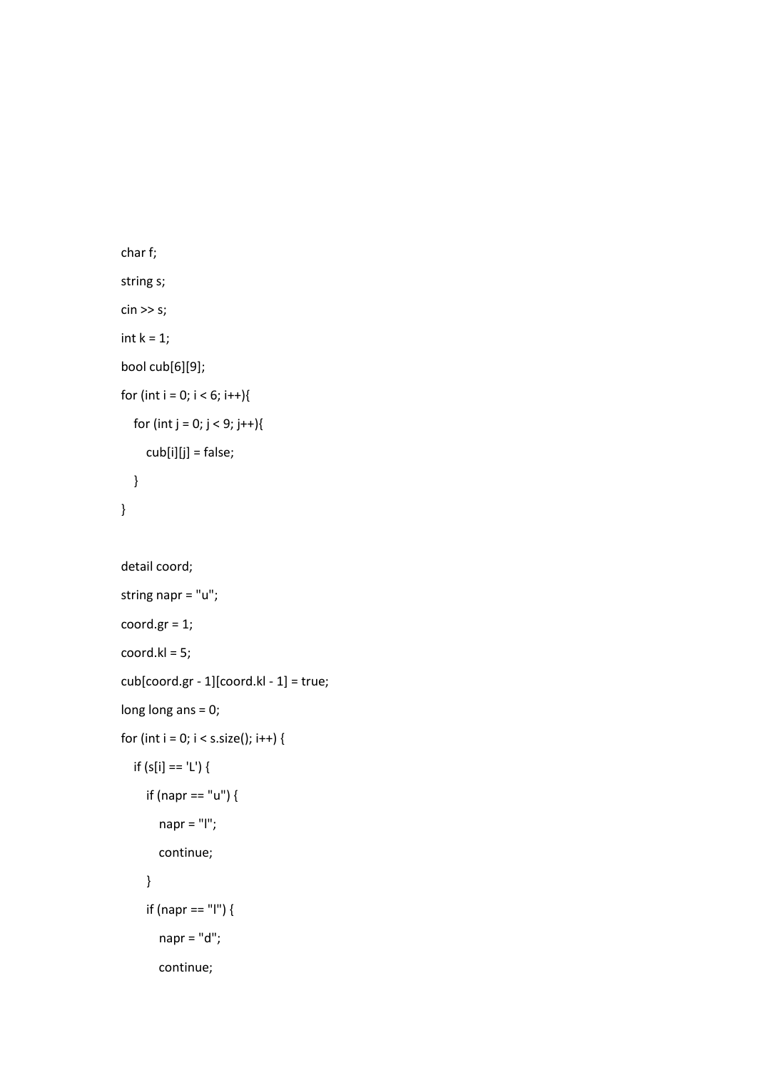```
 char f;
 string s;
\sin \gg s;
int k = 1;
 bool cub[6][9];
for (int i = 0; i < 6; i++){
  for (int j = 0; j < 9; j++){
      cub[i][j] = false;
   }
 }
 detail coord;
 string napr = "u";
 coord.gr = 1;
 coord.kl = 5;
 cub[coord.gr - 1][coord.kl - 1] = true;
 long long ans = 0;
for (int i = 0; i < s.size(); i++) {
   if (s[i] == 'L') {
      if (napr == "u") {
        napr = "l";
        continue;
      }
      if (napr == "l") {
        napr = "d";
```
continue;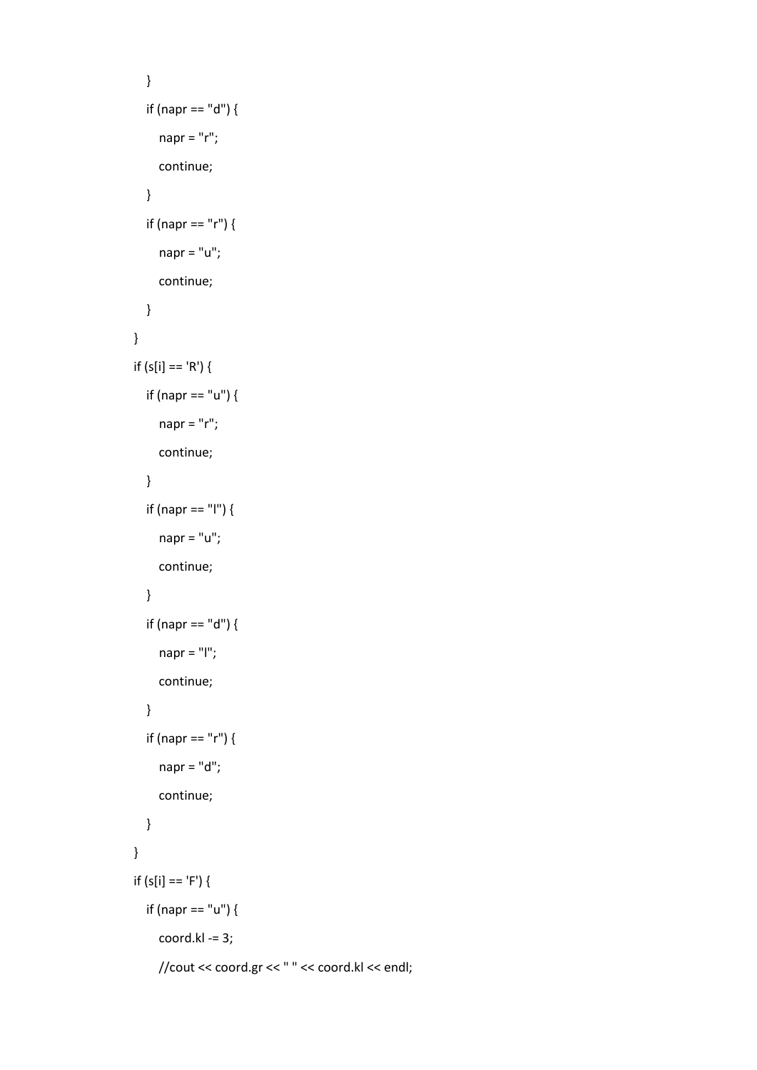```
 }
   if (napr == "d") {
      napr = "r";
      continue;
   }
   if (napr == "r") {
     napr = "u";
      continue;
   }
 }
if (s[i] == 'R') {
   if (napr == "u") {
     napr = "r";
      continue;
   }
   if (napr == "l") {
      napr = "u";
      continue;
   }
   if (napr == "d") {
      napr = "l";
      continue;
   }
   if (napr == "r") {
      napr = "d";
     continue;
   }
 }
if (s[i] == 'F') {
   if (napr == "u") {
      coord.kl -= 3;
     //cout << coord.gr << " " << coord.kl << endl;
```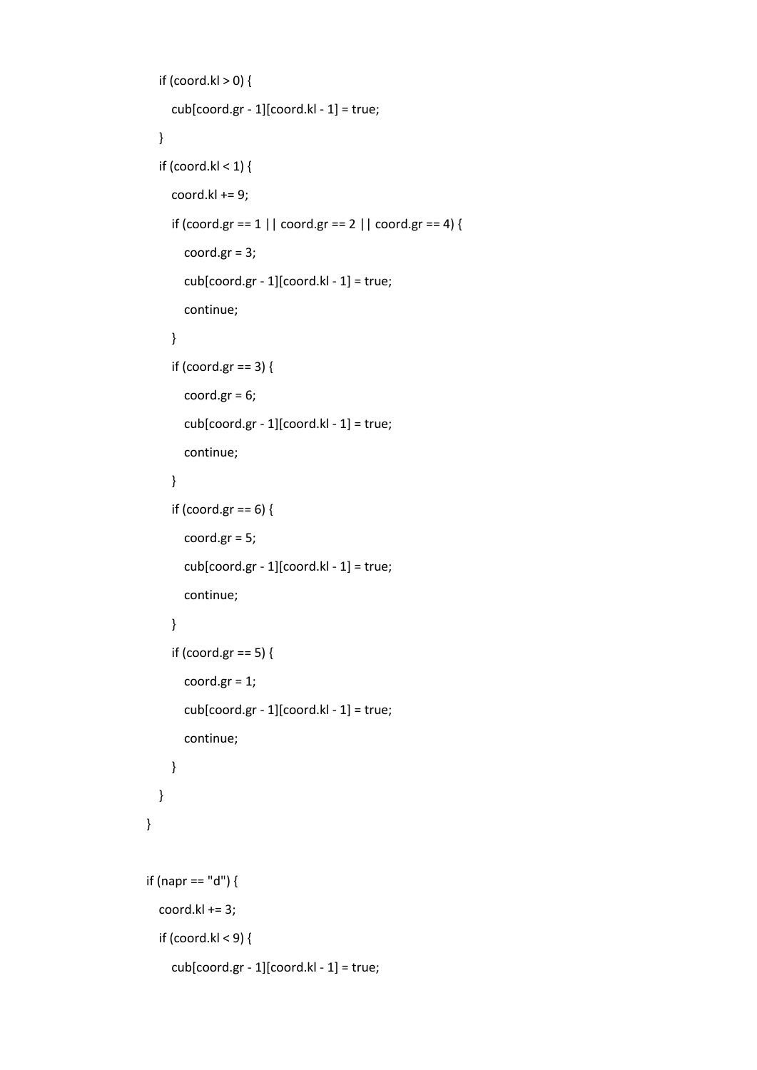```
if (coord.kl > 0) {
      cub[coord.gr - 1][coord.kl - 1] = true;
   }
  if (coord.kl < 1) {
     coord.kl += 9;if (coord.gr == 1 \mid \mid coord.gr == 2 \mid \mid coord.gr == 4) {
        coord.gr = 3;
        cub[coord.gr - 1][coord.kl - 1] = true;
        continue;
      }
      if (coord.gr == 3) {
       coord.gr = 6;
        cub[coord.gr - 1][coord.kl - 1] = true;
        continue;
      }
      if (coord.gr == 6) {
        coord.gr = 5;
        cub[coord.gr - 1][coord.kl - 1] = true;
        continue;
      }
      if (coord.gr == 5) {
        coord.gr = 1;
        cub[coord.gr - 1][coord.kl - 1] = true;
        continue;
     }
   }
 if (napr == "d") {
   coord.kl += 3;
   if (coord.kl < 9) {
      cub[coord.gr - 1][coord.kl - 1] = true;
```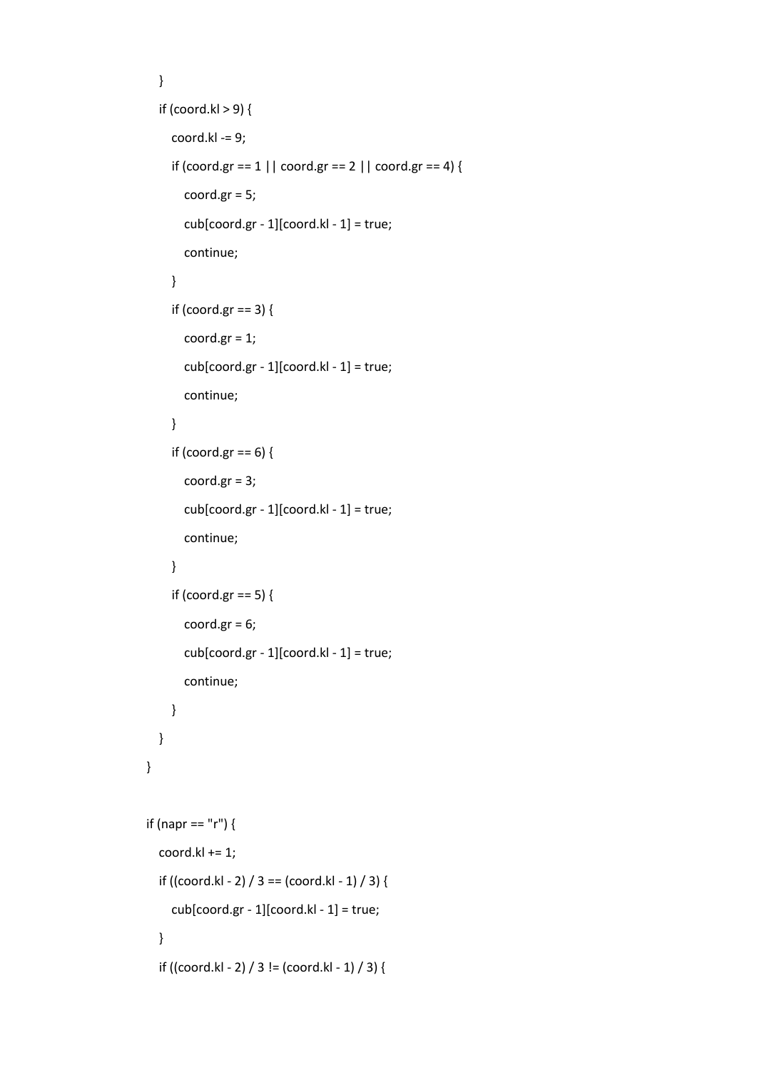```
 }
  if (coord.kl > 9) {
      coord.kl -= 9;
     if (coord.gr == 1 \mid \mid coord.gr == 2 \mid \mid coord.gr == 4) {
         coord.gr = 5;
         cub[coord.gr - 1][coord.kl - 1] = true;
         continue;
      }
      if (coord.gr == 3) {
         coord.gr = 1;
        \text{cub}[\text{coord.gr - 1}][\text{coord.kI - 1}] = \text{true}; continue;
      }
      if (coord.gr == 6) {
         coord.gr = 3;
         cub[coord.gr - 1][coord.kl - 1] = true;
         continue;
      }
      if (coord.gr == 5) {
         coord.gr = 6;
         cub[coord.gr - 1][coord.kl - 1] = true;
         continue;
      }
   }
 if (napr == "r") {
   coord.kl += 1;
  if ((coord.kl - 2) / 3 == (coord.kl - 1) / 3) {
     cub[coord.gr - 1][coord.kl - 1] = true;
   }
  if ((coord.kl - 2) / 3 != (coord.kl - 1) / 3) {
```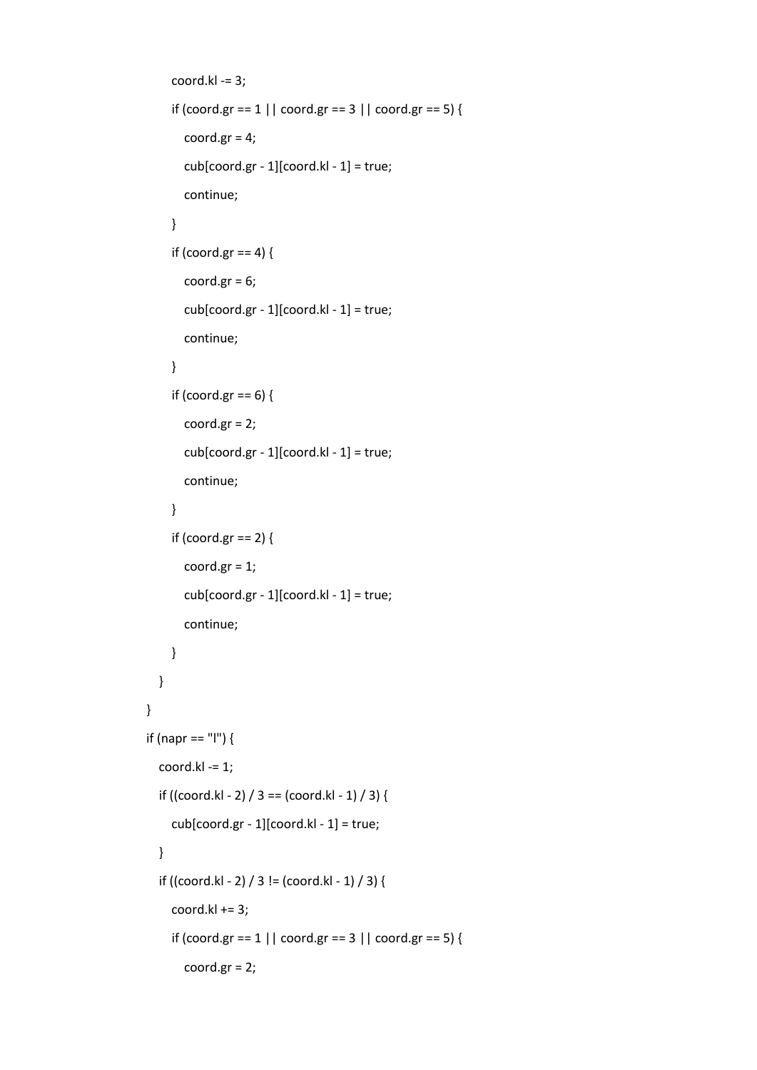```
 coord.kl -= 3;
     if (coord.gr == 1 \mid \mid coord.gr == 3 \mid \mid coord.gr == 5) {
       coord.gr = 4;
        cub[coord.gr - 1][coord.kl - 1] = true;
        continue;
      }
     if (coord.gr == 4) {
       coord.gr = 6;
        cub[coord.gr - 1][coord.kl - 1] = true;
        continue;
      }
     if (coord.gr == 6) {
        coord.gr = 2;
        cub[coord.gr - 1][coord.kl - 1] = true;
        continue;
      }
      if (coord.gr == 2) {
        coord.gr = 1;
        cub[coord.gr - 1][coord.kl - 1] = true;
        continue;
      }
   }
 if (napr == "l") {
   coord.kl -= 1;
  if ((coord.kl - 2) / 3 == (coord.kl - 1) / 3) {
     cub[coord.gr - 1][coord.kl - 1] = true; }
  if ((coord.kl - 2) / 3 != (coord.kl - 1) / 3) {
     coord.kl += 3;if (coord.gr == 1 \mid \mid coord.gr == 3 \mid \mid coord.gr == 5) {
        coord.gr = 2;
```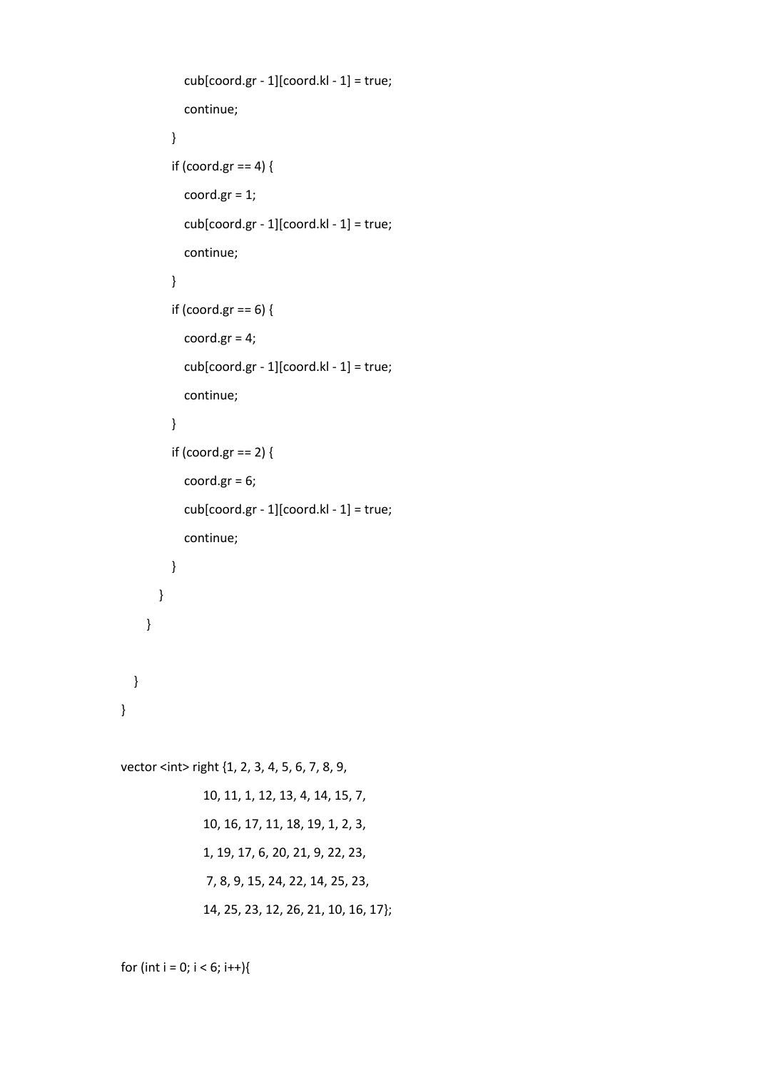```
\text{cub}[\text{coord.gr - 1}][\text{coord.kI - 1}] = \text{true}; continue;
 }
            if (coord.gr == 4) {
               coord.gr = 1;
               cub[coord.gr - 1][coord.kl - 1] = true;
               continue;
             }
             if (coord.gr == 6) {
               coord.gr = 4;
               cub[coord.gr - 1][coord.kl - 1] = true;
               continue;
 }
            if (coord.gr == 2) {
              coord.gr = 6;
               cub[coord.gr - 1][coord.kl - 1] = true;
               continue;
            }
          }
        }
  vector <int> right {1, 2, 3, 4, 5, 6, 7, 8, 9,
```

```
 10, 11, 1, 12, 13, 4, 14, 15, 7,
 10, 16, 17, 11, 18, 19, 1, 2, 3,
 1, 19, 17, 6, 20, 21, 9, 22, 23,
 7, 8, 9, 15, 24, 22, 14, 25, 23,
 14, 25, 23, 12, 26, 21, 10, 16, 17};
```

```
for (int i = 0; i < 6; i++){
```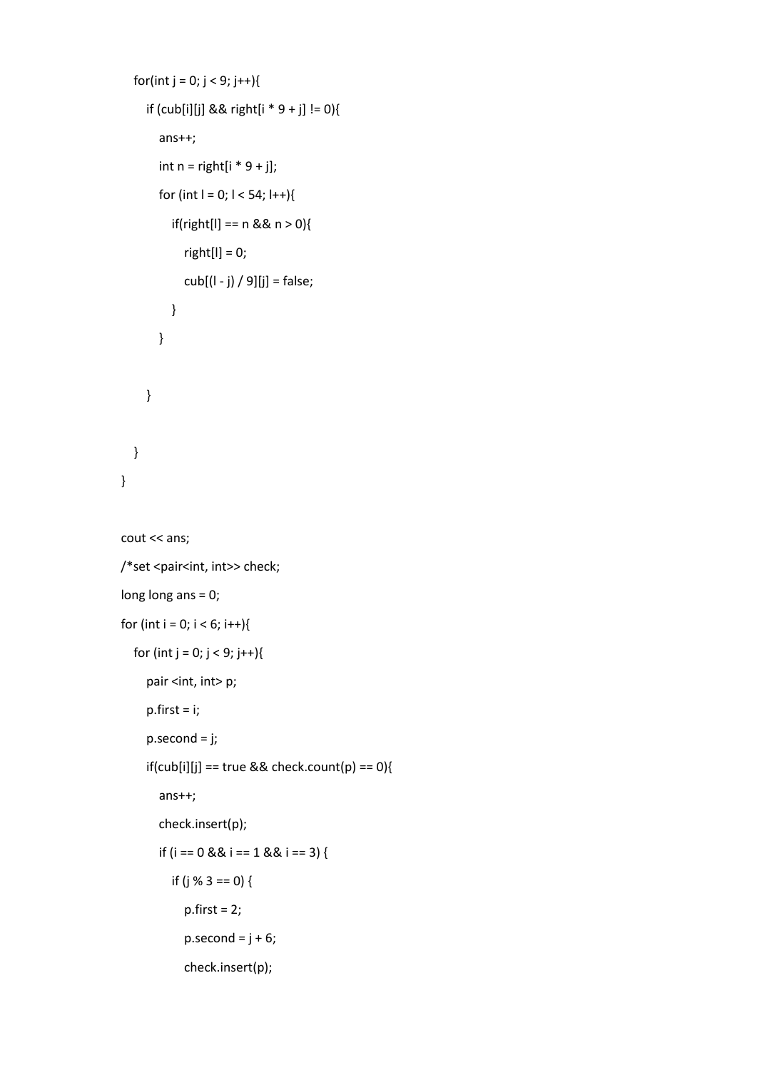```
for(int j = 0; j < 9; j++){
      if (cub[i][j] && right[i * 9 + j] != 0){
        ans++;
       int n = right[i * 9 + j];for (int l = 0; l < 54; l++){
           if(right[l] == n && n > 0){
             right[l] = 0;
             cub[(l - j) / 9][j] = false;
           }
        }
      }
   }
 }
 cout << ans;
/*set <pair<int, int>> check;
 long long ans = 0;
for (int i = 0; i < 6; i++){
  for (int j = 0; j < 9; j++){
     pair <int, int> p;
     p.first = i;
      p.second = j;
      if(cub[i][j] == true && check.count(p) == 0){
        ans++;
        check.insert(p);
        if (i == 0 && i == 1 && i == 3) {
```

```
if (j % 3 == 0) {
```

```
p.first = 2;
```

```
p.\text{second} = j + 6;
```

```
 check.insert(p);
```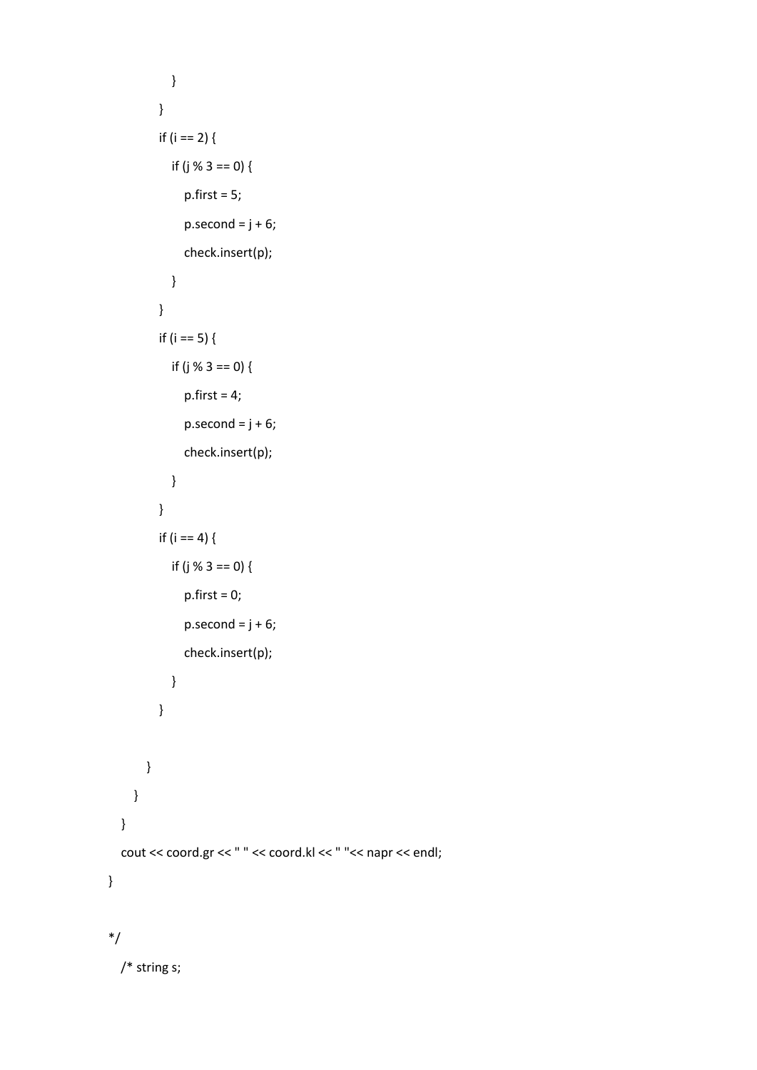```
 }
           }
          if (i == 2) {
             if (j % 3 == 0) {
                p.first = 5;
               p.\text{second} = j + 6; check.insert(p);
              }
           }
           if (i == 5) {
             if (j % 3 == 0) {
                p.first = 4;p{\text .}second = j + 6; check.insert(p);
              }
           }
          if (i == 4) {
             if (j % 3 == 0) {
                 p.first = 0;
                p.\,second = j + 6; check.insert(p);
              }
           }
        }
      }
   }
   cout << coord.gr << " " << coord.kl << " "<< napr << endl;
}
*/
```
/\* string s;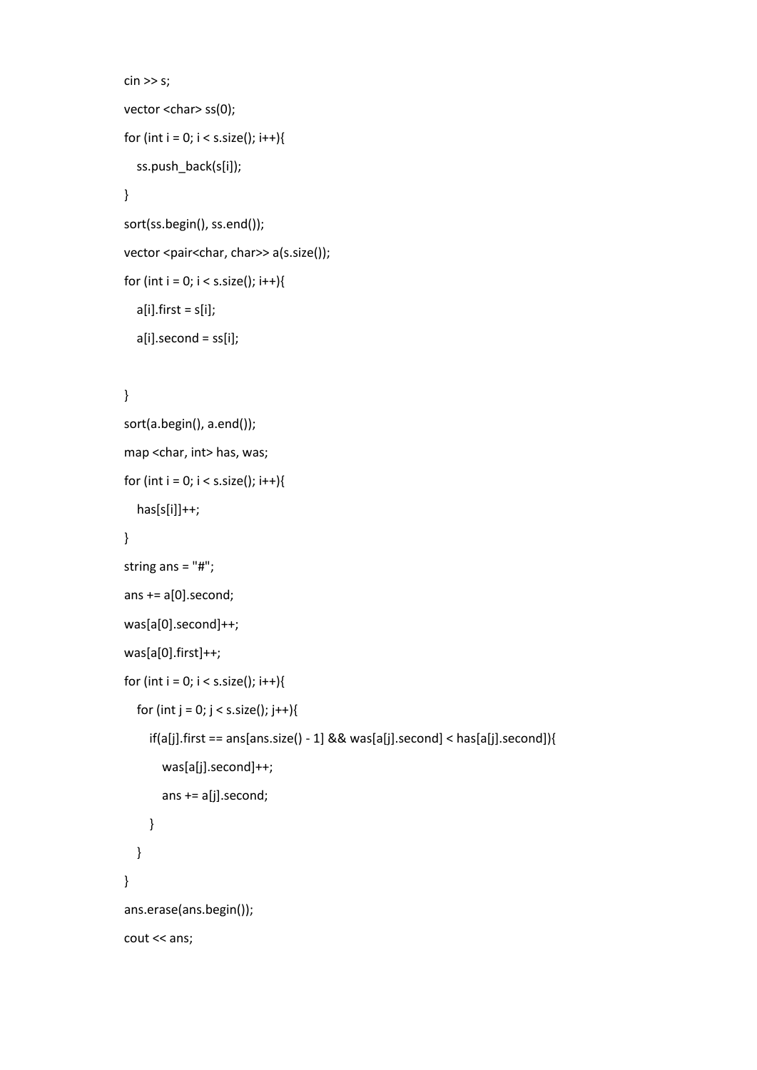```
\sin \gg s;
vector <char> ss(0);
for (int i = 0; i < s.size(); i++){
   ss.push_back(s[i]);
 }
 sort(ss.begin(), ss.end());
vector <pair<char, char>> a(s.size());
for (int i = 0; i < s.size(); i++){
  a[i].first = s[i];
   a[i].second = ss[i];
```

```
 sort(a.begin(), a.end());
 map <char, int> has, was;
for (int i = 0; i < s.size(); i++){
  has[s[i]]++; }
 string ans = "#";
ans += a[0]. second;
 was[a[0].second]++;
 was[a[0].first]++;
for (int i = 0; i < s.size(); i++){
  for (int j = 0; j < s.size(); j++){
      if(a[j].first == ans[ans.size() - 1] && was[a[j].second] < has[a[j].second]){
        was[a[j].second]++;
        ans += a[j].second;
      }
   }
 }
 ans.erase(ans.begin());
 cout << ans;
```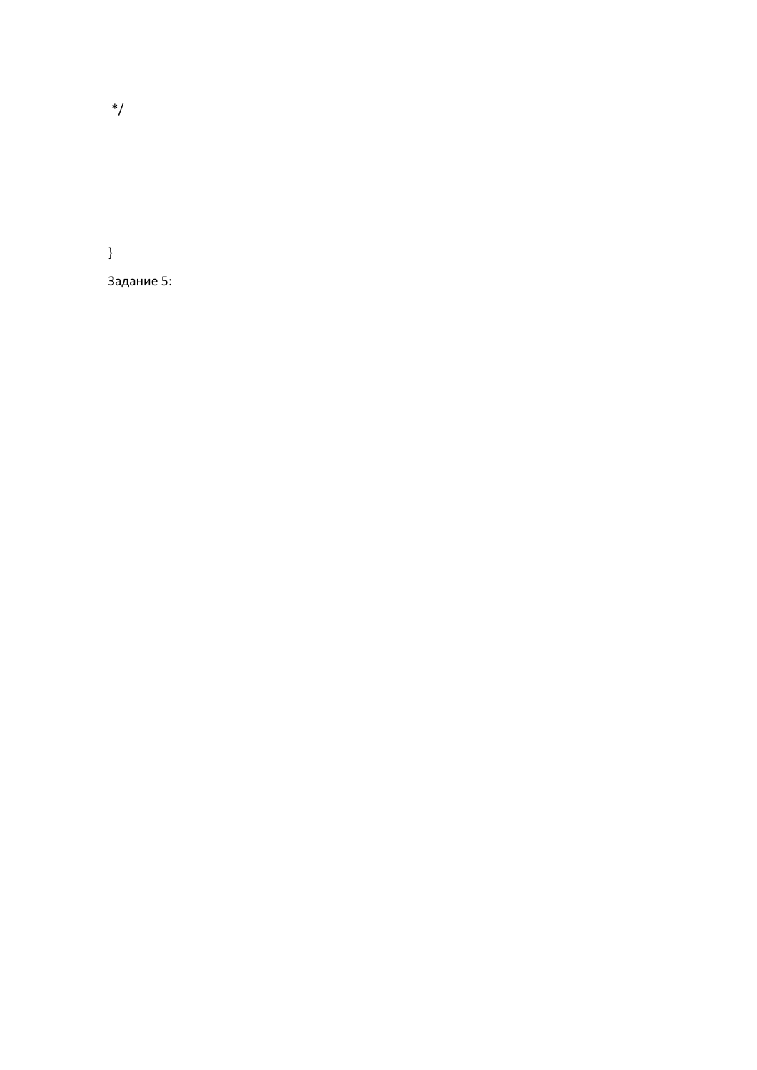\*/

}

Задание 5: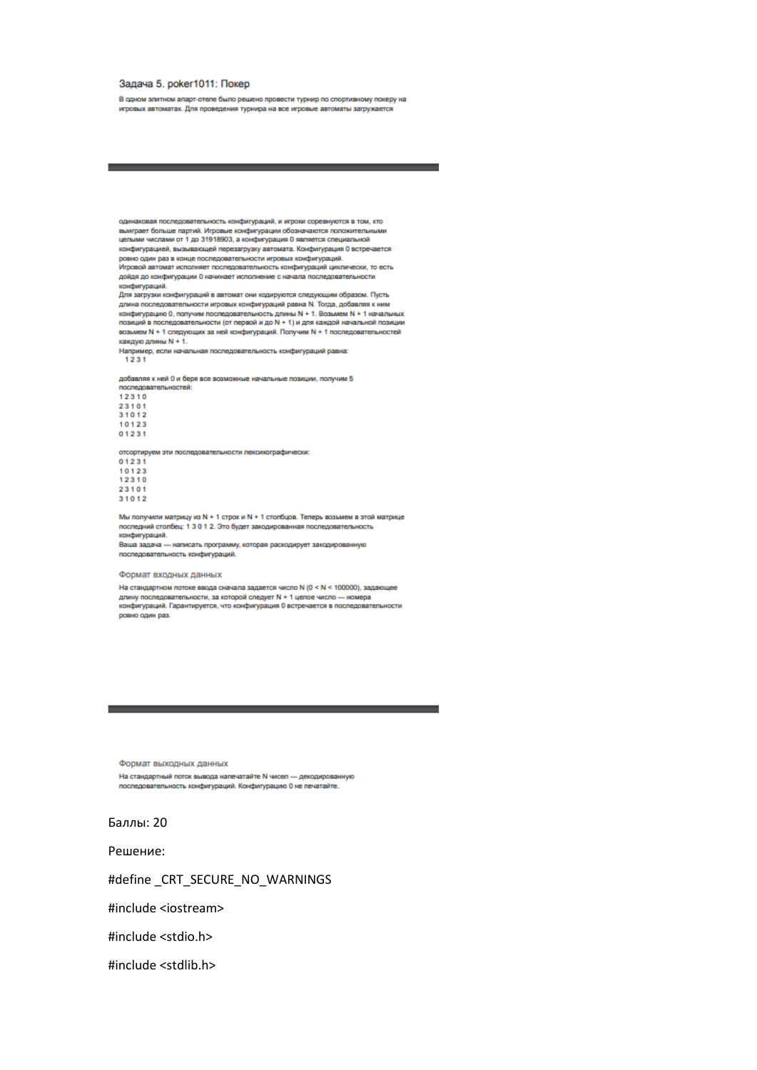### Задача 5. рокег1011: Покер

В одном элитном апарт-отепе было решено провести турнир по спортивному покеру на игровых автоматах. Для проведения турнира на все игровые автоматы загружается

одинаковая последовательность конфигураций, и игроки соревнуются в том, кто выиграет больше партий. Игровые конфигурации обозначаются попохительными<br>целыми числами от 1 до 31918903, а конфигурация 0 является специальной конфигурацией, вызывающей перезагрузку автомата. Конфигурация 0 встречается полнит урацион, вызывающих перевы ружу вытоваты: полезн урация<br>ровно один раз в конце последовательности игровых конфигураций.

Игровой автомат исполняет последовательность конфигураций циклически, то есть дойдя до конфигурации 0 начинает исполнение с начала последовательности конфигураций.

.<br>Для загрузки конфигураций в автомат они кодируются следующим образом. Пусть<br>длина последовательности игровых конфигураций равна N. Тогда, добавляя к ним конфигурацию 0, получим последовательность длины N + 1. Возымем N + 1 начальных<br>позиций в последовательности (от первой и до N + 1) и для каждой начальной позиции возьмем N + 1 спедующих за ней конфигураций. Получим N + 1 последовательностей каждую длины N + 1.

каждую длины N + 1.<br>Например, если начальная последовательность конфигураций равна:<br>- 1 2 3 1

добавляя к ней 0 и беря все возможные начальные позиции, получим 5 последовательностей:

отсортируем эти последовательности лексикографически:

Мы получили матрицу из N + 1 строк и N + 1 столбцов. Теперь возьмем в этой матрице последний столбец: 1 3 0 1 2. Это будет закодированная последовательность конфигураций.

Ваша задача - написать программу, которая раскодирует закодированную последовательность конфигураций.

### Формат входных данных

На стандартном потоке ввода сначала задается число N (0 < N < 100000), задающее<br>длину последовательности, за которой следует N + 1 целое число -- номера конфигураций. Гарантируется, что конфигурация 0 встречается в последовательности ровно один раз.

Формат выходных данных На стандартный поток вывода напечатайте N чисел - декодированную последовательность конфигураций. Конфигурацию 0 не печатайте.

Баллы: 20

Решение:

#define \_CRT\_SECURE\_NO\_WARNINGS

#include <iostream>

#include <stdio.h>

#include <stdlib.h>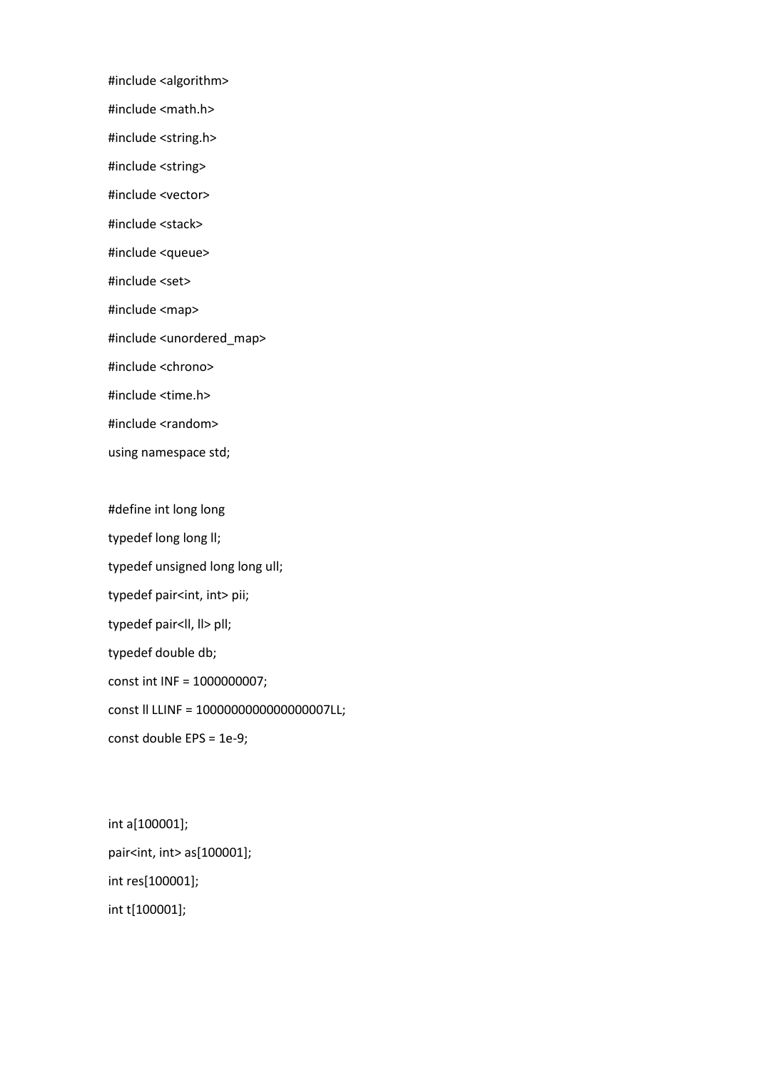#include <algorithm>

#include <math.h>

#include <string.h>

#include <string>

#include <vector>

#include <stack>

#include <queue>

#include <set>

#include <map>

#include <unordered\_map>

#include <chrono>

#include <time.h>

#include <random>

using namespace std;

#define int long long typedef long long II; typedef unsigned long long ull; typedef pair<int, int> pii; typedef pair<ll, ll> pll; typedef double db; const int INF = 1000000007; const ll LLINF = 1000000000000000007LL; const double EPS = 1e-9;

int a[100001]; pair<int, int> as[100001]; int res[100001]; int t[100001];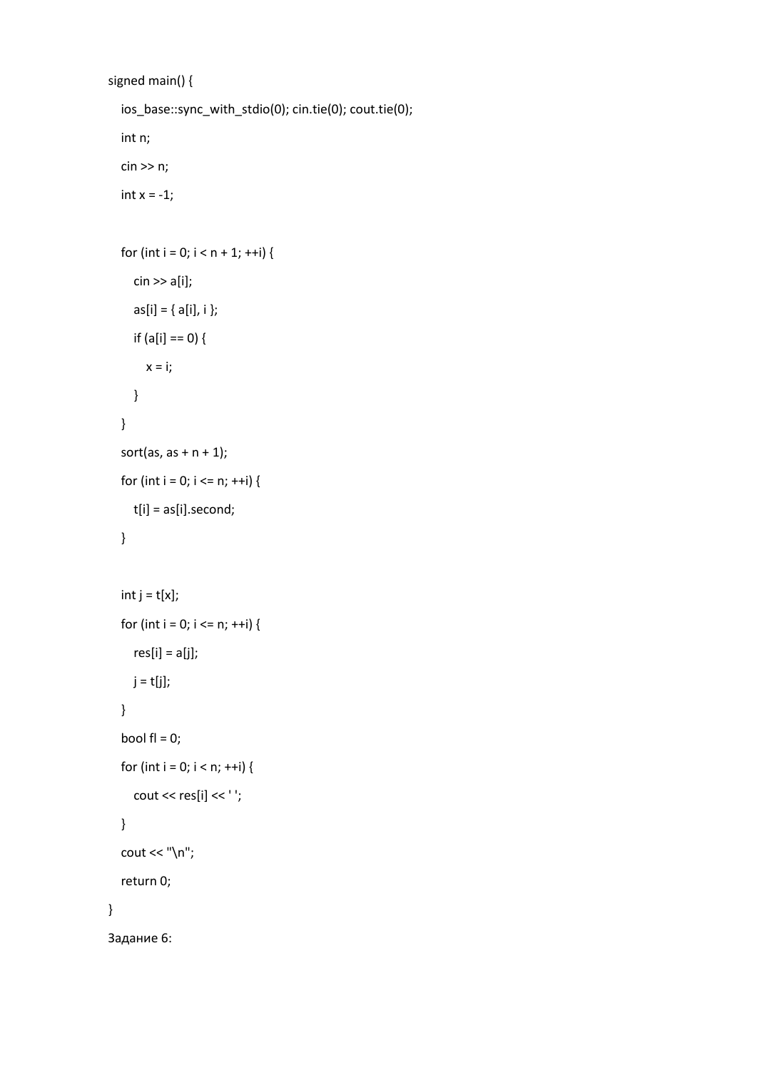```
signed main() {
   ios_base::sync_with_stdio(0); cin.tie(0); cout.tie(0);
   int n;
   cin >> n;
  int x = -1;
  for (int i = 0; i < n + 1; ++i) {
      cin >> a[i];
     as[i] = { a[i], i };if (a[i] == 0) {
       x = i;
      }
    }
  sort(as, as + n + 1);
  for (int i = 0; i <= n; ++i) {
      t[i] = as[i].second;
   }
  int j = t[x];
  for (int i = 0; i <= n; ++i) {
     res[i] = a[j];j = t[j]; }
  bool fl = 0;
  for (int i = 0; i < n; ++i) {
     cout << res[i] << '';
   }
  cout << "\n\overline{\ }";
   return 0;
}
Задание 6:
```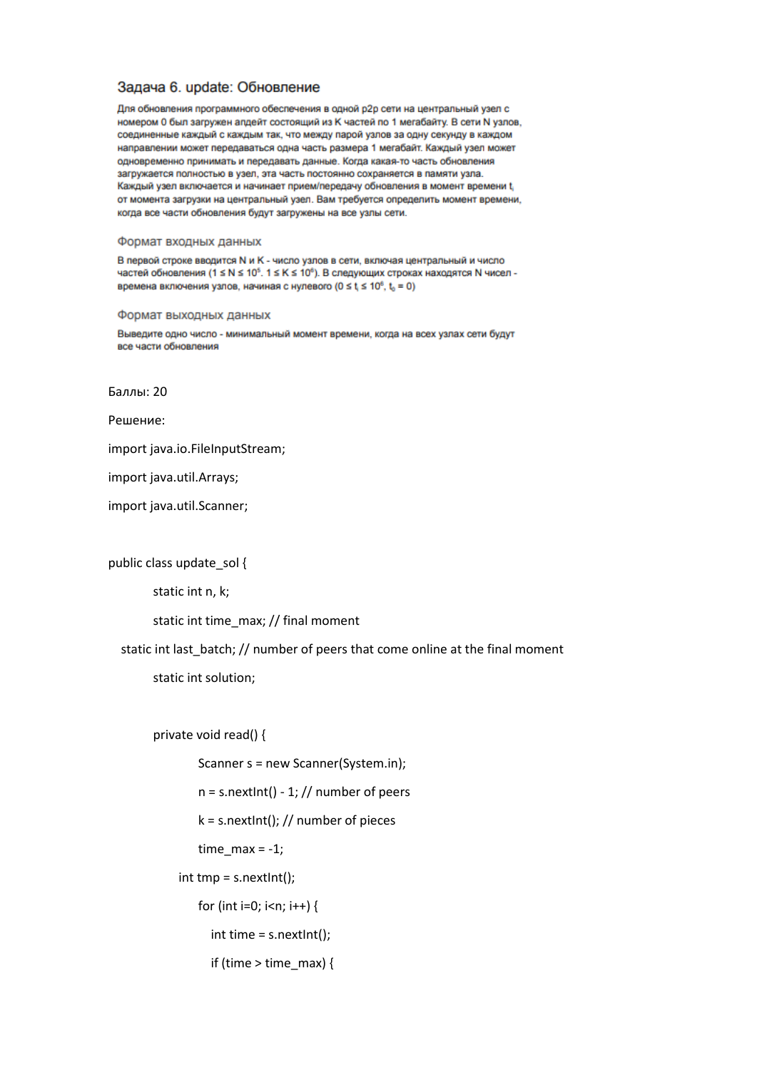### Задача 6. update: Обновление

Для обновления программного обеспечения в одной р2р сети на центральный узел с номером 0 был загружен апдейт состоящий из К частей по 1 мегабайту. В сети N узлов, соединенные каждый с каждым так, что между парой узлов за одну секунду в каждом направлении может передаваться одна часть размера 1 мегабайт. Каждый узел может одновременно принимать и передавать данные. Когда какая-то часть обновления загружается полностью в узел, эта часть постоянно сохраняется в памяти узла. Каждый узел включается и начинает прием/передачу обновления в момент времени t от момента загрузки на центральный узел. Вам требуется определить момент времени, когда все части обновления будут загружены на все узлы сети.

### Формат входных данных

В первой строке вводится N и K - число узлов в сети, включая центральный и число частей обновления (1 ≤ N ≤ 10<sup>5</sup>. 1 ≤ K ≤ 10<sup>6</sup>). В следующих строках находятся N чисел времена включения узлов, начиная с нулевого ( $0 \le t \le 10^6$ ,  $t_0 = 0$ )

### Формат выходных данных

Выведите одно число - минимальный момент времени, когда на всех узлах сети будут все части обновления

Баллы: 20

Решение:

import java.io.FileInputStream;

import java.util.Arrays;

import java.util.Scanner;

public class update sol {

static int n, k;

static int time\_max; // final moment

static int last batch; // number of peers that come online at the final moment

static int solution;

private void read() {

Scanner s = new Scanner(System.in);

 $n = s.nextInt() - 1$ ; // number of peers

 $k = s.nextInt()$ ; // number of pieces

time  $max = -1$ ;

int tmp = s.nextInt();

for (int i=0; i<n; i++) {

int time = s.nextInt();

if (time  $>$  time max) {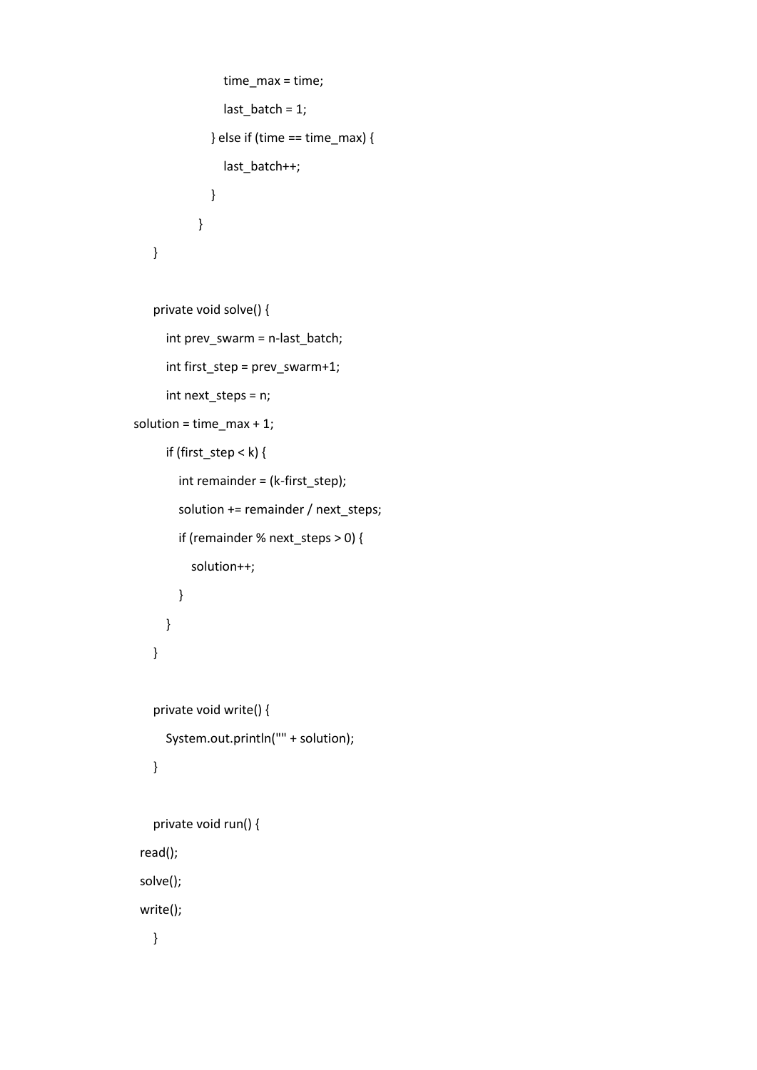```
 time_max = time;
              last_batch = 1;
            } else if (time == time_max) {
              last_batch++;
            }
        }
}
```

```
private void solve() {
```

```
 int prev_swarm = n-last_batch;
       int first_step = prev_swarm+1;
       int next_steps = n;
 solution = time_max + 1;
       if (first_step < k) {
         int remainder = (k-first_step);
         solution += remainder / next_steps;
         if (remainder % next_steps > 0) {
           solution++;
         }
       }
   }
```

```
private void write() {
   System.out.println("" + solution);
}
```

```
private void run() {
 read();
 solve();
 write();
```
}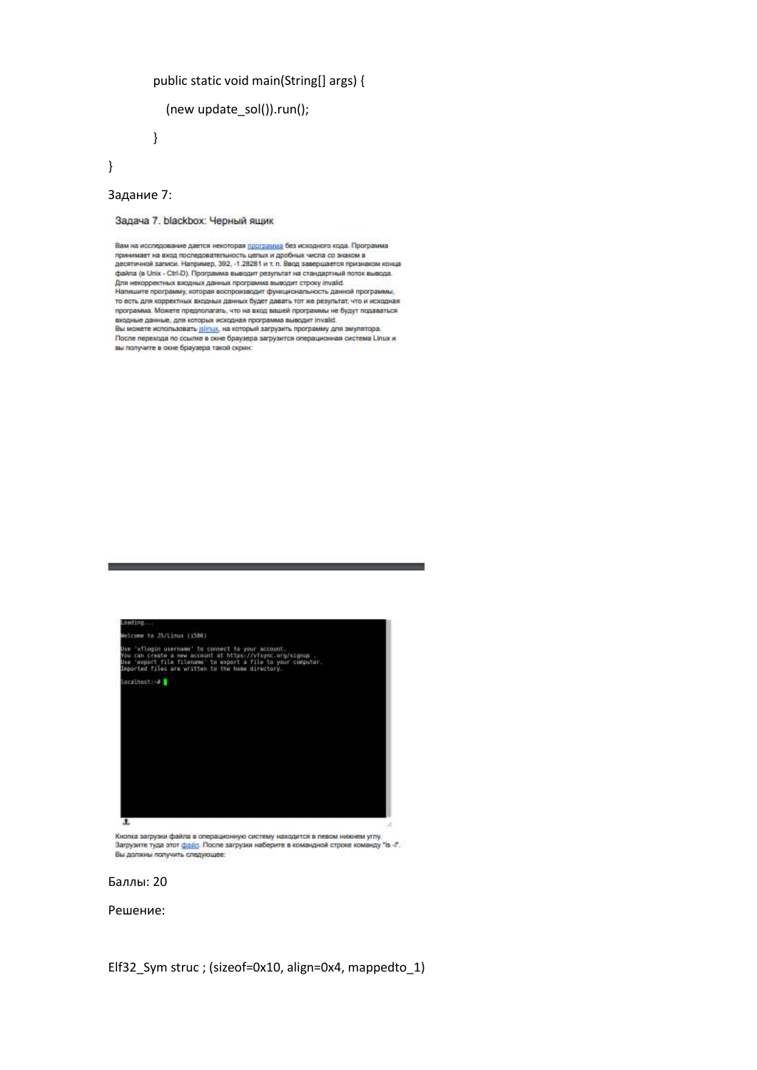# public static void main(String[] args) {

```
 (new update_sol()).run();
```
}

Задание 7:

}

Задача 7. blackbox: Черный ящик

Вам на исследование дается некоторая программа без исходного кода. Программа принимает на вход последовательность целых и дробных числа со знаком в<br>десятичной записи. Например, 392, -1.28281 и т. п. Восд завершается признаком конца дваяла (в Unix - Ctrl-D). Программа выводит результат на стандартный поток вывода.<br>Для некорректных входных данных программа выводит строку invalid.<br>Для некорректных входных данных программа выводит строку invalid. для некорректных аждунах данных программы выводит строну плано.<br>Напишите программу, которая воспроизводит функциональность данной программы,<br>то есть для корректных входных данных будет давать тот же результат, что и исход программа. Можете предполагать, что на вход вашей программы не будут подаваться входные данные, для которых исходная программа выводит invalid.<br>Вы можете использовать jalinus, на который загрузить программу для эмулятора. После перехода по осылке в скне браузера загрузится операционная система Linux и вы получите в окне браузера такой скоин:



Кнопка загрузки файла в операционную систему находится в левом нижнем углу.<br>Загрузите туда этот <u>файл</u>. После загрузки наберите в командной строке команду "Is -I". Вы должны получить следующее:



Решение:

Elf32\_Sym struc ; (sizeof=0x10, align=0x4, mappedto\_1)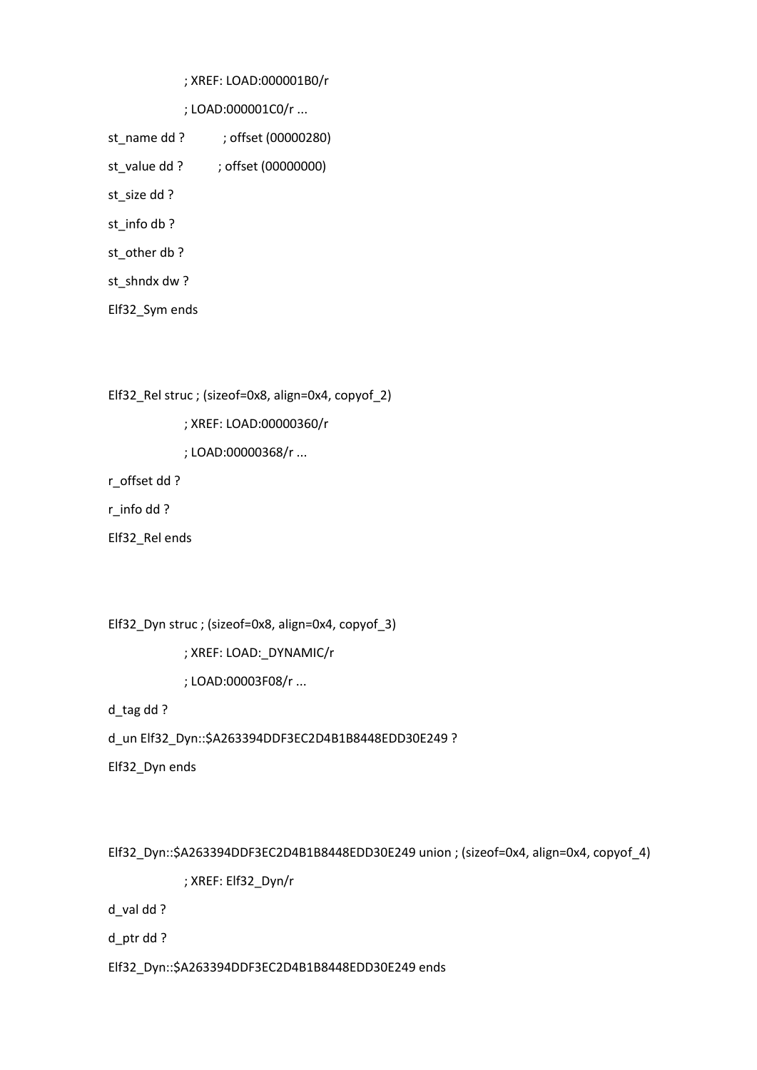; XREF: LOAD:000001B0/r

; LOAD:000001C0/r ...

st\_name dd ? ; offset (00000280) st\_value dd ? ; offset (00000000) st\_size dd ? st\_info db ? st\_other db ? st\_shndx dw ? Elf32\_Sym ends

Elf32\_Rel struc ; (sizeof=0x8, align=0x4, copyof\_2)

; XREF: LOAD:00000360/r

; LOAD:00000368/r ...

r\_offset dd ?

r\_info dd ?

Elf32\_Rel ends

Elf32\_Dyn struc ; (sizeof=0x8, align=0x4, copyof\_3)

; XREF: LOAD:\_DYNAMIC/r

; LOAD:00003F08/r ...

d\_tag dd ?

d\_un Elf32\_Dyn::\$A263394DDF3EC2D4B1B8448EDD30E249 ?

Elf32\_Dyn ends

Elf32\_Dyn::\$A263394DDF3EC2D4B1B8448EDD30E249 union ; (sizeof=0x4, align=0x4, copyof\_4)

; XREF: Elf32\_Dyn/r

d\_val dd ?

d\_ptr dd ?

Elf32\_Dyn::\$A263394DDF3EC2D4B1B8448EDD30E249 ends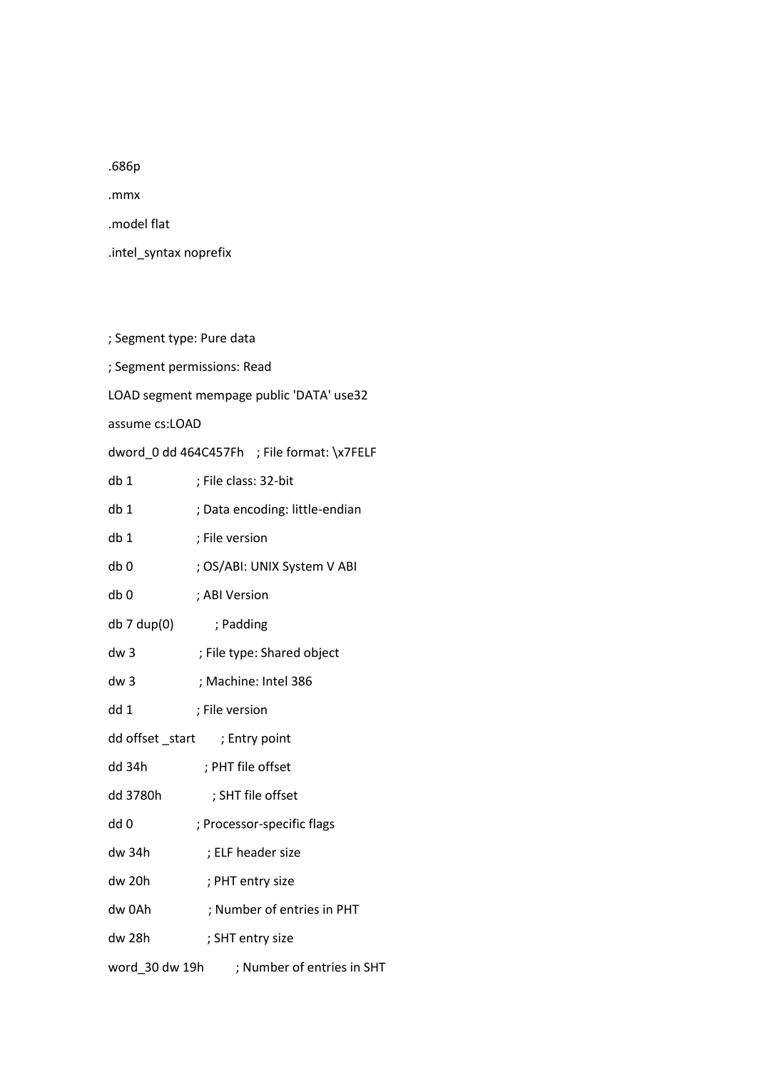.686p

.mmx

.model flat

.intel\_syntax noprefix

; Segment type: Pure data ; Segment permissions: Read LOAD segment mempage public 'DATA' use32 assume cs:LOAD dword\_0 dd 464C457Fh ; File format: \x7FELF db 1 ; File class: 32-bit db 1 ; Data encoding: little-endian db 1 ; File version db 0 ; OS/ABI: UNIX System V ABI db 0 ; ABI Version db 7 dup(0) ; Padding dw 3 ; File type: Shared object dw 3 ; Machine: Intel 386 dd 1 ; File version dd offset \_start ; Entry point dd 34h ; PHT file offset dd 3780h ; SHT file offset dd 0 ; Processor-specific flags dw 34h ; ELF header size dw 20h ; PHT entry size dw 0Ah ; Number of entries in PHT dw 28h ; SHT entry size word\_30 dw 19h ; Number of entries in SHT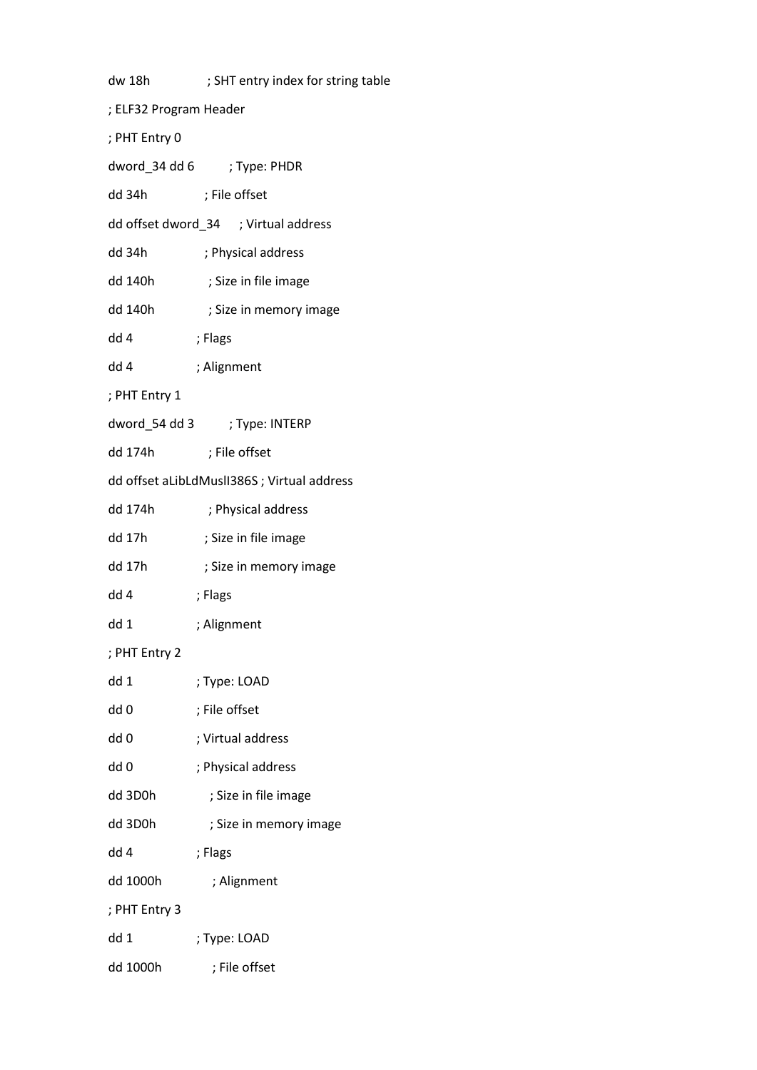| dw 18h                                     | ; SHT entry index for string table   |  |
|--------------------------------------------|--------------------------------------|--|
| ; ELF32 Program Header                     |                                      |  |
| ; PHT Entry 0                              |                                      |  |
|                                            | dword_34 dd 6 ; Type: PHDR           |  |
| dd 34h                                     | ; File offset                        |  |
|                                            | dd offset dword_34 ; Virtual address |  |
| dd 34h                                     | ; Physical address                   |  |
| dd 140h                                    | ; Size in file image                 |  |
| dd 140h                                    | ; Size in memory image               |  |
| dd 4                                       | ; Flags                              |  |
| dd 4                                       | ; Alignment                          |  |
| ; PHT Entry 1                              |                                      |  |
|                                            |                                      |  |
| dd 174h                                    | ; File offset                        |  |
| dd offset aLibLdMuslI386S; Virtual address |                                      |  |
| dd 174h                                    | ; Physical address                   |  |
| dd 17h                                     | ; Size in file image                 |  |
| dd 17h                                     | ; Size in memory image               |  |
| dd 4                                       | ; Flags                              |  |
| dd 1                                       | ; Alignment                          |  |
| ; PHT Entry 2                              |                                      |  |
| dd 1                                       | ; Type: LOAD                         |  |
| dd 0                                       | ; File offset                        |  |
| dd 0                                       | ; Virtual address                    |  |
| dd 0                                       | ; Physical address                   |  |
| dd 3D0h                                    | ; Size in file image                 |  |
| dd 3D0h                                    | ; Size in memory image               |  |
| dd 4                                       | ; Flags                              |  |
| dd 1000h                                   | ; Alignment                          |  |
| ; PHT Entry 3                              |                                      |  |
| dd 1                                       | ; Type: LOAD                         |  |
| dd 1000h                                   | ; File offset                        |  |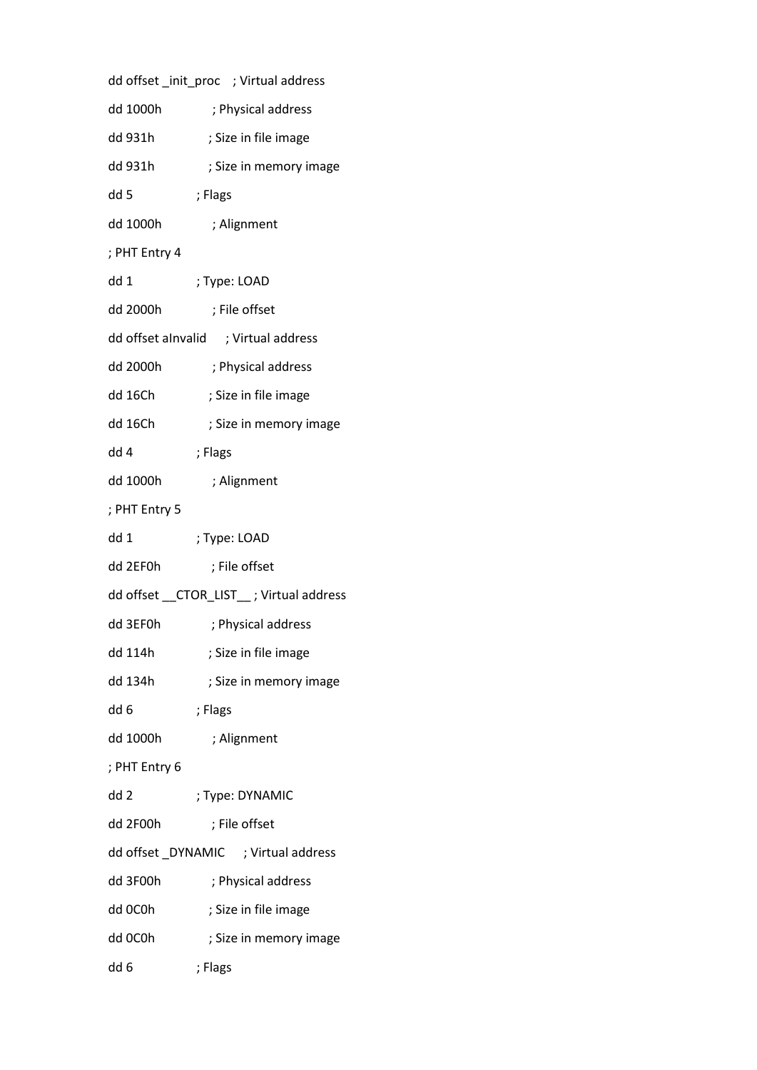|               | dd offset _init_proc ; Virtual address   |
|---------------|------------------------------------------|
| dd 1000h      | ; Physical address                       |
| dd 931h       | ; Size in file image                     |
| dd 931h       | ; Size in memory image                   |
| dd 5          | ; Flags                                  |
| dd 1000h      | ; Alignment                              |
| ; PHT Entry 4 |                                          |
| dd 1          | ; Type: LOAD                             |
| dd 2000h      | ; File offset                            |
|               | dd offset alnvalid ; Virtual address     |
| dd 2000h      | ; Physical address                       |
| dd 16Ch       | ; Size in file image                     |
| dd 16Ch       | ; Size in memory image                   |
| dd 4          | ; Flags                                  |
| dd 1000h      | ; Alignment                              |
| ; PHT Entry 5 |                                          |
| dd 1          | ; Type: LOAD                             |
| dd 2EF0h      | ; File offset                            |
|               | dd offset __CTOR_LIST__; Virtual address |
| dd 3EF0h      | ; Physical address                       |
| dd 114h       | ; Size in file image                     |
| dd 134h       | ; Size in memory image                   |
| dd 6          | ; Flags                                  |
| dd 1000h      | ; Alignment                              |
| ; PHT Entry 6 |                                          |
| dd 2          | ; Type: DYNAMIC                          |
|               |                                          |
| dd 2F00h      | ; File offset                            |
|               | dd offset _DYNAMIC ; Virtual address     |
| dd 3F00h      | ; Physical address                       |
| dd OCOh       | ; Size in file image                     |
| dd OCOh       | ; Size in memory image                   |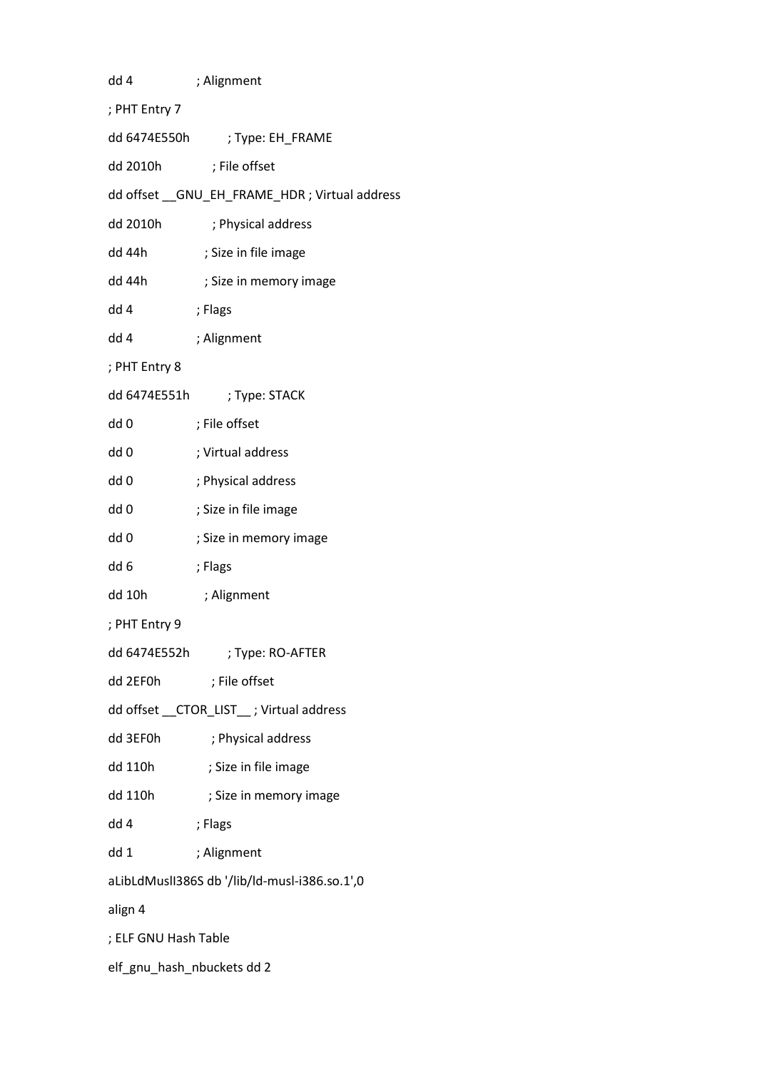| dd 4                                          | ; Alignment                                    |  |
|-----------------------------------------------|------------------------------------------------|--|
| ; PHT Entry 7                                 |                                                |  |
|                                               | dd 6474E550h ; Type: EH_FRAME                  |  |
| dd 2010h ; File offset                        |                                                |  |
|                                               | dd offset __ GNU_EH_FRAME_HDR; Virtual address |  |
| dd 2010h                                      | ; Physical address                             |  |
| dd 44h                                        | ; Size in file image                           |  |
| dd 44h                                        | ; Size in memory image                         |  |
| dd 4                                          | ; Flags                                        |  |
| dd 4                                          | ; Alignment                                    |  |
| ; PHT Entry 8                                 |                                                |  |
| dd 6474E551h                                  | ; Type: STACK                                  |  |
| dd 0                                          | ; File offset                                  |  |
| dd 0                                          | ; Virtual address                              |  |
| dd 0                                          | ; Physical address                             |  |
| dd 0                                          | ; Size in file image                           |  |
| dd 0                                          | ; Size in memory image                         |  |
| dd 6                                          | ; Flags                                        |  |
| dd 10h                                        | ; Alignment                                    |  |
| ; PHT Entry 9                                 |                                                |  |
| dd 6474E552h                                  | ; Type: RO-AFTER                               |  |
| dd 2EF0h                                      | ; File offset                                  |  |
|                                               | dd offset __ CTOR_LIST__; Virtual address      |  |
| dd 3EF0h                                      | ; Physical address                             |  |
| dd 110h                                       | ; Size in file image                           |  |
| dd 110h                                       | ; Size in memory image                         |  |
| dd 4                                          | ; Flags                                        |  |
| dd 1                                          | ; Alignment                                    |  |
| aLibLdMuslI386S db '/lib/ld-musl-i386.so.1',0 |                                                |  |
| align 4                                       |                                                |  |
| ; ELF GNU Hash Table                          |                                                |  |
| elf_gnu_hash_nbuckets dd 2                    |                                                |  |
|                                               |                                                |  |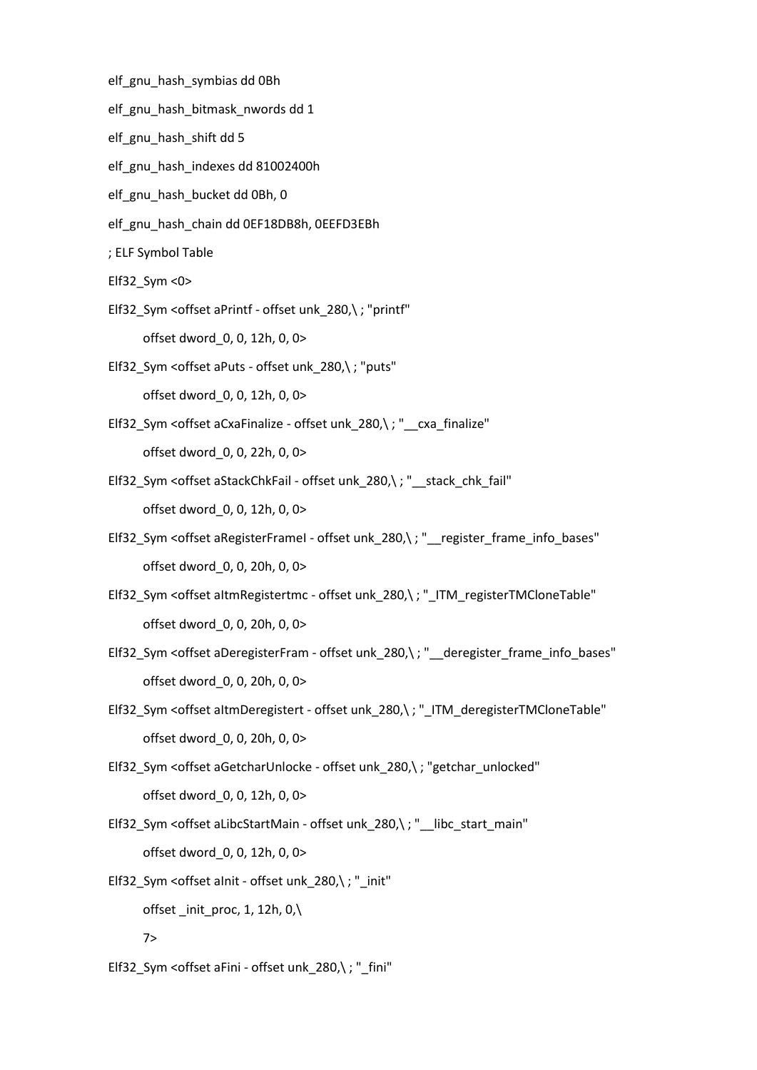- elf\_gnu\_hash\_symbias dd 0Bh
- elf\_gnu\_hash\_bitmask\_nwords dd 1
- elf\_gnu\_hash\_shift dd 5
- elf\_gnu\_hash\_indexes dd 81002400h
- elf\_gnu\_hash\_bucket dd 0Bh, 0
- elf\_gnu\_hash\_chain dd 0EF18DB8h, 0EEFD3EBh
- ; ELF Symbol Table
- Elf32\_Sym <0>
- Elf32\_Sym <offset aPrintf offset unk\_280,\ ; "printf" offset dword\_0, 0, 12h, 0, 0>
- Elf32\_Sym <offset aPuts offset unk\_280,\ ; "puts" offset dword\_0, 0, 12h, 0, 0>
- Elf32\_Sym <offset aCxaFinalize offset unk\_280,\; "\_cxa\_finalize" offset dword\_0, 0, 22h, 0, 0>
- Elf32\_Sym <offset aStackChkFail offset unk\_280,\; "\_\_stack\_chk\_fail" offset dword\_0, 0, 12h, 0, 0>
- Elf32\_Sym <offset aRegisterFrameI offset unk\_280,\; "\_\_register\_frame\_info\_bases" offset dword\_0, 0, 20h, 0, 0>
- Elf32\_Sym <offset aItmRegistertmc offset unk\_280,\; "\_ITM\_registerTMCloneTable" offset dword\_0, 0, 20h, 0, 0>
- Elf32\_Sym <offset aDeregisterFram offset unk\_280,\ ; "\_\_deregister\_frame\_info\_bases" offset dword\_0, 0, 20h, 0, 0>
- Elf32\_Sym <offset altmDeregistert offset unk\_280,\; "\_ITM\_deregisterTMCloneTable" offset dword\_0, 0, 20h, 0, 0>
- Elf32\_Sym <offset aGetcharUnlocke offset unk\_280,\; "getchar\_unlocked" offset dword\_0, 0, 12h, 0, 0>
- Elf32\_Sym <offset aLibcStartMain offset unk\_280,\ ; "\_\_libc\_start\_main" offset dword\_0, 0, 12h, 0, 0>
- Elf32\_Sym <offset aInit offset unk\_280,\ ; "\_init" offset \_init\_proc, 1, 12h, 0,\ 7>
- Elf32\_Sym <offset aFini offset unk\_280,\ ; "\_fini"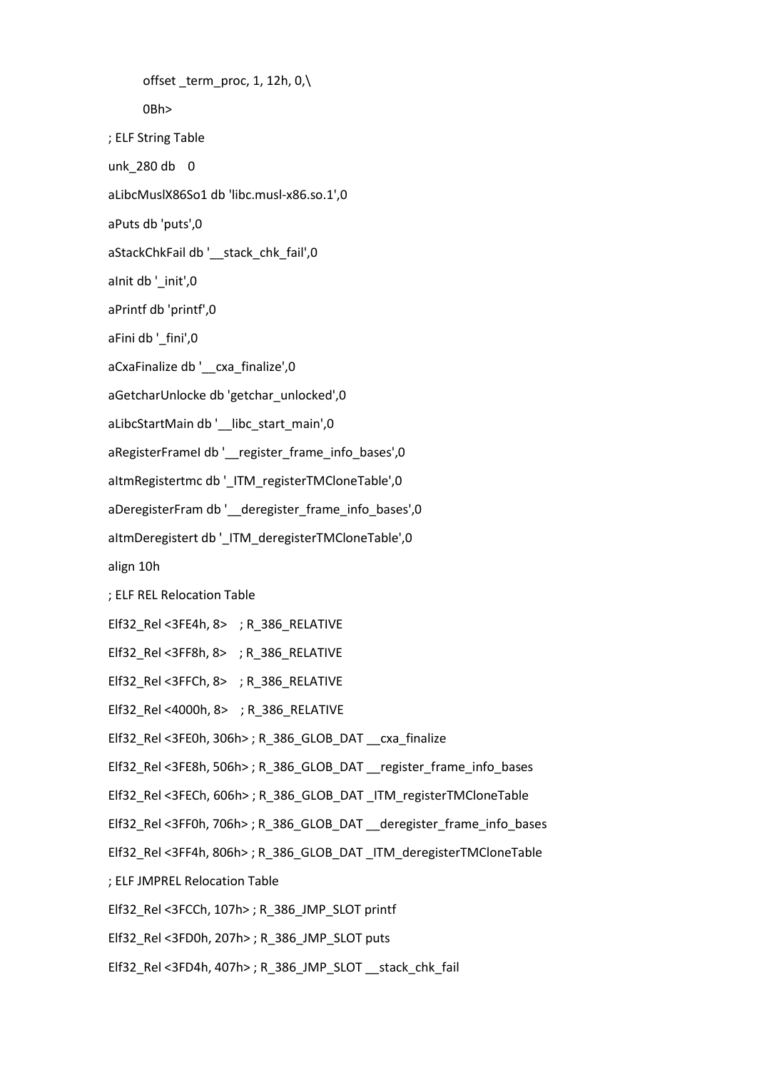offset term proc, 1, 12h, 0, $\langle$  0Bh> ; ELF String Table unk\_280 db 0 aLibcMuslX86So1 db 'libc.musl-x86.so.1',0 aPuts db 'puts',0 aStackChkFail db '\_\_stack\_chk\_fail',0 aInit db '\_init',0 aPrintf db 'printf',0 aFini db '\_fini',0 aCxaFinalize db '\_\_cxa\_finalize',0 aGetcharUnlocke db 'getchar\_unlocked',0 aLibcStartMain db '\_\_libc\_start\_main',0 aRegisterFrameI db '\_\_ register\_frame\_info\_bases',0 aItmRegistertmc db '\_ITM\_registerTMCloneTable',0 aDeregisterFram db '\_\_deregister\_frame\_info\_bases',0 aItmDeregistert db '\_ITM\_deregisterTMCloneTable',0 align 10h ; ELF REL Relocation Table Elf32\_Rel <3FE4h, 8> ; R\_386\_RELATIVE Elf32\_Rel <3FF8h, 8> ; R\_386\_RELATIVE Elf32\_Rel <3FFCh, 8> ; R\_386\_RELATIVE Elf32\_Rel <4000h, 8> ; R\_386\_RELATIVE Elf32\_Rel <3FE0h, 306h> ; R\_386\_GLOB\_DAT \_\_cxa\_finalize Elf32\_Rel <3FE8h, 506h> ; R\_386\_GLOB\_DAT \_\_register\_frame\_info\_bases Elf32\_Rel <3FECh, 606h> ; R\_386\_GLOB\_DAT \_ITM\_registerTMCloneTable Elf32\_Rel <3FF0h, 706h> ; R\_386\_GLOB\_DAT \_\_deregister\_frame\_info\_bases Elf32\_Rel <3FF4h, 806h> ; R\_386\_GLOB\_DAT \_ITM\_deregisterTMCloneTable ; ELF JMPREL Relocation Table Elf32\_Rel <3FCCh, 107h> ; R\_386\_JMP\_SLOT printf Elf32\_Rel <3FD0h, 207h> ; R\_386\_JMP\_SLOT puts Elf32\_Rel <3FD4h, 407h> ; R\_386\_JMP\_SLOT \_\_stack\_chk\_fail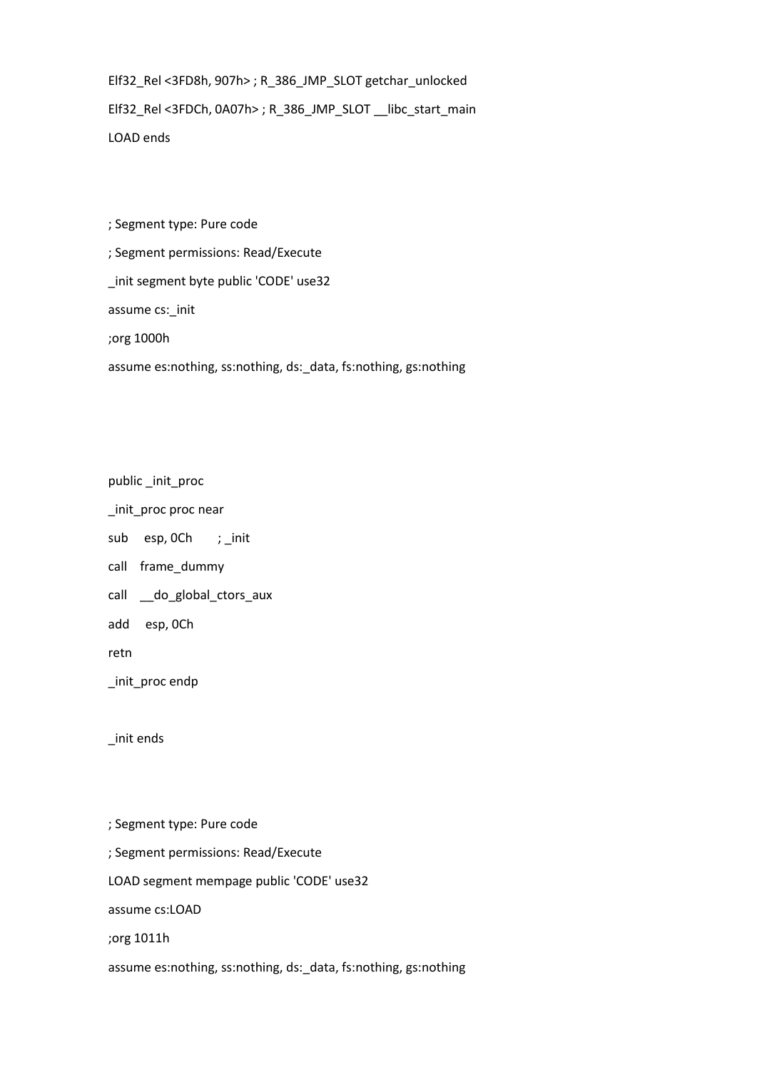Elf32\_Rel <3FD8h, 907h> ; R\_386\_JMP\_SLOT getchar\_unlocked Elf32\_Rel <3FDCh, 0A07h> ; R\_386\_JMP\_SLOT \_\_libc\_start\_main LOAD ends

; Segment type: Pure code

; Segment permissions: Read/Execute

\_init segment byte public 'CODE' use32

assume cs:\_init

;org 1000h

assume es:nothing, ss:nothing, ds:\_data, fs:nothing, gs:nothing

public \_init\_proc

\_init\_proc proc near

sub esp, OCh ; \_init

call frame\_dummy

call \_\_do\_global\_ctors\_aux

add esp, 0Ch

retn

\_init\_proc endp

\_init ends

; Segment type: Pure code ; Segment permissions: Read/Execute LOAD segment mempage public 'CODE' use32 assume cs:LOAD

;org 1011h

assume es:nothing, ss:nothing, ds:\_data, fs:nothing, gs:nothing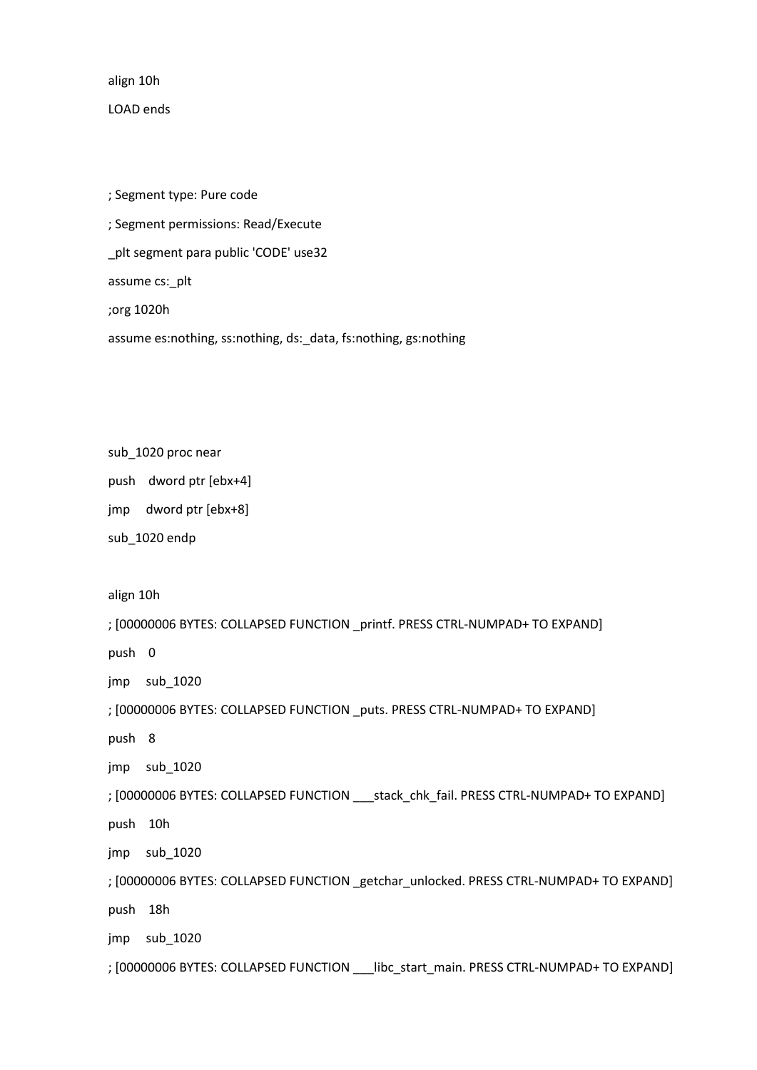align 10h

LOAD ends

; Segment type: Pure code ; Segment permissions: Read/Execute \_plt segment para public 'CODE' use32 assume cs:\_plt ;org 1020h assume es:nothing, ss:nothing, ds:\_data, fs:nothing, gs:nothing

sub\_1020 proc near

push dword ptr [ebx+4]

jmp dword ptr [ebx+8]

sub\_1020 endp

align 10h

; [00000006 BYTES: COLLAPSED FUNCTION \_printf. PRESS CTRL-NUMPAD+ TO EXPAND]

push 0

jmp sub\_1020

; [00000006 BYTES: COLLAPSED FUNCTION \_puts. PRESS CTRL-NUMPAD+ TO EXPAND]

push 8

jmp sub\_1020

; [00000006 BYTES: COLLAPSED FUNCTION \_\_\_stack\_chk\_fail. PRESS CTRL-NUMPAD+ TO EXPAND]

push 10h

jmp sub\_1020

; [00000006 BYTES: COLLAPSED FUNCTION \_getchar\_unlocked. PRESS CTRL-NUMPAD+ TO EXPAND] push 18h

jmp sub\_1020

; [00000006 BYTES: COLLAPSED FUNCTION \_\_\_libc\_start\_main. PRESS CTRL-NUMPAD+ TO EXPAND]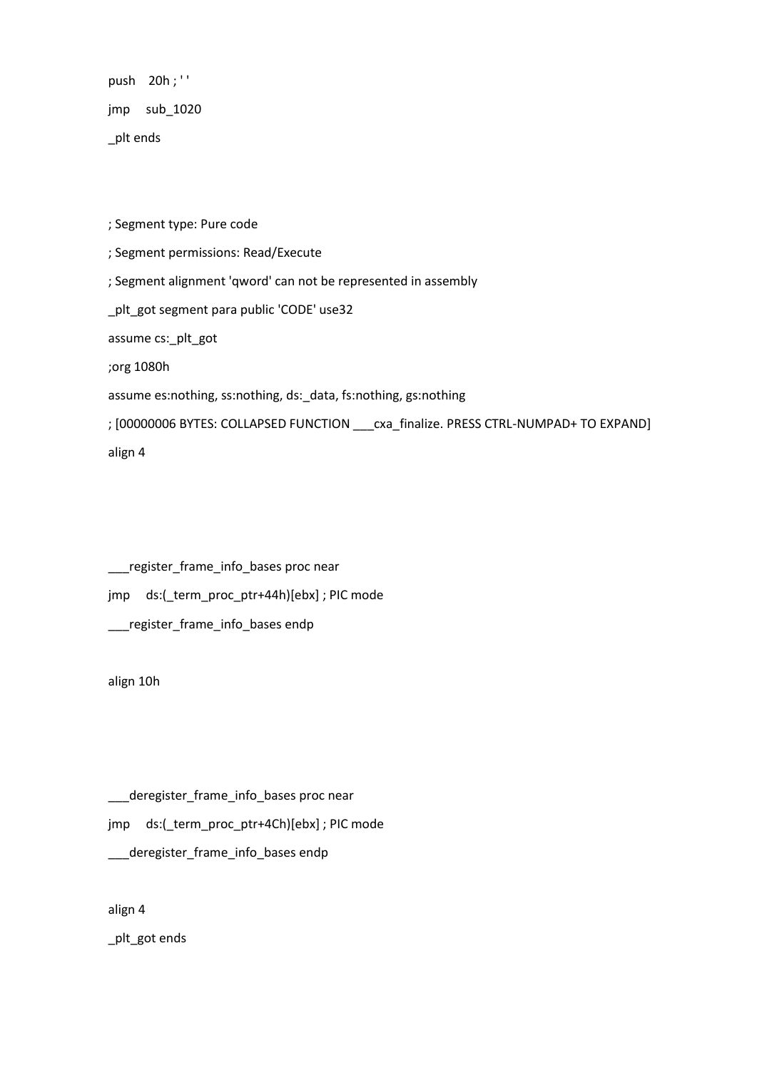push 20h;" jmp sub\_1020 \_plt ends

; Segment type: Pure code

; Segment permissions: Read/Execute

; Segment alignment 'qword' can not be represented in assembly

\_plt\_got segment para public 'CODE' use32

assume cs:\_plt\_got

;org 1080h

assume es:nothing, ss:nothing, ds:\_data, fs:nothing, gs:nothing

; [00000006 BYTES: COLLAPSED FUNCTION \_\_\_cxa\_finalize. PRESS CTRL-NUMPAD+ TO EXPAND] align 4

\_\_\_register\_frame\_info\_bases proc near jmp ds:(\_term\_proc\_ptr+44h)[ebx] ; PIC mode \_\_\_register\_frame\_info\_bases endp

align 10h

\_\_\_deregister\_frame\_info\_bases proc near jmp ds:(\_term\_proc\_ptr+4Ch)[ebx] ; PIC mode \_\_\_deregister\_frame\_info\_bases endp

align 4

\_plt\_got ends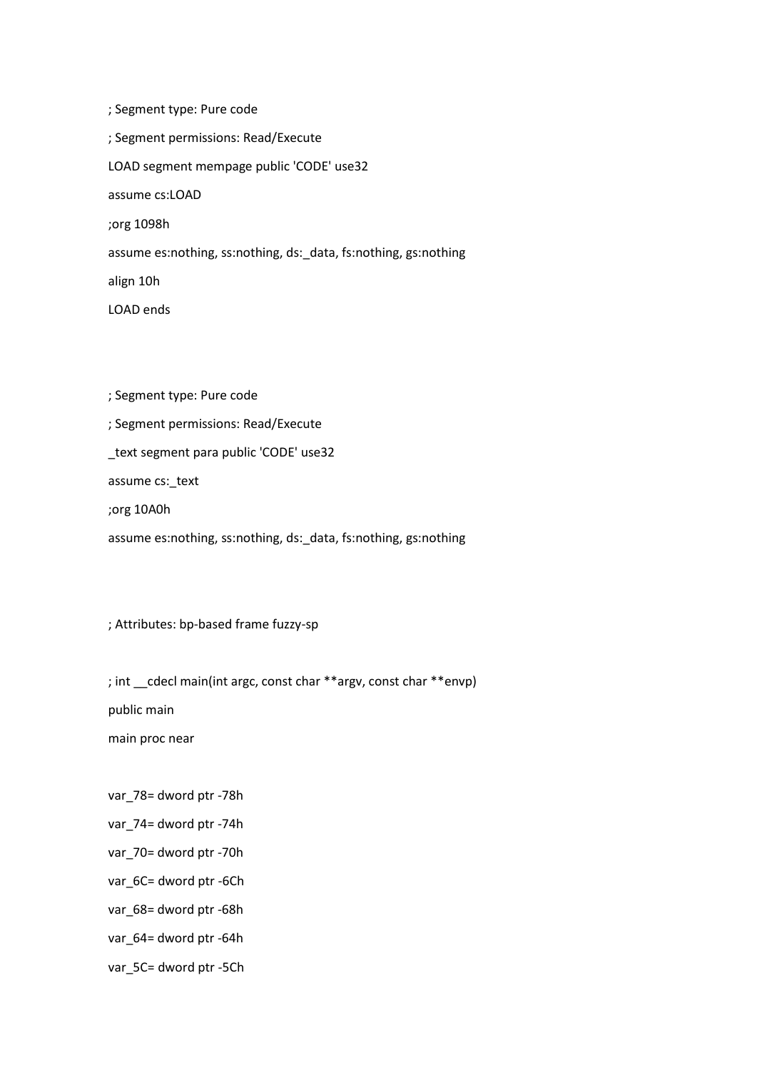; Segment type: Pure code ; Segment permissions: Read/Execute LOAD segment mempage public 'CODE' use32 assume cs:LOAD ;org 1098h assume es:nothing, ss:nothing, ds:\_data, fs:nothing, gs:nothing align 10h LOAD ends

; Segment type: Pure code

; Segment permissions: Read/Execute

\_text segment para public 'CODE' use32

assume cs:\_text

;org 10A0h

assume es:nothing, ss:nothing, ds:\_data, fs:nothing, gs:nothing

; Attributes: bp-based frame fuzzy-sp

; int \_\_cdecl main(int argc, const char \*\*argv, const char \*\*envp)

public main

main proc near

var\_78= dword ptr -78h

var\_74= dword ptr -74h

var\_70= dword ptr -70h

var\_6C= dword ptr -6Ch

var\_68= dword ptr -68h

var\_64= dword ptr -64h

var\_5C= dword ptr -5Ch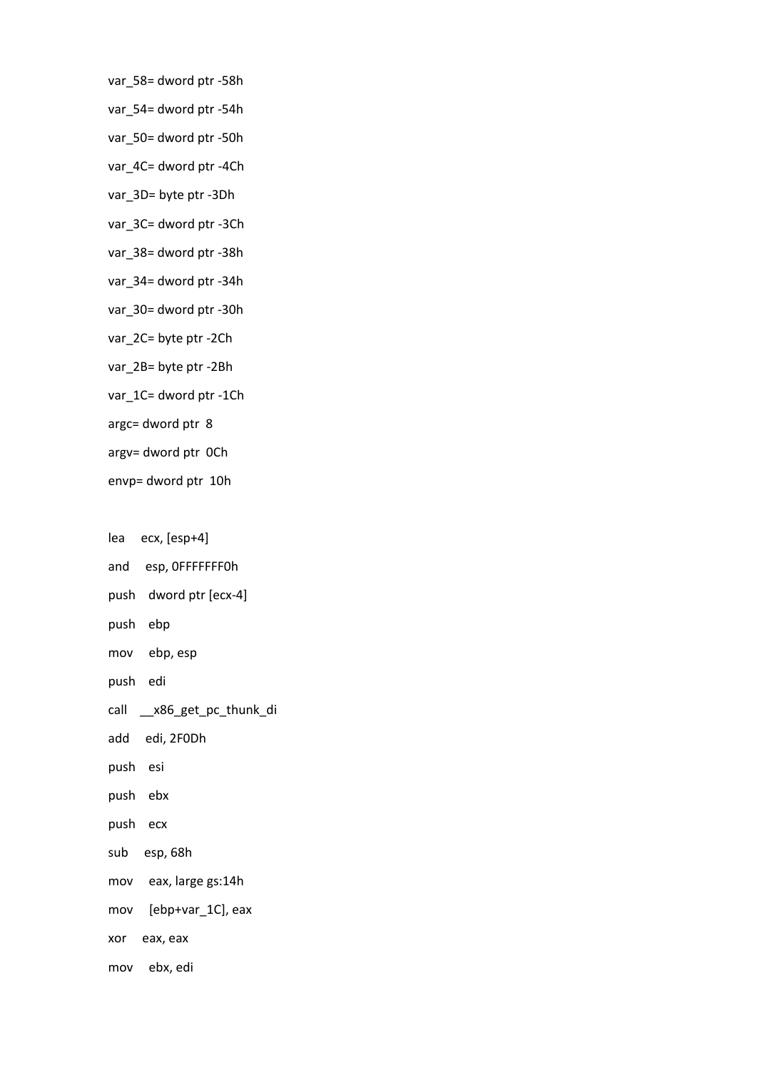- var\_58= dword ptr -58h
- var\_54= dword ptr -54h
- var\_50= dword ptr -50h
- var\_4C= dword ptr -4Ch
- var\_3D= byte ptr -3Dh
- var\_3C= dword ptr -3Ch
- var\_38= dword ptr -38h
- var\_34= dword ptr -34h
- var\_30= dword ptr -30h
- var\_2C= byte ptr -2Ch
- var\_2B= byte ptr -2Bh
- var\_1C= dword ptr -1Ch
- argc= dword ptr 8
- argv= dword ptr 0Ch
- envp= dword ptr 10h
- lea ecx, [esp+4]
- and esp, 0FFFFFFF0h
- push dword ptr [ecx-4]
- push ebp
- mov ebp, esp
- push edi
- call \_\_x86\_get\_pc\_thunk\_di
- add edi, 2F0Dh
- push esi
- push ebx
- push ecx
- sub esp, 68h
- mov eax, large gs:14h
- mov [ebp+var\_1C], eax
- xor eax, eax
- mov ebx, edi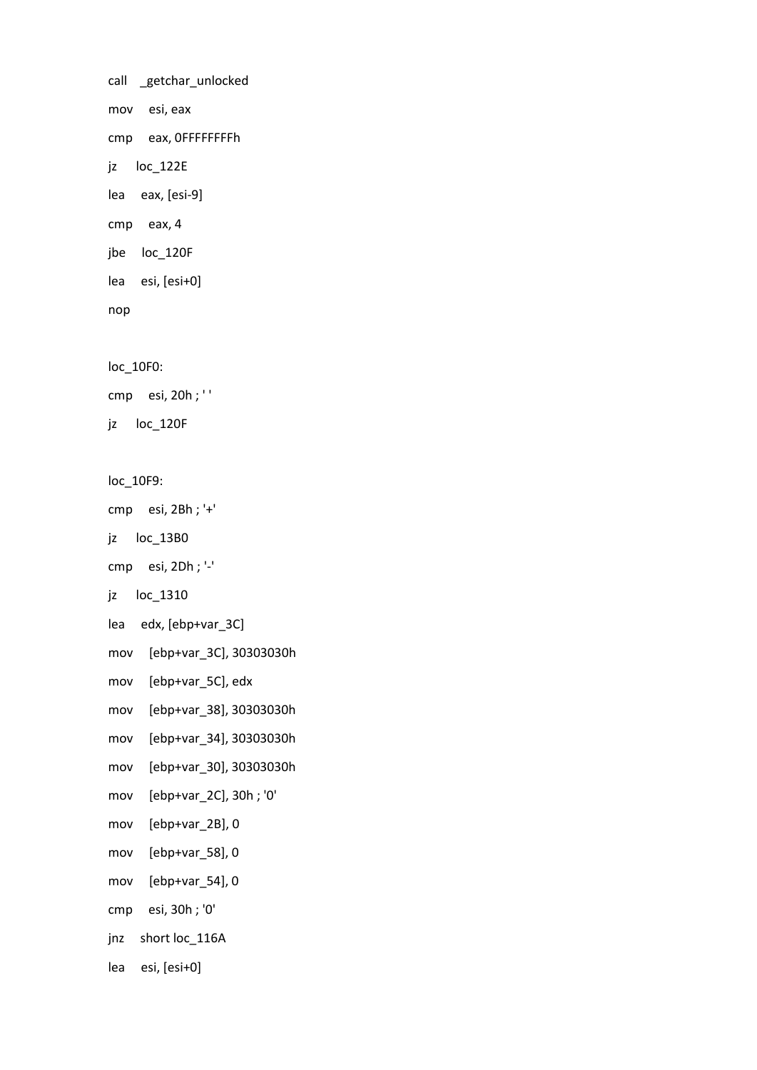call \_getchar\_unlocked mov esi, eax cmp eax, 0FFFFFFFFh jz loc\_122E lea eax, [esi-9] cmp eax, 4 jbe loc\_120F lea esi, [esi+0] nop

loc\_10F0:

cmp esi, 20h ; ' '

jz loc\_120F

loc\_10F9:

cmp esi, 2Bh ; '+'

jz loc\_13B0

```
cmp esi, 2Dh ; '-'
```
jz loc\_1310

lea edx, [ebp+var\_3C]

mov [ebp+var\_3C], 30303030h

mov [ebp+var\_5C], edx

mov [ebp+var\_38], 30303030h

mov [ebp+var\_34], 30303030h

mov [ebp+var\_30], 30303030h

mov [ebp+var\_2C], 30h ; '0'

mov [ebp+var\_2B], 0

mov [ebp+var\_58], 0

mov [ebp+var\_54], 0

cmp esi, 30h ; '0'

jnz short loc\_116A

lea esi, [esi+0]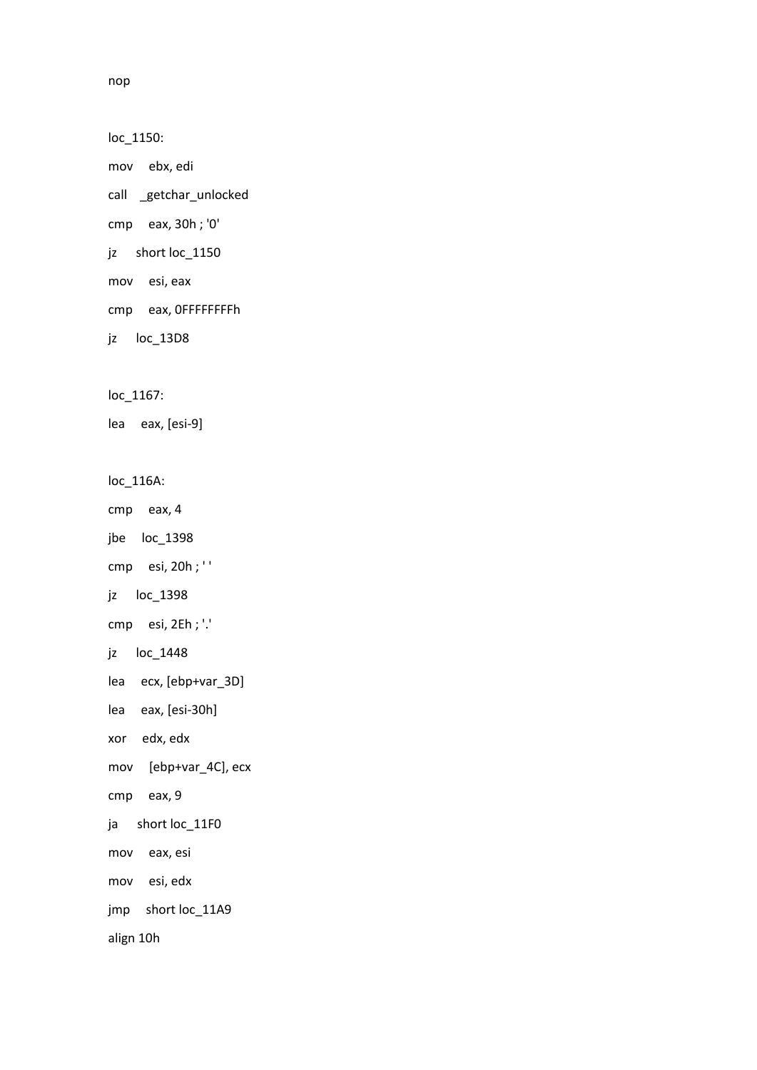loc\_1150:

mov ebx, edi

call \_getchar\_unlocked

cmp eax, 30h ; '0'

jz short loc\_1150

mov esi, eax

cmp eax, 0FFFFFFFFh

jz loc\_13D8

loc\_1167:

lea eax, [esi-9]

loc\_116A:

cmp eax, 4

jbe loc\_1398

cmp esi, 20h ; ' '

jz loc\_1398

cmp esi, 2Eh ; '.'

jz loc\_1448

lea ecx, [ebp+var\_3D]

lea eax, [esi-30h]

xor edx, edx

mov [ebp+var\_4C], ecx

cmp eax, 9

ja short loc\_11F0

mov eax, esi

mov esi, edx

jmp short loc\_11A9

align 10h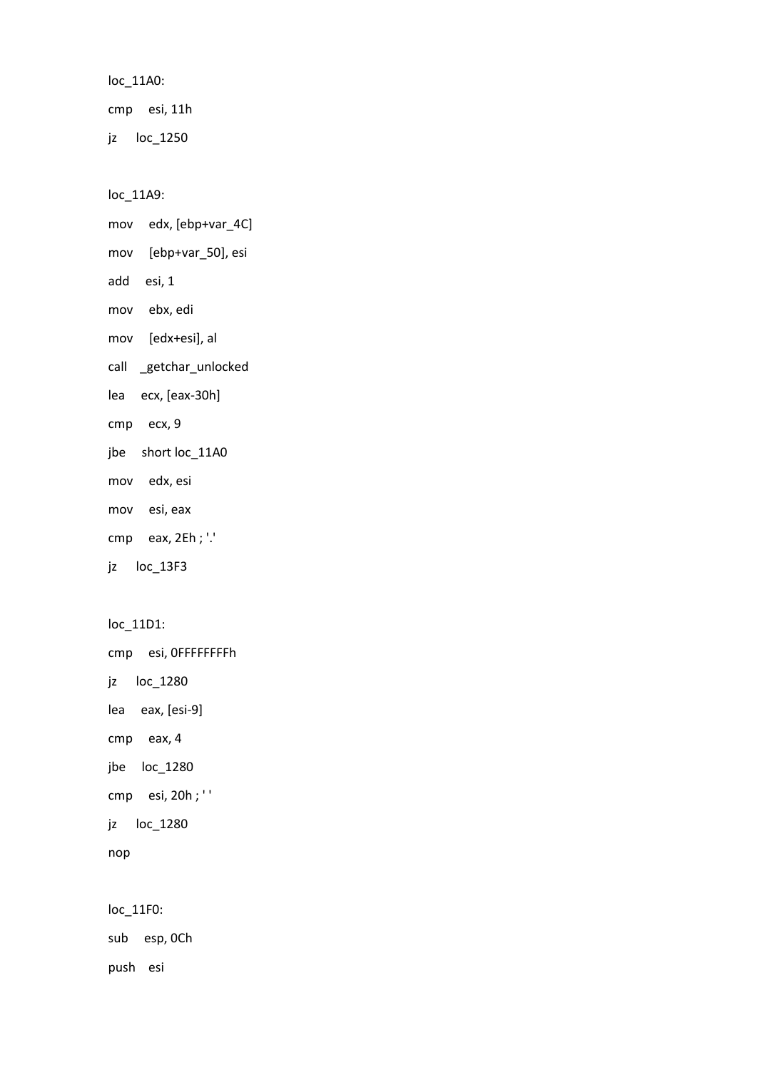loc\_11A0:

cmp esi, 11h

jz loc\_1250

loc\_11A9:

- mov edx, [ebp+var\_4C]
- mov [ebp+var\_50], esi
- add esi, 1
- mov ebx, edi
- mov [edx+esi], al
- call \_getchar\_unlocked
- lea ecx, [eax-30h]
- cmp ecx, 9
- jbe short loc\_11A0
- mov edx, esi
- mov esi, eax
- cmp eax, 2Eh ; '.'
- jz loc\_13F3

```
loc_11D1:
```
cmp esi, 0FFFFFFFFh

- jz loc\_1280
- lea eax, [esi-9]
- cmp eax, 4
- jbe loc\_1280
- cmp esi, 20h ; ' '
- jz loc\_1280

```
nop
```
loc\_11F0:

sub esp, 0Ch

push esi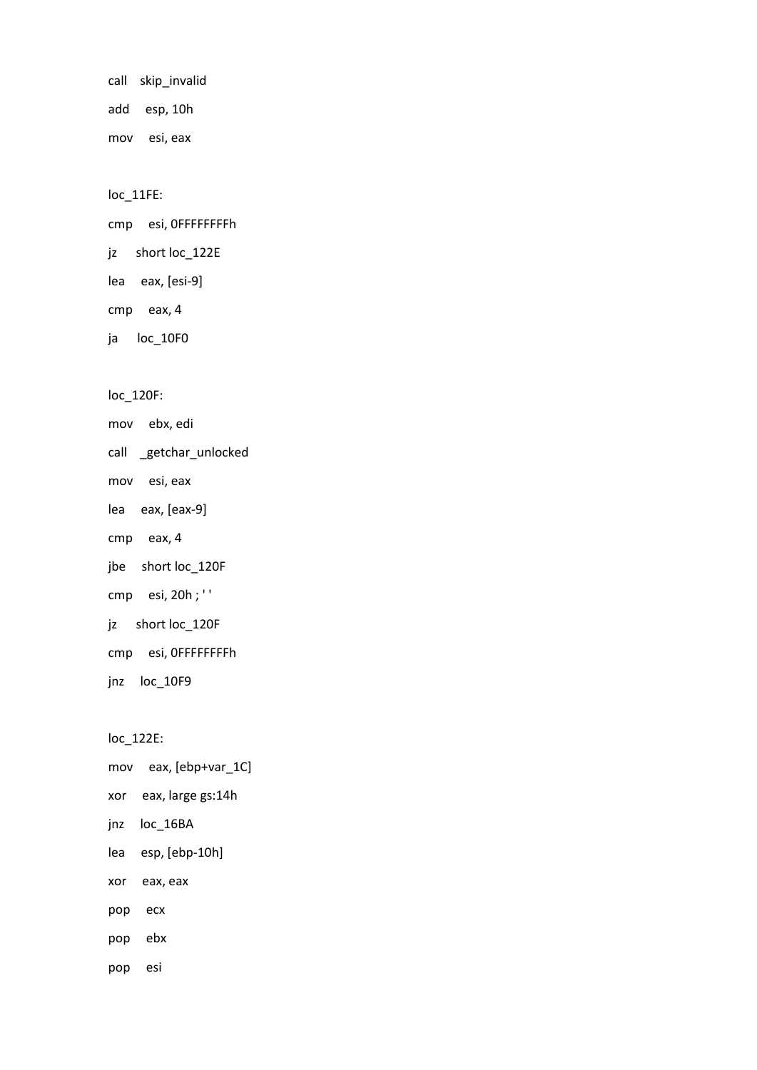call skip\_invalid add esp, 10h mov esi, eax

loc\_11FE:

cmp esi, 0FFFFFFFFh

jz short loc\_122E

lea eax, [esi-9]

cmp eax, 4

ja loc\_10F0

loc\_120F:

mov ebx, edi

call \_getchar\_unlocked

mov esi, eax

lea eax, [eax-9]

cmp eax, 4

jbe short loc\_120F

cmp esi, 20h ; ' '

jz short loc\_120F

cmp esi, 0FFFFFFFFh

jnz loc\_10F9

loc\_122E:

mov eax, [ebp+var\_1C]

xor eax, large gs:14h

jnz loc\_16BA

lea esp, [ebp-10h]

xor eax, eax

pop ecx

pop ebx

pop esi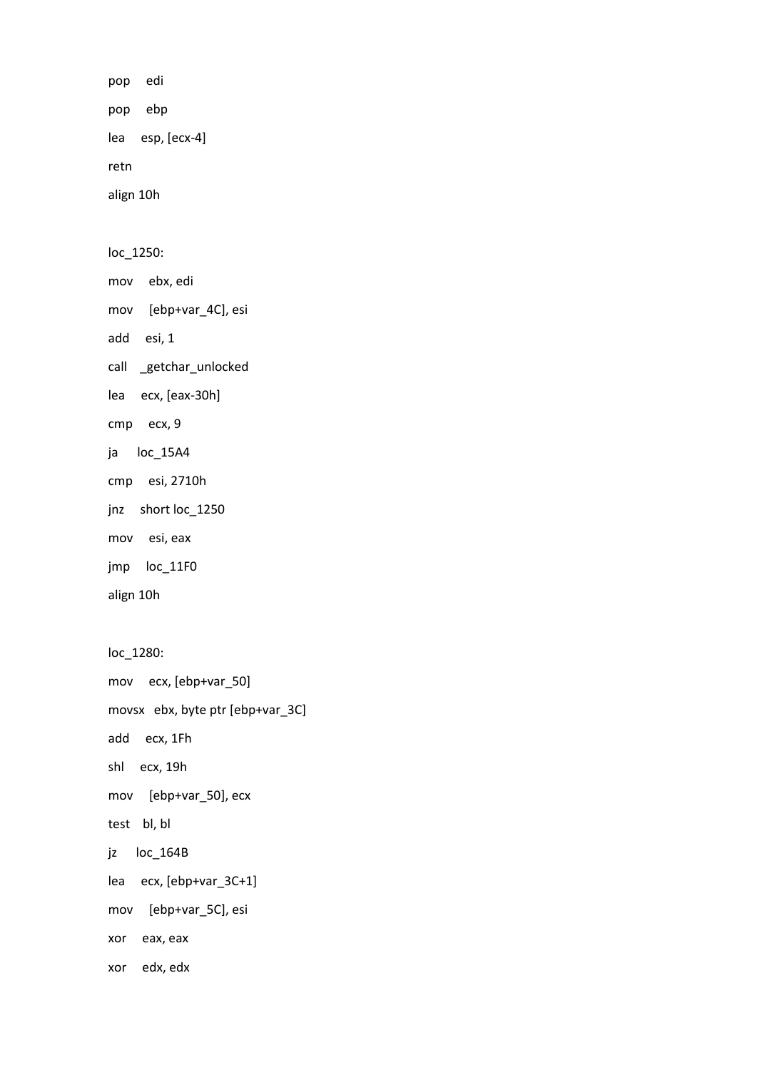pop edi pop ebp lea esp, [ecx-4] retn align 10h

loc\_1250:

mov ebx, edi

mov [ebp+var\_4C], esi

add esi, 1

call \_getchar\_unlocked

lea ecx, [eax-30h]

cmp ecx, 9

ja loc\_15A4

cmp esi, 2710h

jnz short loc\_1250

mov esi, eax

jmp loc\_11F0

align 10h

loc\_1280: mov ecx, [ebp+var\_50] movsx ebx, byte ptr [ebp+var\_3C] add ecx, 1Fh shl ecx, 19h mov [ebp+var\_50], ecx test bl, bl jz loc\_164B lea ecx, [ebp+var\_3C+1] mov [ebp+var\_5C], esi xor eax, eax xor edx, edx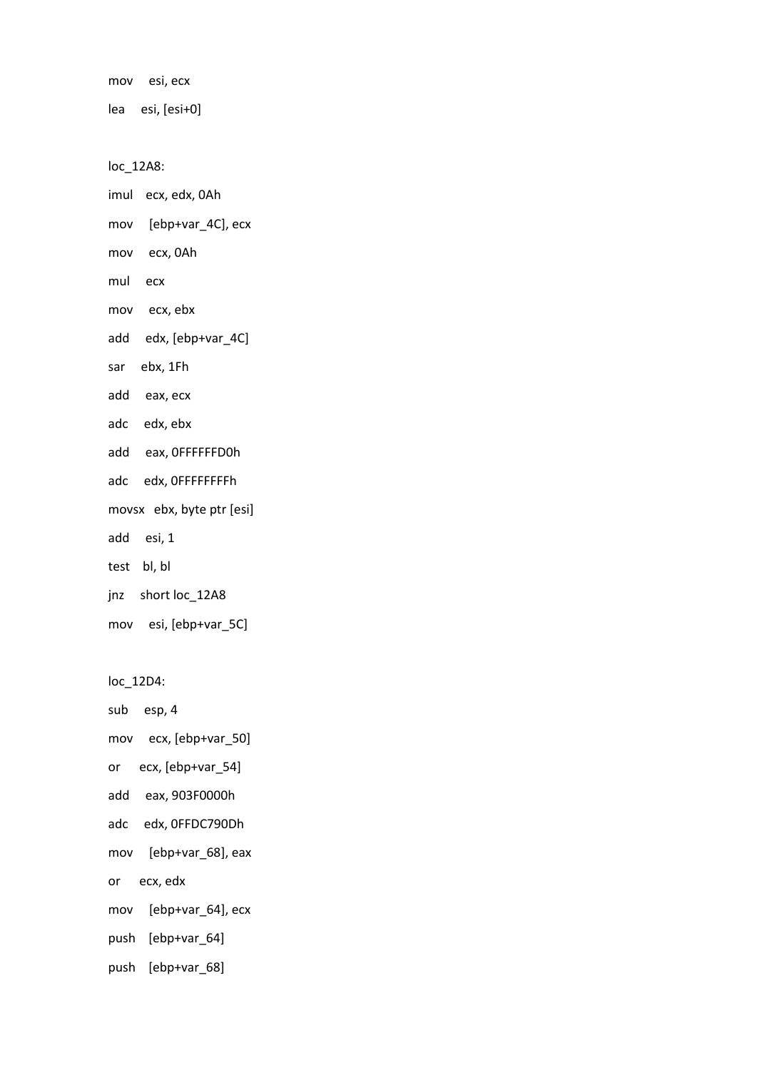mov esi, ecx

lea esi, [esi+0]

loc\_12A8:

imul ecx, edx, 0Ah

- mov [ebp+var\_4C], ecx
- mov ecx, 0Ah
- mul ecx
- mov ecx, ebx
- add edx, [ebp+var\_4C]
- sar ebx, 1Fh
- add eax, ecx
- adc edx, ebx
- add eax, 0FFFFFFD0h
- adc edx, 0FFFFFFFFh
- movsx ebx, byte ptr [esi]
- add esi, 1
- test bl, bl
- jnz short loc\_12A8
- mov esi, [ebp+var\_5C]

loc\_12D4:

sub esp, 4

```
mov ecx, [ebp+var_50]
```
- or ecx, [ebp+var\_54]
- add eax, 903F0000h
- adc edx, 0FFDC790Dh
- mov [ebp+var\_68], eax
- or ecx, edx
- mov [ebp+var\_64], ecx
- push [ebp+var\_64]
- push [ebp+var\_68]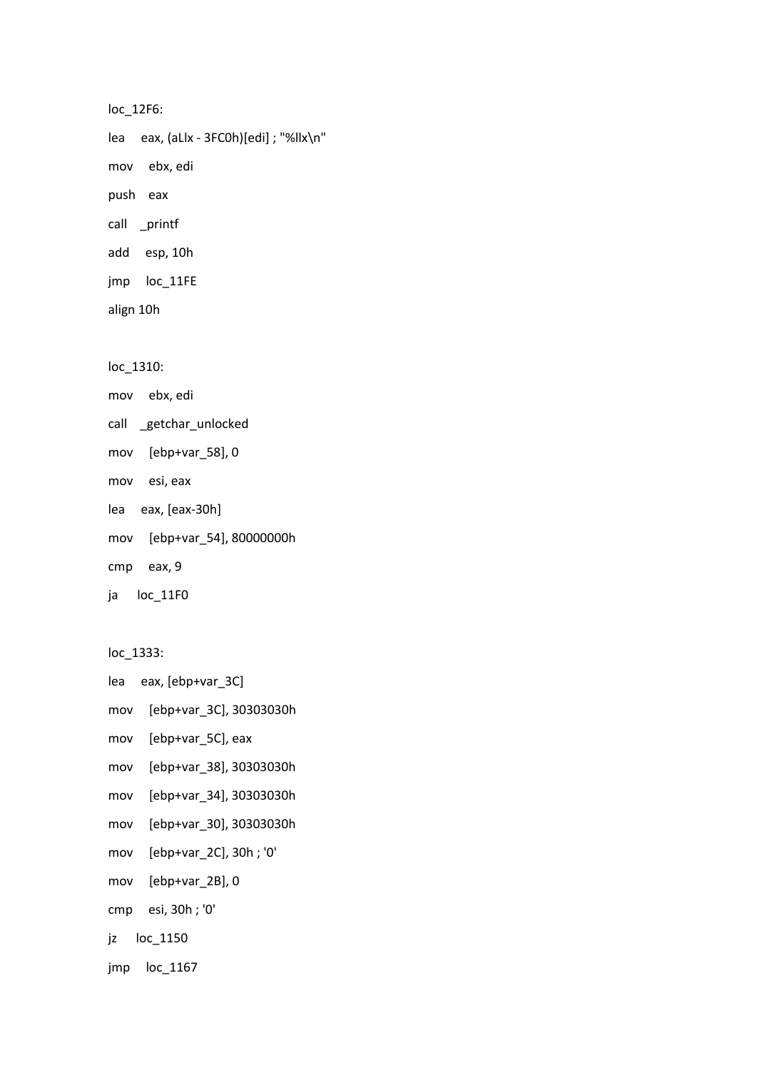```
loc_12F6:
lea eax, (aLlx - 3FC0h)[edi] ; "%llx\n"
mov ebx, edi
push eax
call _printf
add esp, 10h
jmp loc_11FE
align 10h
```
loc\_1310:

- mov ebx, edi
- call \_getchar\_unlocked
- mov [ebp+var\_58], 0
- mov esi, eax
- lea eax, [eax-30h]
- mov [ebp+var\_54], 80000000h
- cmp eax, 9
- ja loc\_11F0

loc\_1333:

```
lea eax, [ebp+var_3C]
```
- mov [ebp+var\_3C], 30303030h
- mov [ebp+var\_5C], eax
- mov [ebp+var\_38], 30303030h
- mov [ebp+var\_34], 30303030h
- mov [ebp+var\_30], 30303030h
- mov [ebp+var\_2C], 30h ; '0'
- mov [ebp+var\_2B], 0
- cmp esi, 30h ; '0'
- jz loc\_1150
- jmp loc\_1167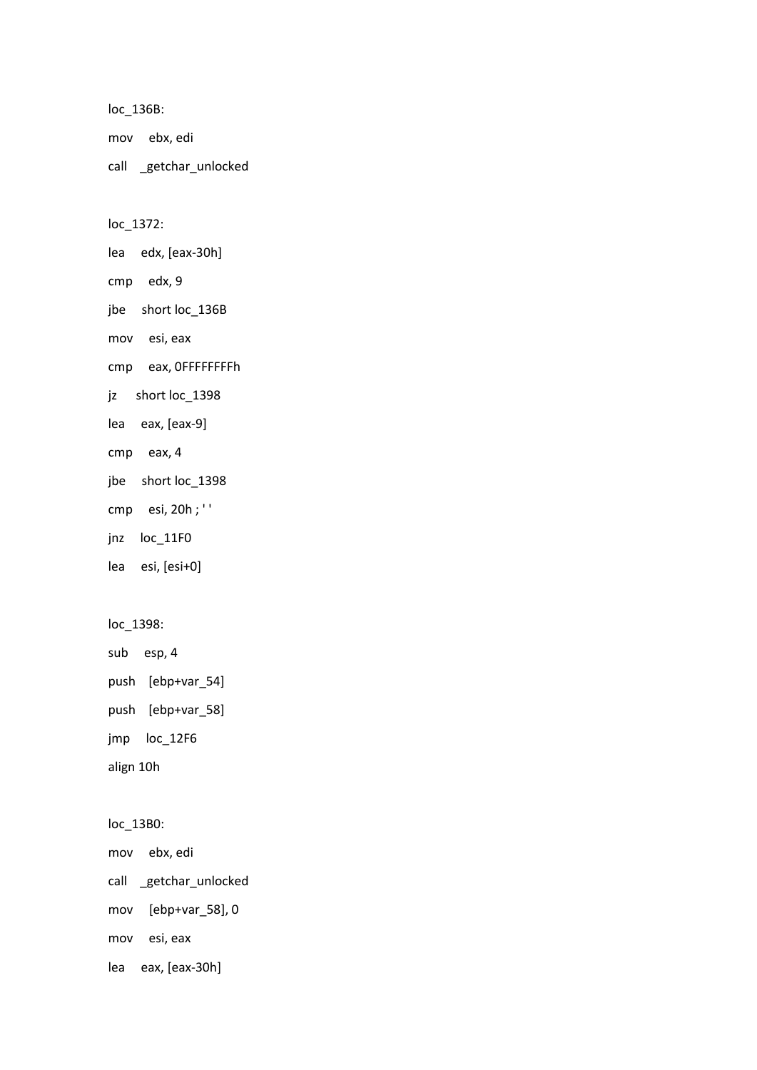loc\_136B: mov ebx, edi call \_getchar\_unlocked

loc\_1372:

lea edx, [eax-30h]

cmp edx, 9

jbe short loc\_136B

mov esi, eax

cmp eax, 0FFFFFFFFh

jz short loc\_1398

lea eax, [eax-9]

cmp eax, 4

jbe short loc\_1398

cmp esi, 20h ; ' '

jnz loc\_11F0

lea esi, [esi+0]

loc\_1398:

sub esp, 4 push [ebp+var\_54]

push [ebp+var\_58]

jmp loc\_12F6

align 10h

loc\_13B0:

mov ebx, edi

call \_getchar\_unlocked

mov [ebp+var\_58], 0

mov esi, eax

lea eax, [eax-30h]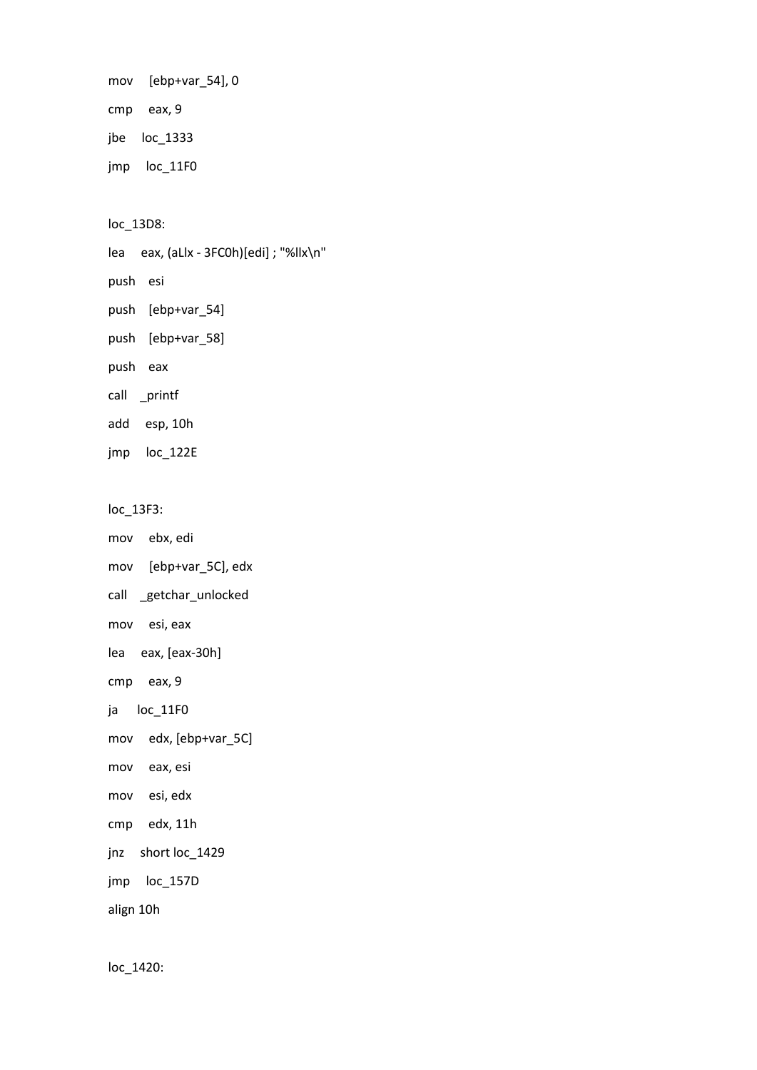mov [ebp+var\_54], 0

cmp eax, 9

jbe loc\_1333

jmp loc\_11F0

loc\_13D8:

lea eax, (aLlx - 3FC0h)[edi] ; "%llx\n"

push esi

push [ebp+var\_54]

push [ebp+var\_58]

push eax

call \_printf

add esp, 10h

jmp loc\_122E

loc\_13F3:

mov ebx, edi

mov [ebp+var\_5C], edx

call \_getchar\_unlocked

mov esi, eax

lea eax, [eax-30h]

cmp eax, 9

ja loc\_11F0

mov edx, [ebp+var\_5C]

mov eax, esi

mov esi, edx

cmp edx, 11h

jnz short loc\_1429

jmp loc\_157D

align 10h

loc\_1420: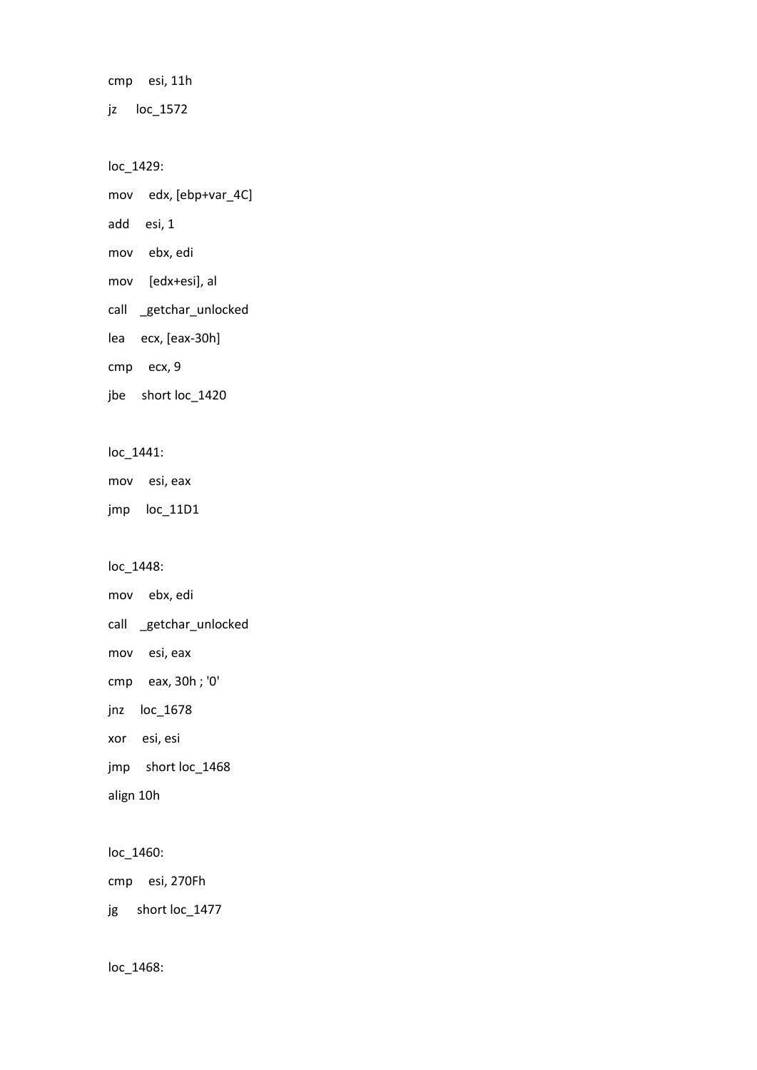cmp esi, 11h

jz loc\_1572

loc\_1429:

mov edx, [ebp+var\_4C]

add esi, 1

mov ebx, edi

mov [edx+esi], al

call \_getchar\_unlocked

lea ecx, [eax-30h]

cmp ecx, 9

jbe short loc\_1420

loc\_1441:

mov esi, eax

jmp loc\_11D1

loc\_1448:

mov ebx, edi call \_getchar\_unlocked mov esi, eax cmp eax, 30h ; '0' jnz loc\_1678 xor esi, esi jmp short loc\_1468

align 10h

loc\_1460:

cmp esi, 270Fh

jg short loc\_1477

loc\_1468: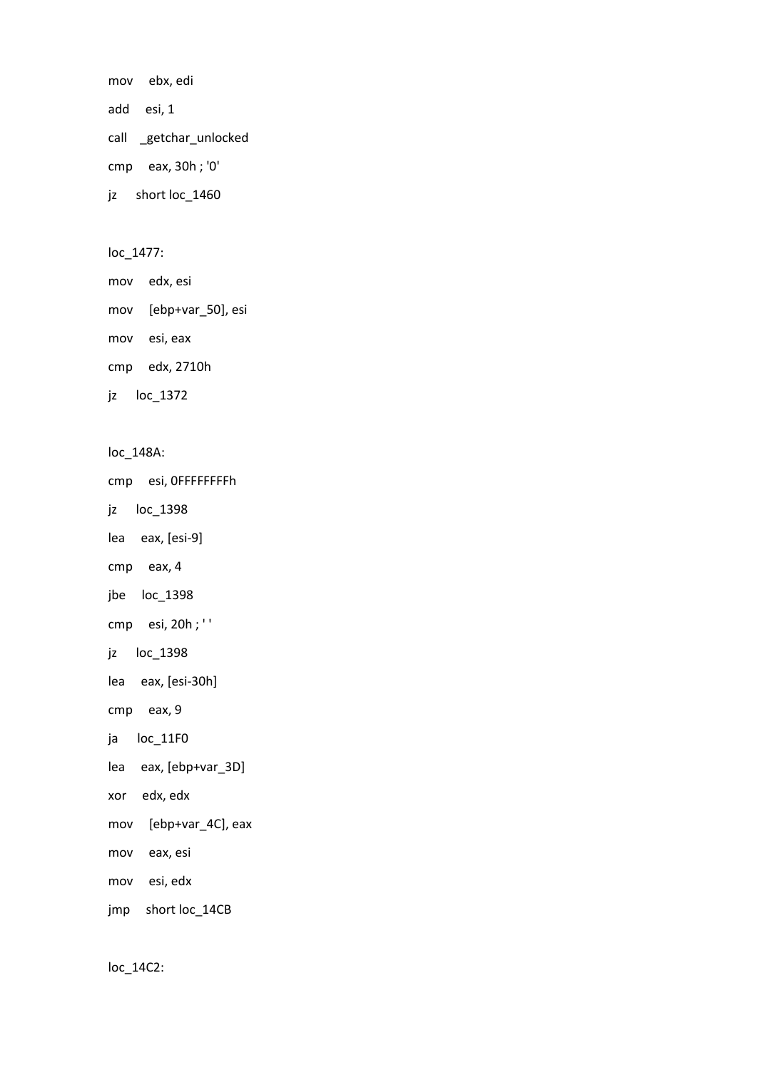mov ebx, edi add esi, 1 call \_getchar\_unlocked cmp eax, 30h ; '0' jz short loc\_1460

loc\_1477:

mov edx, esi

mov [ebp+var\_50], esi

mov esi, eax

cmp edx, 2710h

jz loc\_1372

loc\_148A:

cmp esi, 0FFFFFFFFh

jz loc\_1398

lea eax, [esi-9]

cmp eax, 4

jbe loc\_1398

cmp esi, 20h ; ' '

jz loc\_1398

lea eax, [esi-30h]

cmp eax, 9

ja loc\_11F0

lea eax, [ebp+var\_3D]

xor edx, edx

mov [ebp+var\_4C], eax

mov eax, esi

mov esi, edx

jmp short loc\_14CB

loc\_14C2: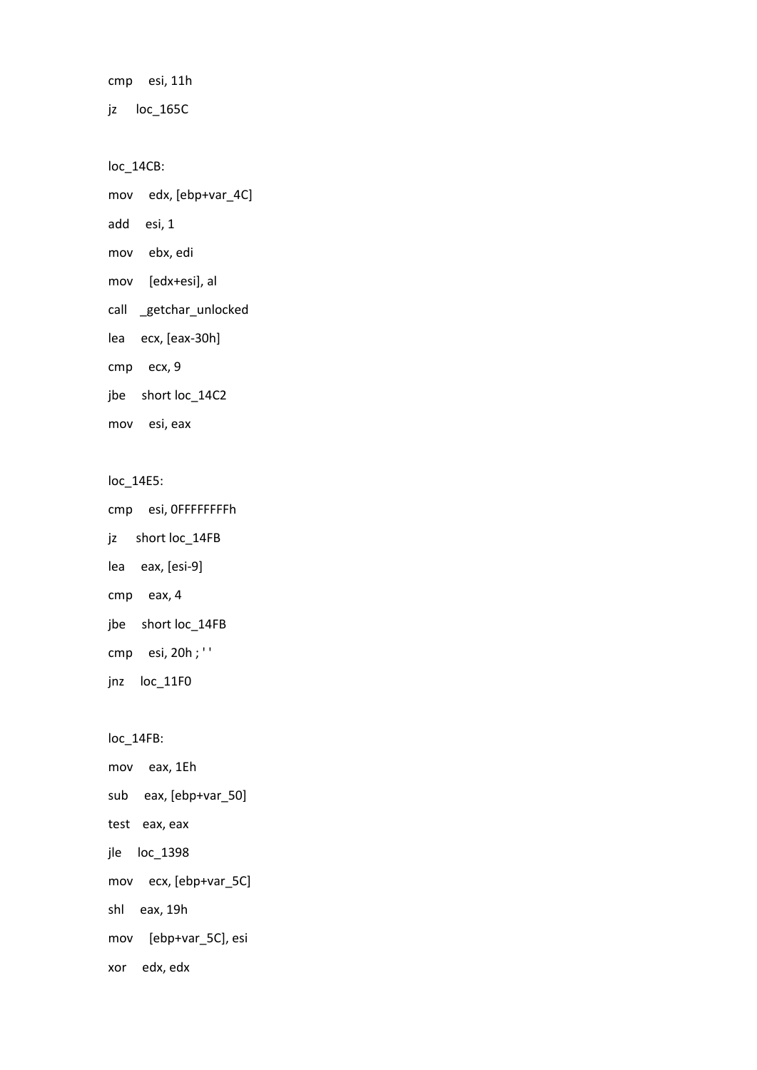cmp esi, 11h

jz loc\_165C

loc\_14CB:

mov edx, [ebp+var\_4C]

add esi, 1

mov ebx, edi

mov [edx+esi], al

call \_getchar\_unlocked

lea ecx, [eax-30h]

cmp ecx, 9

jbe short loc\_14C2

mov esi, eax

loc\_14E5:

cmp esi, 0FFFFFFFFh

jz short loc\_14FB

lea eax, [esi-9]

cmp eax, 4

jbe short loc\_14FB

cmp esi, 20h ; ' '

jnz loc\_11F0

loc\_14FB:

mov eax, 1Eh sub eax, [ebp+var\_50] test eax, eax jle loc\_1398 mov ecx, [ebp+var\_5C] shl eax, 19h mov [ebp+var\_5C], esi xor edx, edx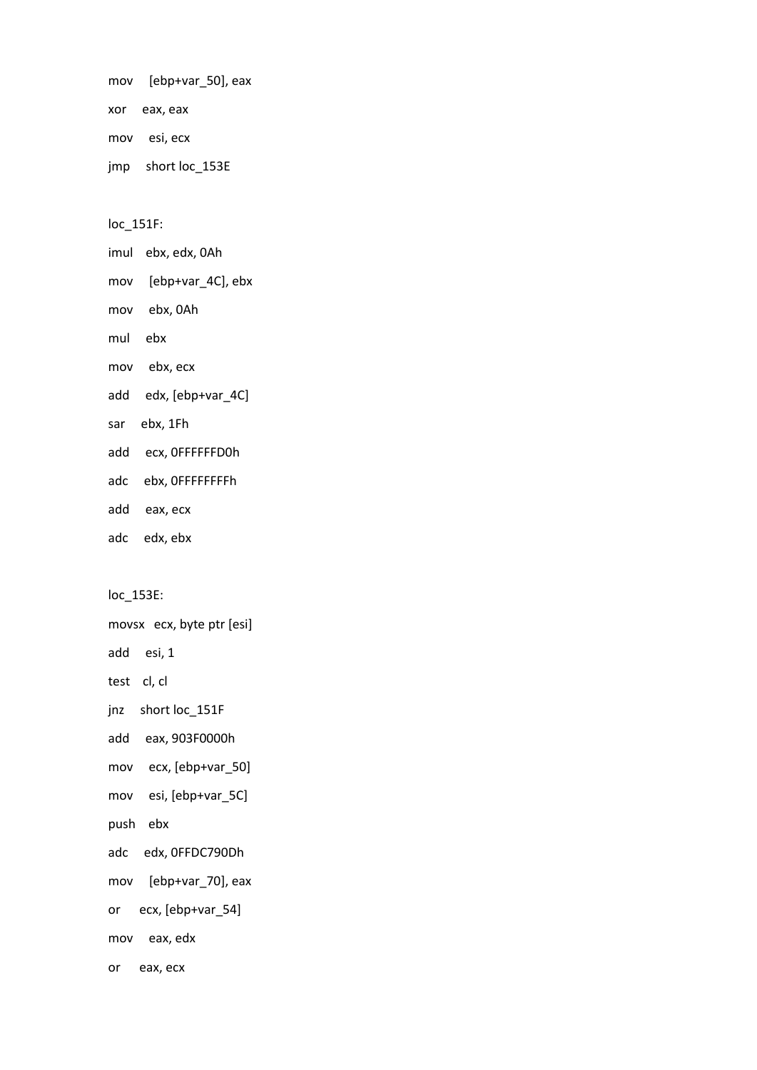mov [ebp+var\_50], eax xor eax, eax mov esi, ecx jmp short loc\_153E

loc\_151F:

imul ebx, edx, 0Ah mov [ebp+var\_4C], ebx mov ebx, 0Ah mul ebx mov ebx, ecx add edx, [ebp+var\_4C] sar ebx, 1Fh

add ecx, 0FFFFFFD0h

adc ebx, 0FFFFFFFFh

add eax, ecx

adc edx, ebx

loc\_153E:

movsx ecx, byte ptr [esi]

add esi, 1

test cl, cl

jnz short loc\_151F

add eax, 903F0000h

mov ecx, [ebp+var\_50]

mov esi, [ebp+var\_5C]

push ebx

adc edx, 0FFDC790Dh

mov [ebp+var\_70], eax

or ecx, [ebp+var\_54]

mov eax, edx

or eax, ecx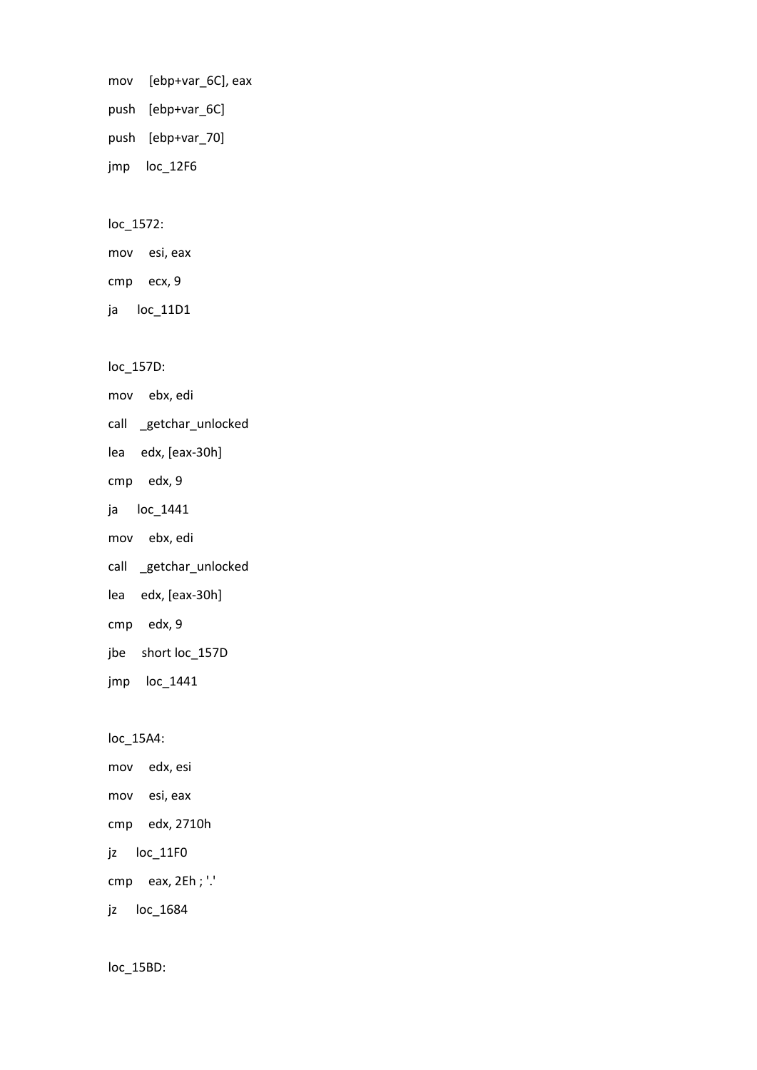mov [ebp+var\_6C], eax push [ebp+var\_6C] push [ebp+var\_70] jmp loc\_12F6

loc\_1572:

mov esi, eax cmp ecx, 9

ja loc\_11D1

loc\_157D:

mov ebx, edi

call \_getchar\_unlocked

lea edx, [eax-30h]

cmp edx, 9

ja loc\_1441

mov ebx, edi

call \_getchar\_unlocked

lea edx, [eax-30h]

cmp edx, 9

jbe short loc\_157D

jmp loc\_1441

loc\_15A4:

mov edx, esi mov esi, eax cmp edx, 2710h jz loc\_11F0 cmp eax, 2Eh ; '.' jz loc\_1684

loc\_15BD: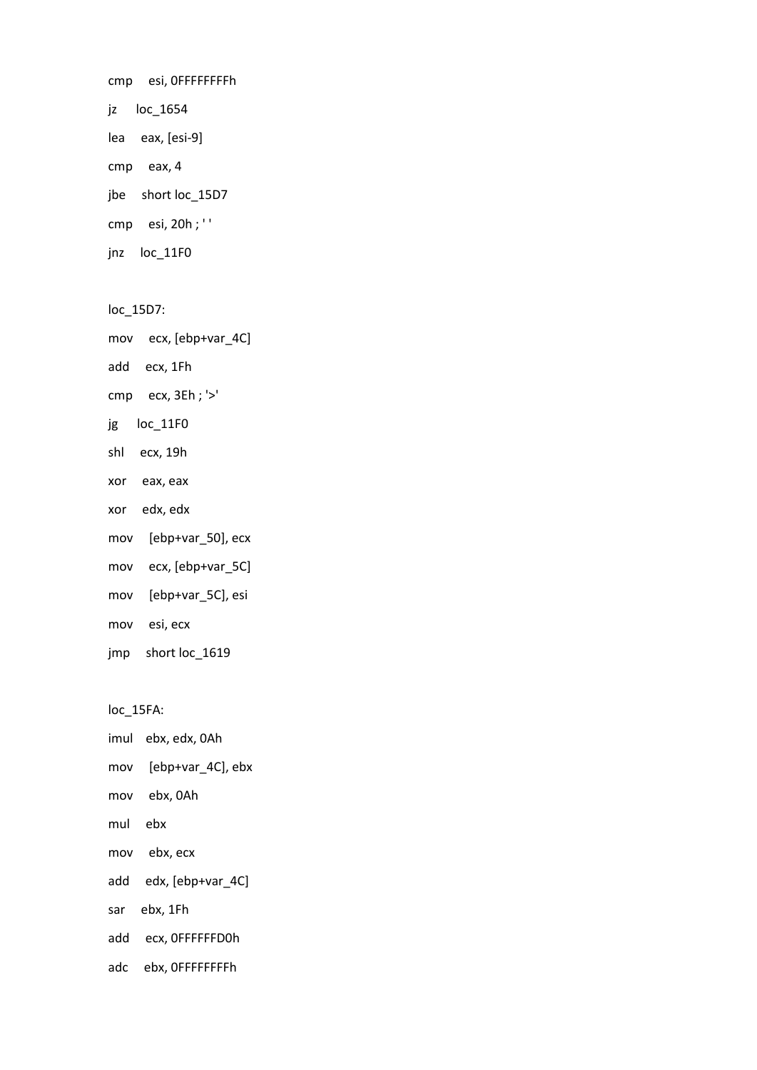cmp esi, 0FFFFFFFFh jz loc\_1654 lea eax, [esi-9] cmp eax, 4 jbe short loc\_15D7 cmp esi, 20h ; ' ' jnz loc\_11F0

loc\_15D7:

mov ecx, [ebp+var\_4C]

add ecx, 1Fh

cmp ecx, 3Eh ; '>'

jg loc\_11F0

shl ecx, 19h

xor eax, eax

xor edx, edx

mov [ebp+var\_50], ecx

mov ecx, [ebp+var\_5C]

mov [ebp+var\_5C], esi

mov esi, ecx

jmp short loc\_1619

loc\_15FA:

imul ebx, edx, 0Ah

mov [ebp+var\_4C], ebx

mov ebx, 0Ah

mul ebx

mov ebx, ecx

add edx, [ebp+var\_4C]

sar ebx, 1Fh

add ecx, 0FFFFFFD0h

adc ebx, 0FFFFFFFFh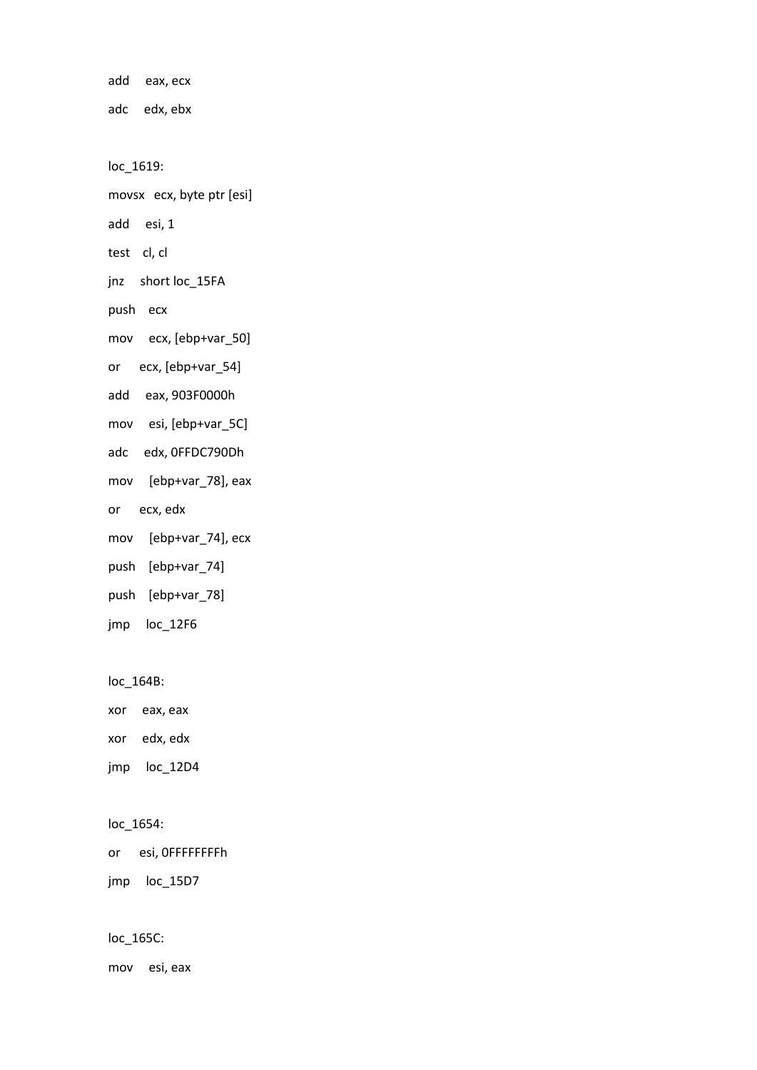add eax, ecx adc edx, ebx loc\_1619: movsx ecx, byte ptr [esi] add esi, 1 test cl, cl jnz short loc\_15FA push ecx mov ecx, [ebp+var\_50] or ecx, [ebp+var\_54] add eax, 903F0000h mov esi, [ebp+var\_5C] adc edx, 0FFDC790Dh mov [ebp+var\_78], eax or ecx, edx mov [ebp+var\_74], ecx push [ebp+var\_74] push [ebp+var\_78] jmp loc\_12F6

loc\_164B:

xor eax, eax

xor edx, edx

jmp loc\_12D4

## loc\_1654:

or esi, 0FFFFFFFFh

jmp loc\_15D7

loc\_165C:

mov esi, eax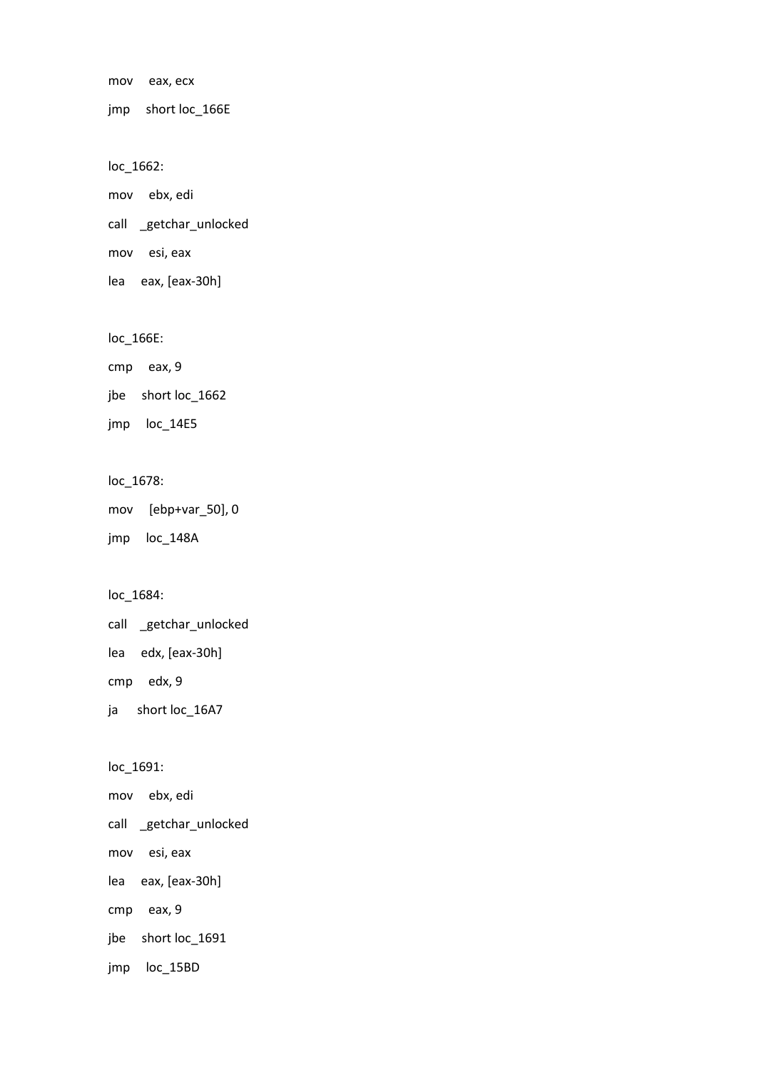mov eax, ecx

jmp short loc\_166E

loc\_1662:

mov ebx, edi

call \_getchar\_unlocked

mov esi, eax

lea eax, [eax-30h]

## loc\_166E:

cmp eax, 9

jbe short loc\_1662

jmp loc\_14E5

## loc\_1678:

mov [ebp+var\_50], 0

jmp loc\_148A

# loc\_1684:

call \_getchar\_unlocked lea edx, [eax-30h] cmp edx, 9 ja short loc\_16A7

## loc\_1691:

mov ebx, edi

call \_getchar\_unlocked

mov esi, eax

lea eax, [eax-30h]

cmp eax, 9

jbe short loc\_1691

jmp loc\_15BD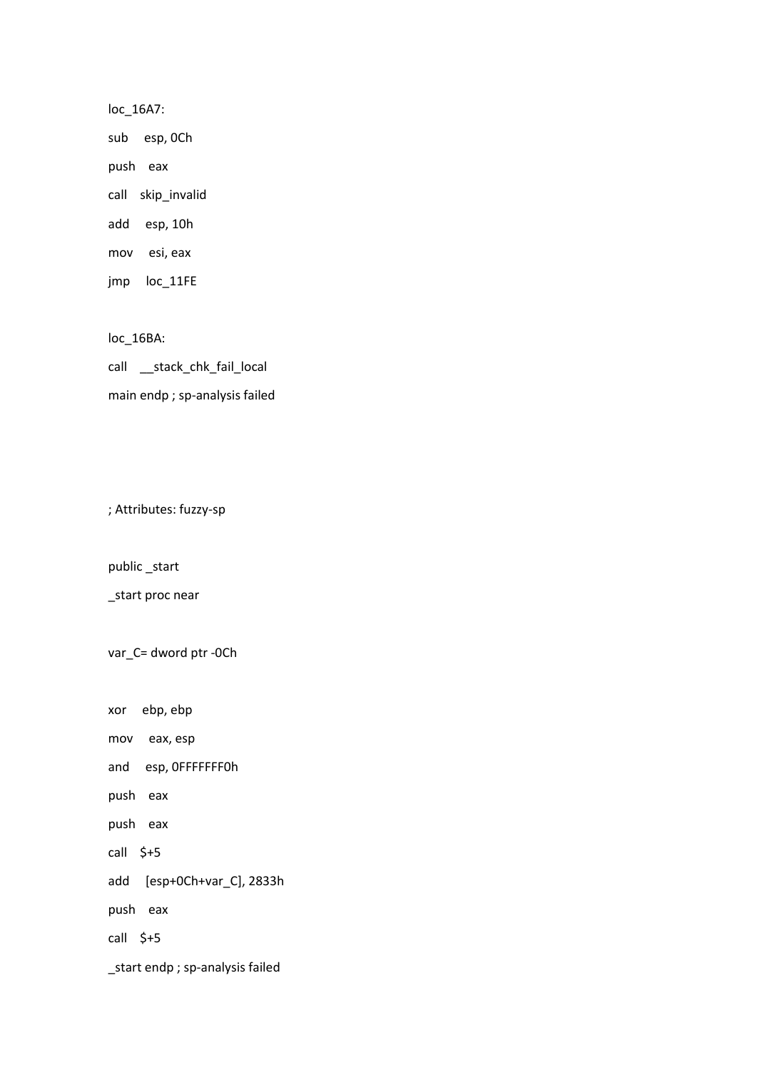loc\_16A7:

sub esp, 0Ch

push eax

call skip\_invalid

add esp, 10h

mov esi, eax

jmp loc\_11FE

loc\_16BA:

call \_\_stack\_chk\_fail\_local main endp ; sp-analysis failed

; Attributes: fuzzy-sp

public \_start

\_start proc near

var\_C= dword ptr -0Ch

xor ebp, ebp

mov eax, esp

and esp, 0FFFFFFF0h

push eax

push eax

call \$+5

add [esp+0Ch+var\_C], 2833h

push eax

call \$+5

\_start endp ; sp-analysis failed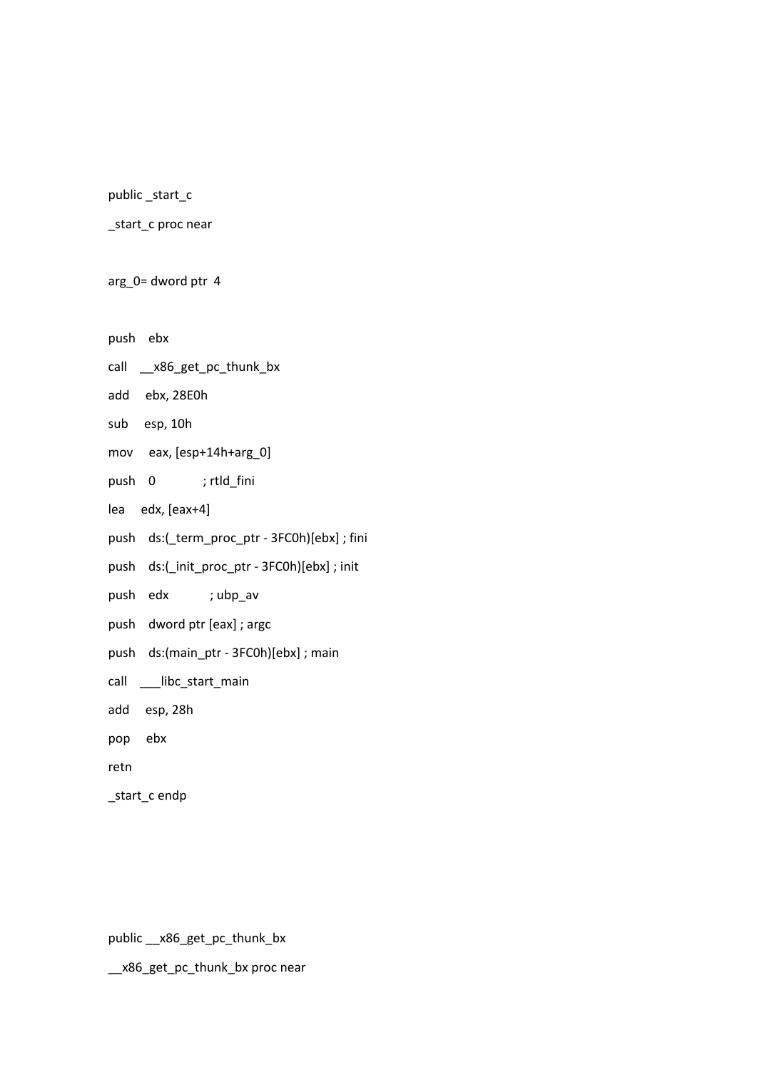public \_start\_c

\_start\_c proc near

arg\_0= dword ptr 4

push ebx

call \_\_x86\_get\_pc\_thunk\_bx

add ebx, 28E0h

sub esp, 10h

mov eax, [esp+14h+arg\_0]

push 0 ; rtld\_fini

lea edx, [eax+4]

push ds:(\_term\_proc\_ptr - 3FC0h)[ebx] ; fini

push ds:(\_init\_proc\_ptr - 3FC0h)[ebx] ; init

push edx ; ubp\_av

push dword ptr [eax] ; argc

push ds:(main\_ptr - 3FC0h)[ebx] ; main

call \_\_\_libc\_start\_main

add esp, 28h

pop ebx

retn

\_start\_c endp

public \_\_x86\_get\_pc\_thunk\_bx

\_\_x86\_get\_pc\_thunk\_bx proc near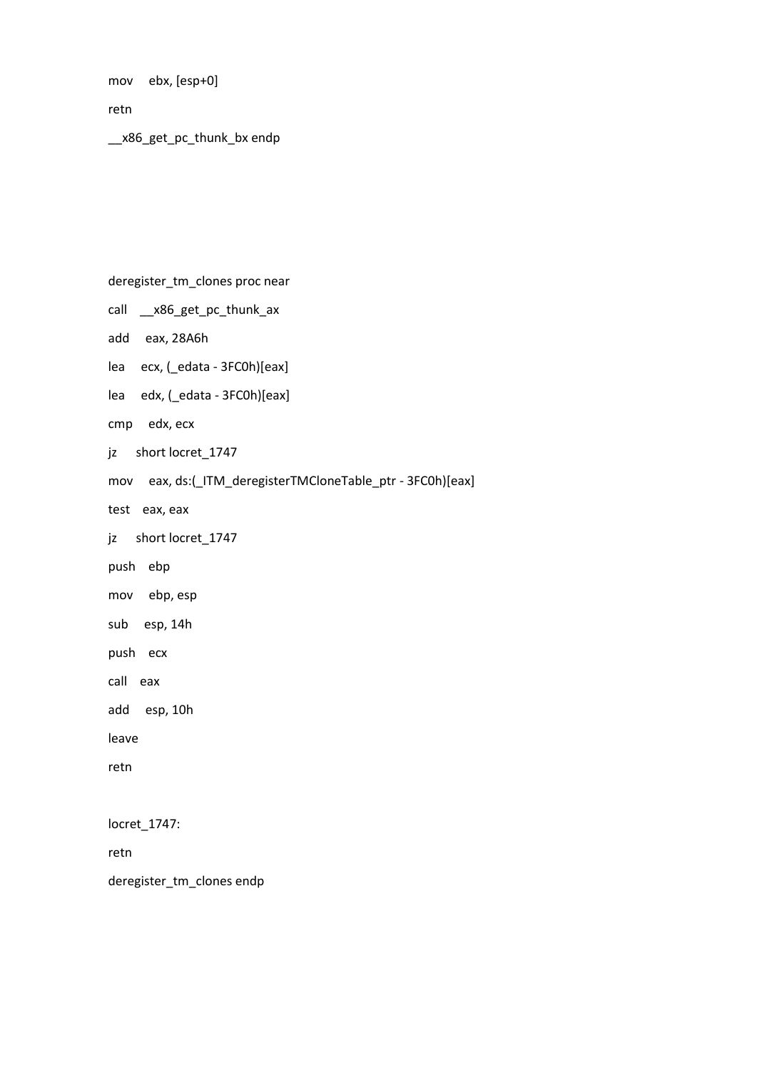mov ebx, [esp+0]

retn

\_\_x86\_get\_pc\_thunk\_bx endp

deregister\_tm\_clones proc near

call \_\_x86\_get\_pc\_thunk\_ax

add eax, 28A6h

lea ecx, (\_edata - 3FC0h)[eax]

lea edx, (\_edata - 3FC0h)[eax]

cmp edx, ecx

jz short locret\_1747

mov eax, ds:(\_ITM\_deregisterTMCloneTable\_ptr - 3FC0h)[eax]

test eax, eax

jz short locret\_1747

push ebp

mov ebp, esp

sub esp, 14h

push ecx

call eax

add esp, 10h

leave

retn

locret\_1747:

retn

deregister\_tm\_clones endp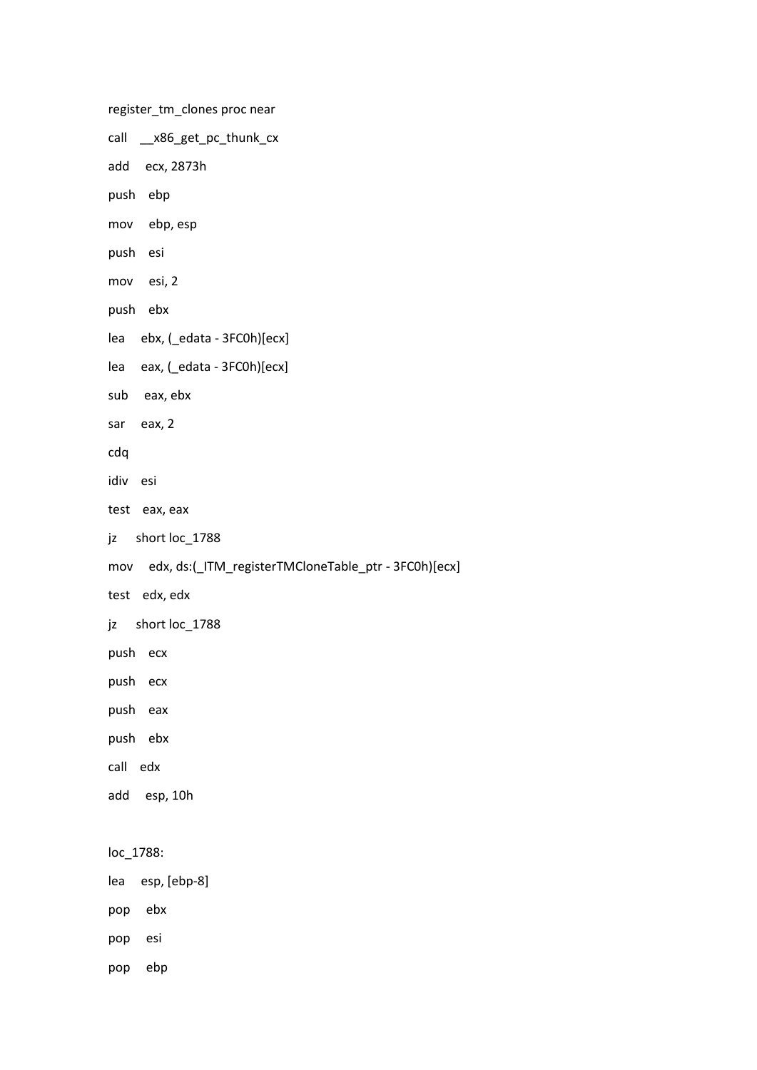register\_tm\_clones proc near call \_\_x86\_get\_pc\_thunk\_cx add ecx, 2873h push ebp mov ebp, esp push esi mov esi, 2 push ebx lea ebx, (\_edata - 3FC0h)[ecx] lea eax, (\_edata - 3FC0h)[ecx] sub eax, ebx sar eax, 2 cdq idiv esi test eax, eax jz short loc\_1788 mov edx, ds:(\_ITM\_registerTMCloneTable\_ptr - 3FC0h)[ecx] test edx, edx jz short loc\_1788 push ecx push ecx push eax push ebx call edx add esp, 10h loc\_1788: lea esp, [ebp-8] pop ebx pop esi pop ebp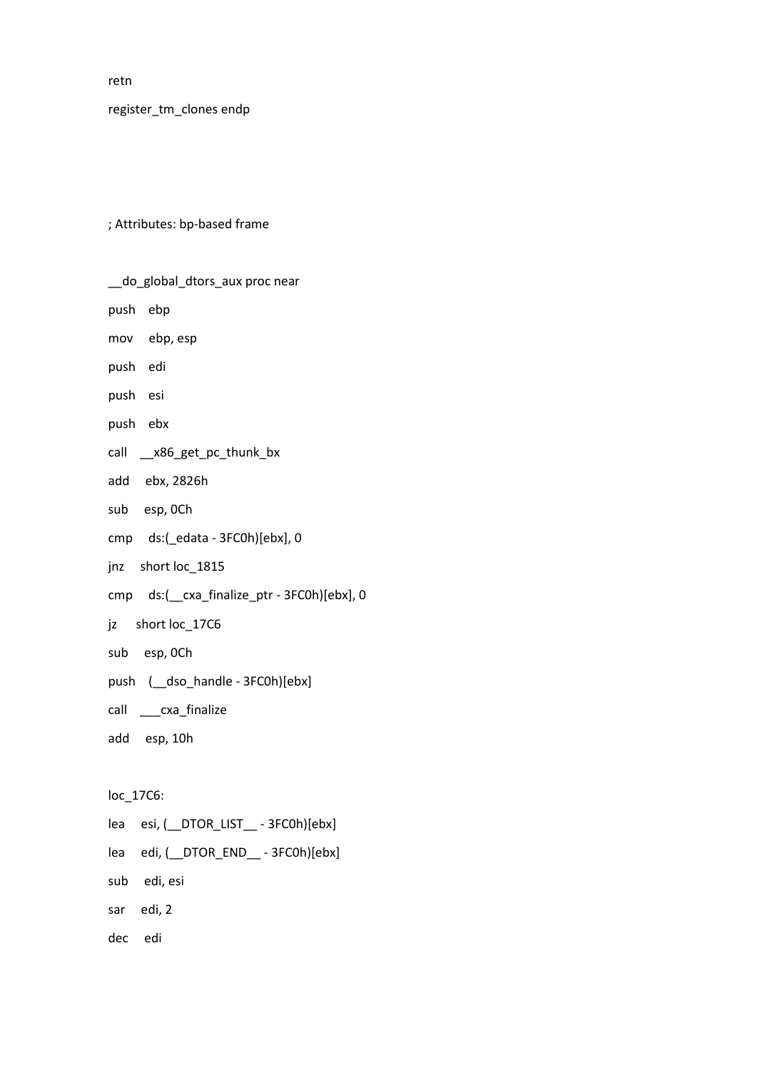retn

register\_tm\_clones endp

; Attributes: bp-based frame

| __do_global_dtors_aux proc near            |
|--------------------------------------------|
| push ebp                                   |
| mov ebp, esp                               |
| push edi                                   |
| push esi                                   |
| push ebx                                   |
| call __x86_get_pc_thunk_bx                 |
| add ebx, 2826h                             |
| sub esp, OCh                               |
| cmp ds:(_edata - 3FC0h)[ebx], 0            |
| jnz short loc_1815                         |
| cmp ds:( cxa_finalize_ptr - 3FC0h)[ebx], 0 |
| jz short loc_17C6                          |
| sub esp, OCh                               |
| push ( dso handle - 3FC0h)[ebx]            |
| call _____cxa_finalize                     |
| add esp, 10h                               |
|                                            |
| loc_17C6:                                  |
| lea esi, ( DTOR_LIST __ - 3FC0h)[ebx]      |
| lea edi, (_DTOR_END_ - 3FC0h)[ebx]         |

sub edi, esi

sar edi, 2

dec edi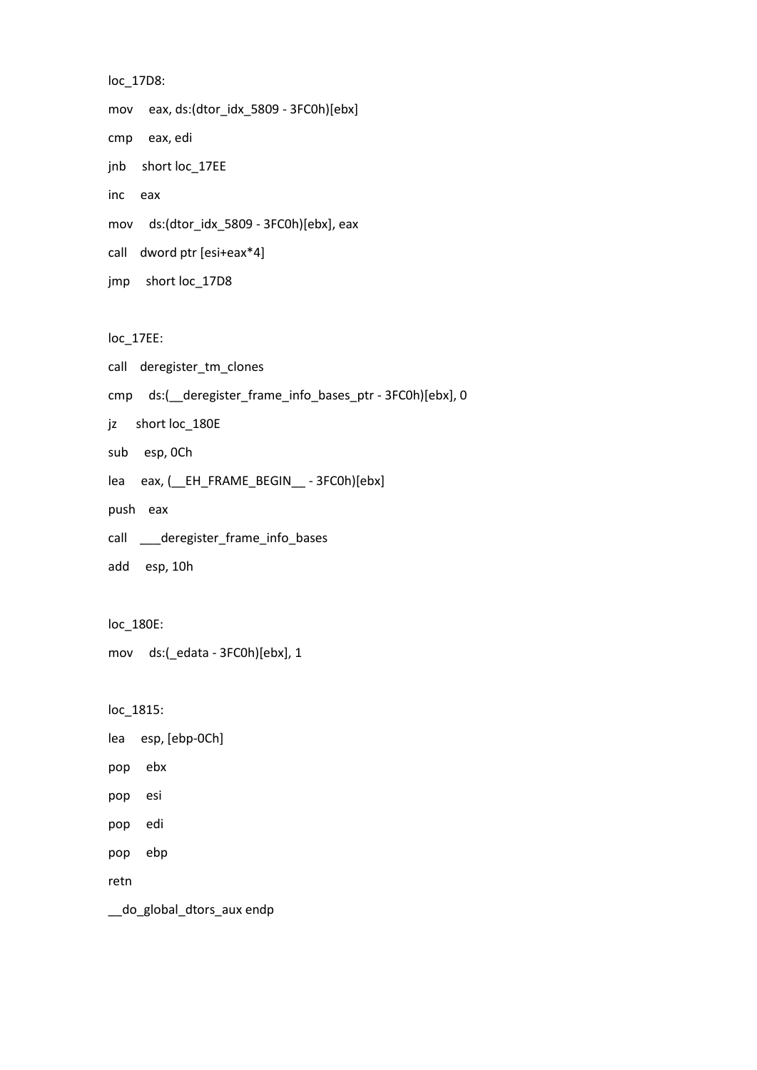```
loc_17D8:
mov eax, ds:(dtor_idx_5809 - 3FC0h)[ebx]
cmp eax, edi
jnb short loc_17EE
inc eax
mov ds:(dtor_idx_5809 - 3FC0h)[ebx], eax
call dword ptr [esi+eax*4]
jmp short loc_17D8
```
loc\_17EE:

```
call deregister_tm_clones
```
cmp ds:(\_\_deregister\_frame\_info\_bases\_ptr - 3FC0h)[ebx], 0

jz short loc\_180E

- sub esp, 0Ch
- lea eax, (\_\_EH\_FRAME\_BEGIN\_\_ 3FC0h)[ebx]
- push eax
- call \_\_\_deregister\_frame\_info\_bases
- add esp, 10h

loc\_180E:

mov ds:(\_edata - 3FC0h)[ebx], 1

loc\_1815:

```
lea esp, [ebp-0Ch]
```
- pop ebx
- pop esi
- pop edi
- pop ebp

retn

\_\_do\_global\_dtors\_aux endp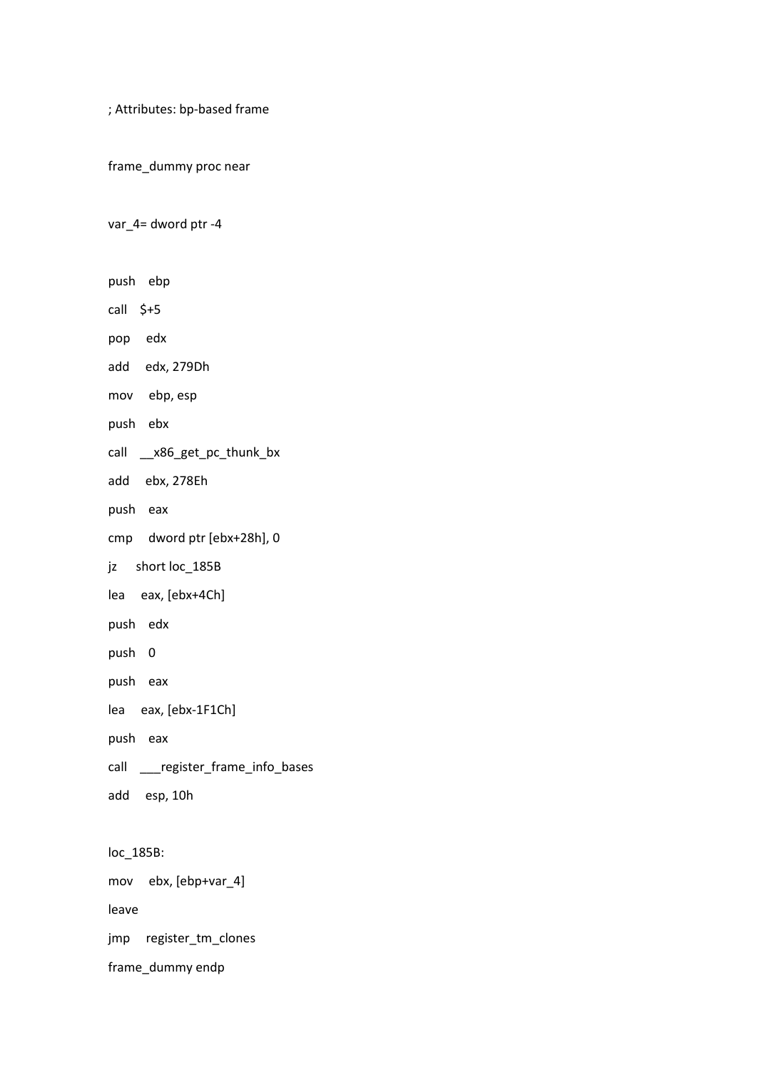; Attributes: bp-based frame

frame\_dummy proc near

var\_4= dword ptr -4

push ebp

call \$+5

pop edx

add edx, 279Dh

mov ebp, esp

push ebx

call \_\_x86\_get\_pc\_thunk\_bx

add ebx, 278Eh

push eax

cmp dword ptr [ebx+28h], 0

jz short loc\_185B

lea eax, [ebx+4Ch]

push edx

push 0

push eax

lea eax, [ebx-1F1Ch]

push eax

call \_\_\_register\_frame\_info\_bases

add esp, 10h

loc\_185B:

mov ebx, [ebp+var\_4]

leave

jmp register\_tm\_clones

frame\_dummy endp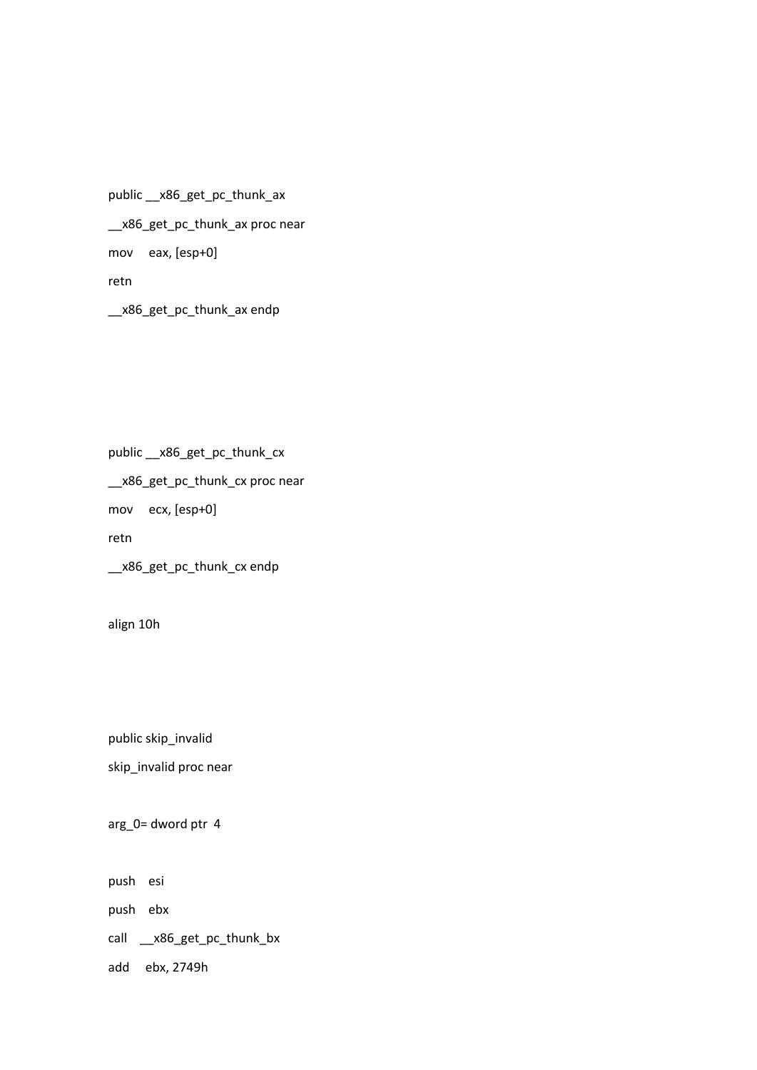public \_\_x86\_get\_pc\_thunk\_ax \_\_x86\_get\_pc\_thunk\_ax proc near mov eax, [esp+0] retn

\_\_x86\_get\_pc\_thunk\_ax endp

public \_\_x86\_get\_pc\_thunk\_cx

\_\_x86\_get\_pc\_thunk\_cx proc near

mov ecx, [esp+0]

retn

\_\_x86\_get\_pc\_thunk\_cx endp

align 10h

public skip\_invalid

skip\_invalid proc near

arg\_0= dword ptr 4

push esi

push ebx

call \_\_x86\_get\_pc\_thunk\_bx

add ebx, 2749h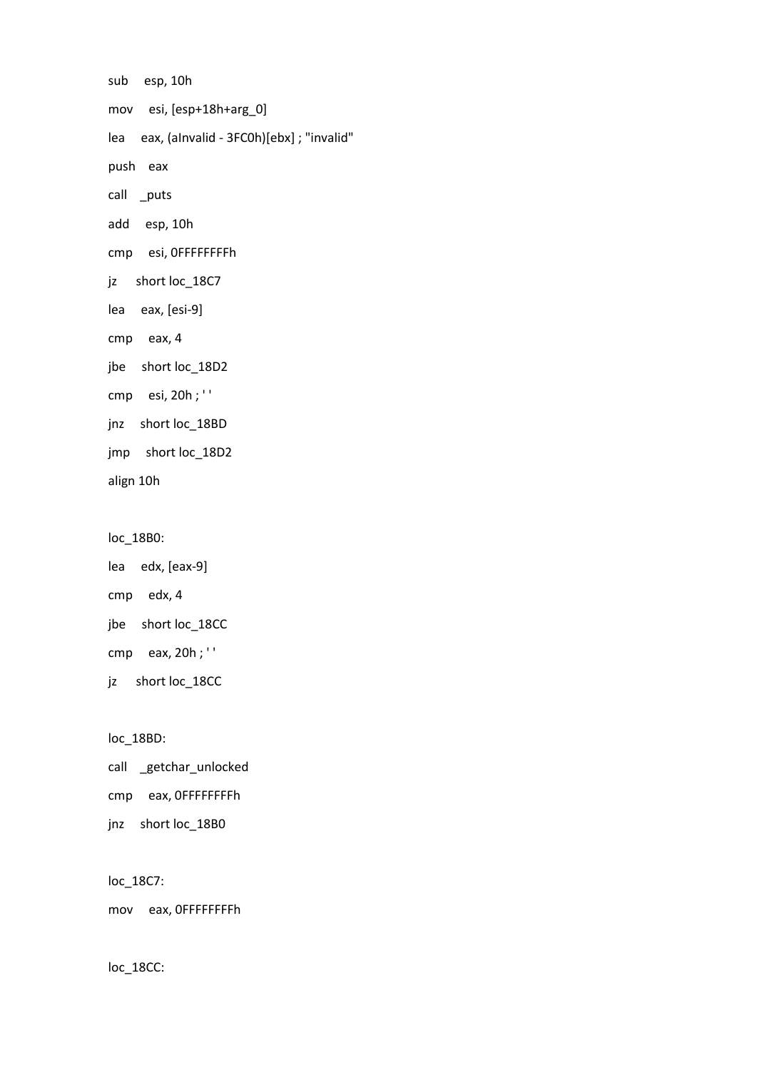sub esp, 10h mov esi, [esp+18h+arg\_0] lea eax, (aInvalid - 3FC0h)[ebx] ; "invalid" push eax call \_puts add esp, 10h cmp esi, 0FFFFFFFFh jz short loc\_18C7 lea eax, [esi-9] cmp eax, 4 jbe short loc\_18D2 cmp esi, 20h ; ' ' jnz short loc\_18BD jmp short loc\_18D2 align 10h

loc\_18B0:

lea edx, [eax-9] cmp edx, 4 jbe short loc\_18CC cmp eax, 20h ; ' ' jz short loc\_18CC

loc\_18BD:

call \_getchar\_unlocked cmp eax, 0FFFFFFFFh jnz short loc\_18B0

loc\_18C7:

mov eax, 0FFFFFFFFh

loc\_18CC: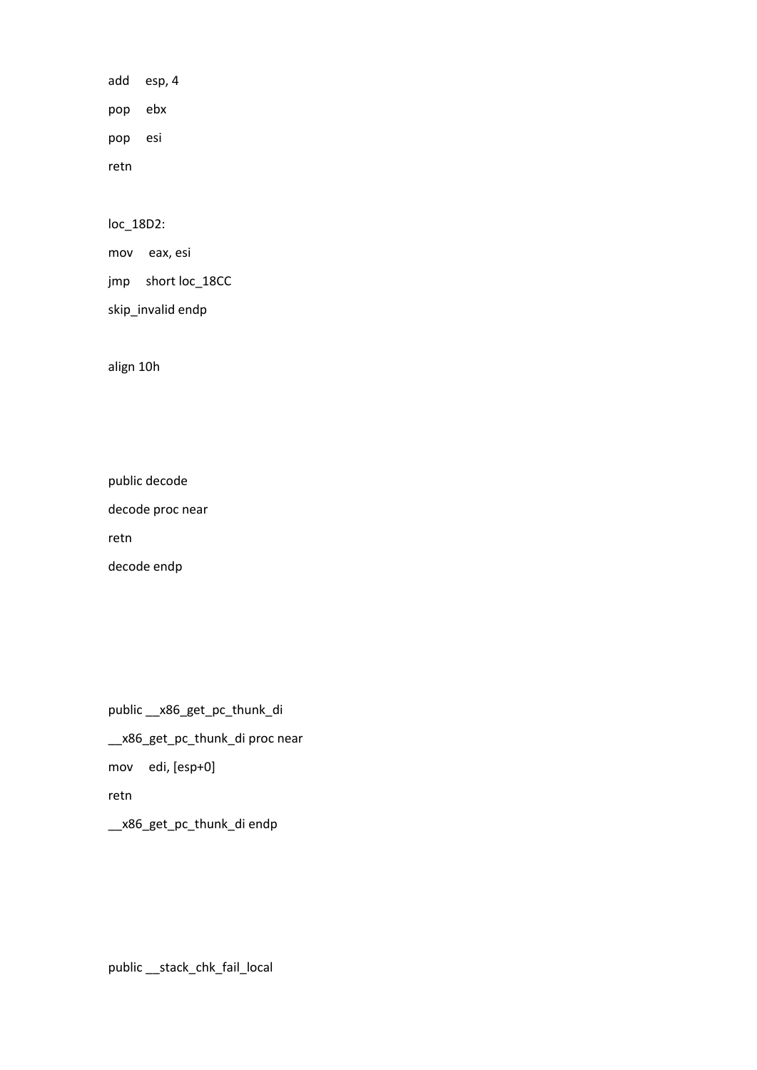add esp, 4 pop ebx pop esi retn

loc\_18D2:

mov eax, esi

jmp short loc\_18CC

skip\_invalid endp

align 10h

public decode

decode proc near

retn

decode endp

public \_\_x86\_get\_pc\_thunk\_di \_\_x86\_get\_pc\_thunk\_di proc near mov edi, [esp+0] retn \_\_x86\_get\_pc\_thunk\_di endp

public \_\_stack\_chk\_fail\_local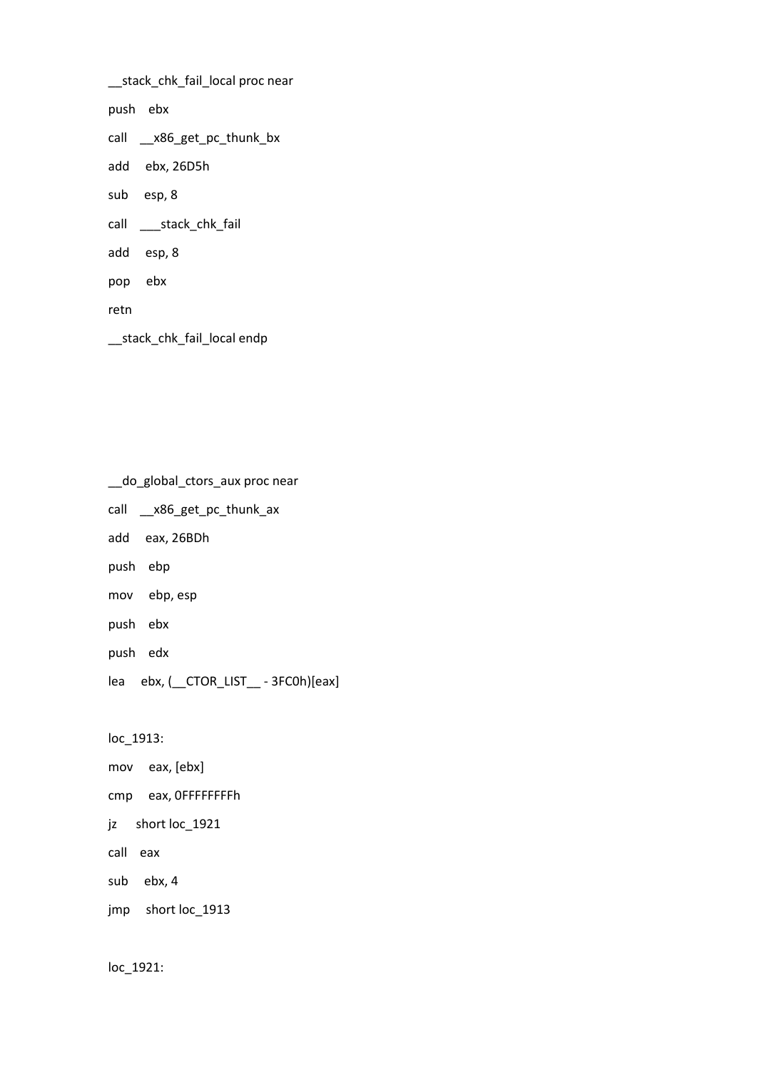\_\_stack\_chk\_fail\_local proc near

push ebx

call \_\_x86\_get\_pc\_thunk\_bx

add ebx, 26D5h

sub esp, 8

call \_\_\_stack\_chk\_fail

add esp, 8

pop ebx

retn

\_\_stack\_chk\_fail\_local endp

\_\_do\_global\_ctors\_aux proc near

call \_\_x86\_get\_pc\_thunk\_ax

add eax, 26BDh

push ebp

mov ebp, esp

push ebx

push edx

lea ebx, (\_\_CTOR\_LIST\_\_ - 3FC0h)[eax]

loc\_1913:

mov eax, [ebx]

cmp eax, 0FFFFFFFFh

jz short loc\_1921

call eax

sub ebx, 4

jmp short loc\_1913

loc\_1921: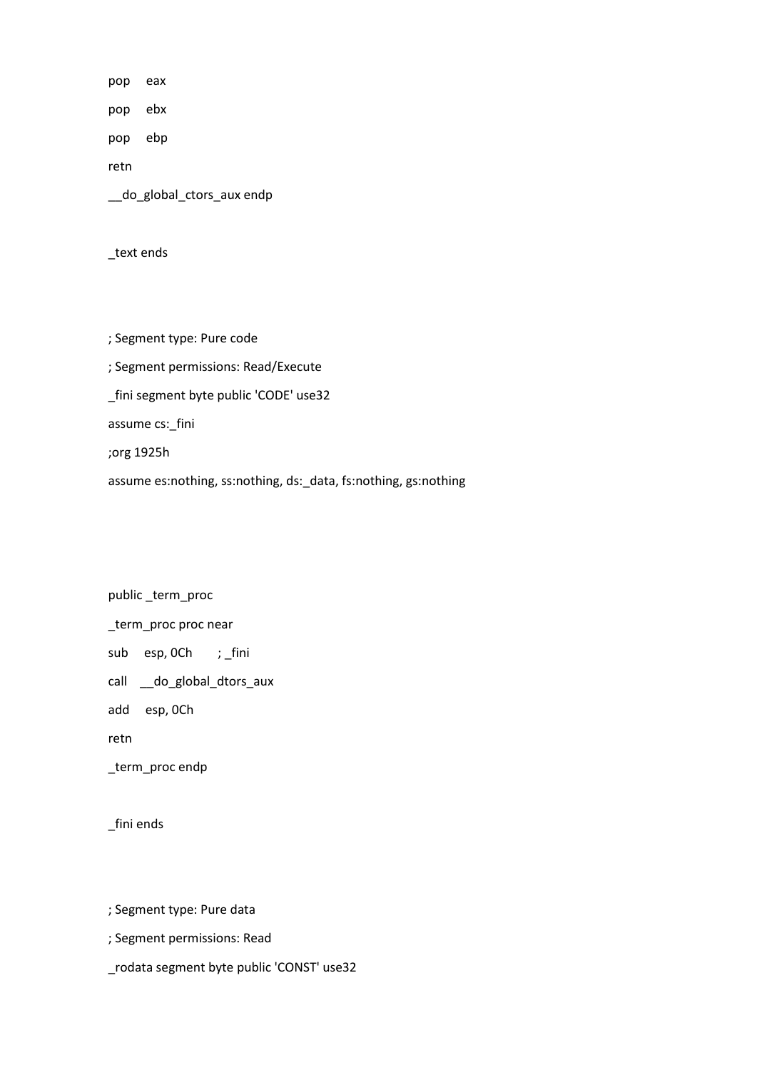pop eax

pop ebx

pop ebp

retn

\_\_do\_global\_ctors\_aux endp

\_text ends

; Segment type: Pure code

; Segment permissions: Read/Execute

\_fini segment byte public 'CODE' use32

assume cs:\_fini

;org 1925h

assume es:nothing, ss:nothing, ds:\_data, fs:nothing, gs:nothing

public \_term\_proc \_term\_proc proc near sub esp, 0Ch ; \_fini call \_\_do\_global\_dtors\_aux add esp, 0Ch retn

\_term\_proc endp

\_fini ends

; Segment type: Pure data

; Segment permissions: Read

\_rodata segment byte public 'CONST' use32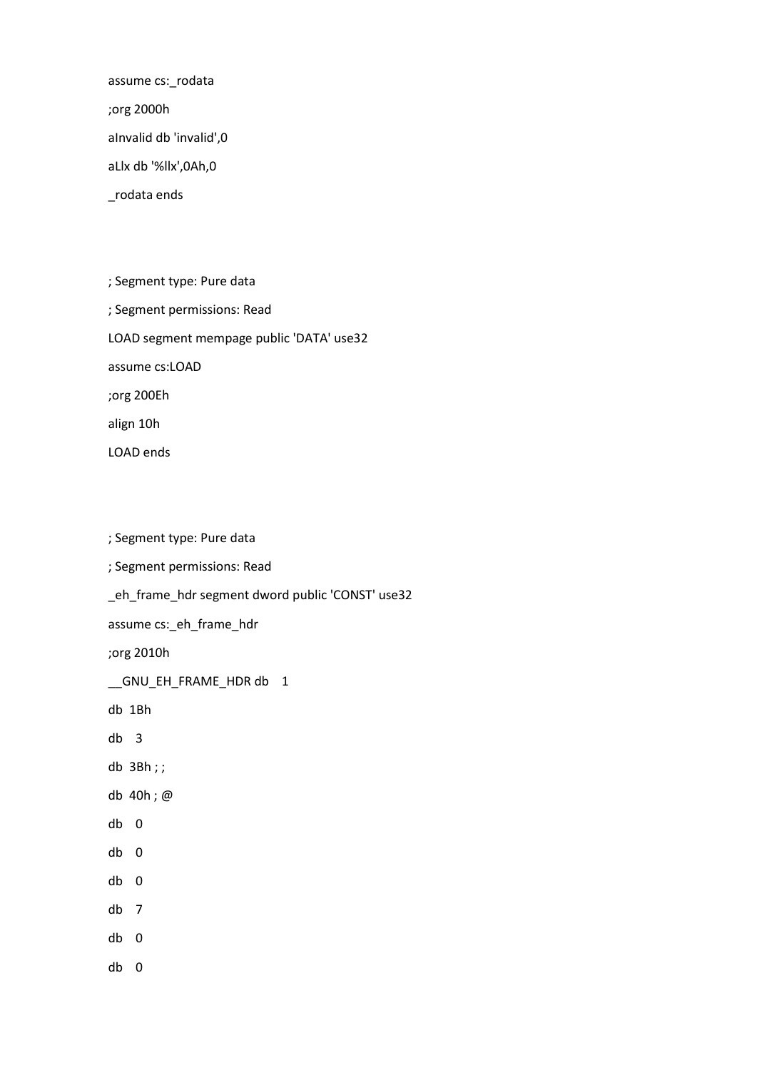assume cs:\_rodata

;org 2000h

aInvalid db 'invalid',0

aLlx db '%llx',0Ah,0

\_rodata ends

LOAD ends

; Segment type: Pure data ; Segment permissions: Read LOAD segment mempage public 'DATA' use32 assume cs:LOAD ;org 200Eh align 10h

; Segment type: Pure data ; Segment permissions: Read \_eh\_frame\_hdr segment dword public 'CONST' use32 assume cs:\_eh\_frame\_hdr ;org 2010h \_\_GNU\_EH\_FRAME\_HDR db 1 db 1Bh db 3 db 3Bh ; ; db 40h ; @ db 0 db 0 db 0 db 7 db 0 db 0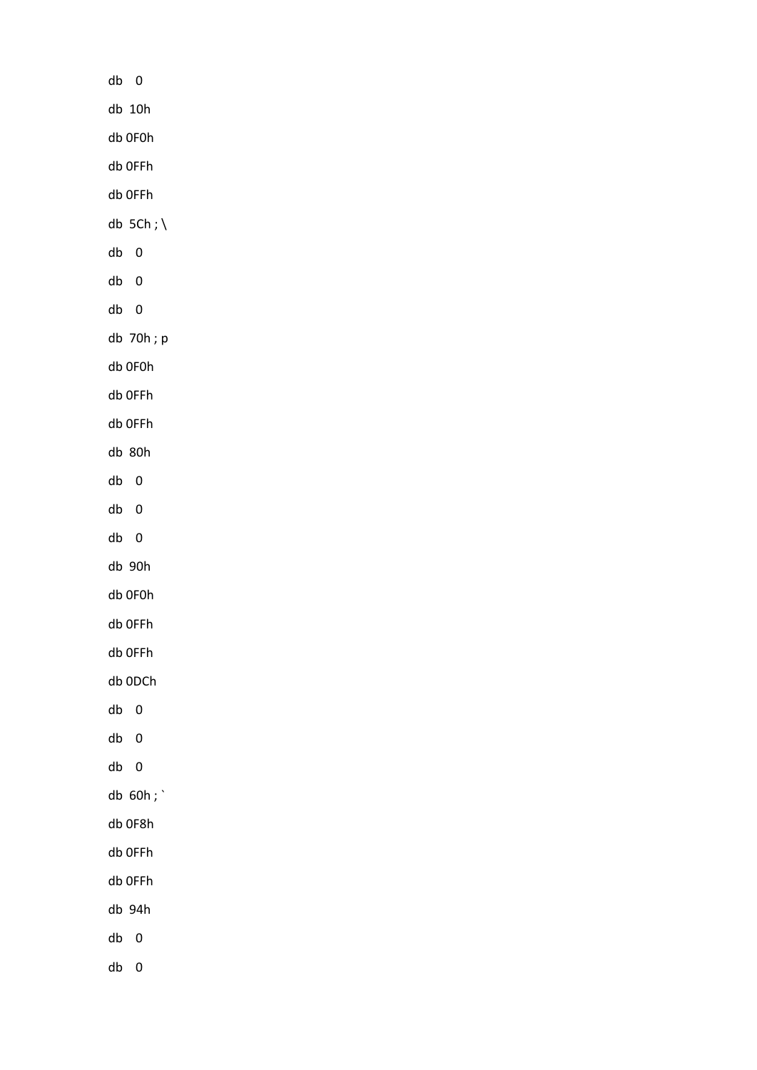| $db$ $0$                  |  |
|---------------------------|--|
| $db$ 10 $h$               |  |
| db OFOh                   |  |
| db OFFh                   |  |
| db OFFh                   |  |
| db $5Ch; \backslash$      |  |
| ${\sf db}$<br>$\pmb{0}$   |  |
| ${\sf db}$<br>$\pmb{0}$   |  |
| ${\sf db}$<br>$\pmb{0}$   |  |
| db 70h; p                 |  |
| db OFOh                   |  |
| db OFFh                   |  |
| db OFFh                   |  |
| db 80h                    |  |
| ${\sf db}$<br>$\pmb{0}$   |  |
| ${\sf db}$<br>$\pmb{0}$   |  |
| ${\sf db}$<br>$\pmb{0}$   |  |
| db 90h                    |  |
| db OFOh                   |  |
| db OFFh                   |  |
| db OFFh                   |  |
| db 0DCh                   |  |
| $\pmb{0}$<br>${\sf db}$   |  |
| ${\sf db}$<br>$\pmb{0}$   |  |
| ${\sf db}$<br>$\pmb{0}$   |  |
| db 60h;                   |  |
| db OF8h                   |  |
| db OFFh                   |  |
| db OFFh                   |  |
| db 94h                    |  |
| ${\sf db}$<br>$\pmb{0}$   |  |
| $\mathbf 0$<br>${\sf db}$ |  |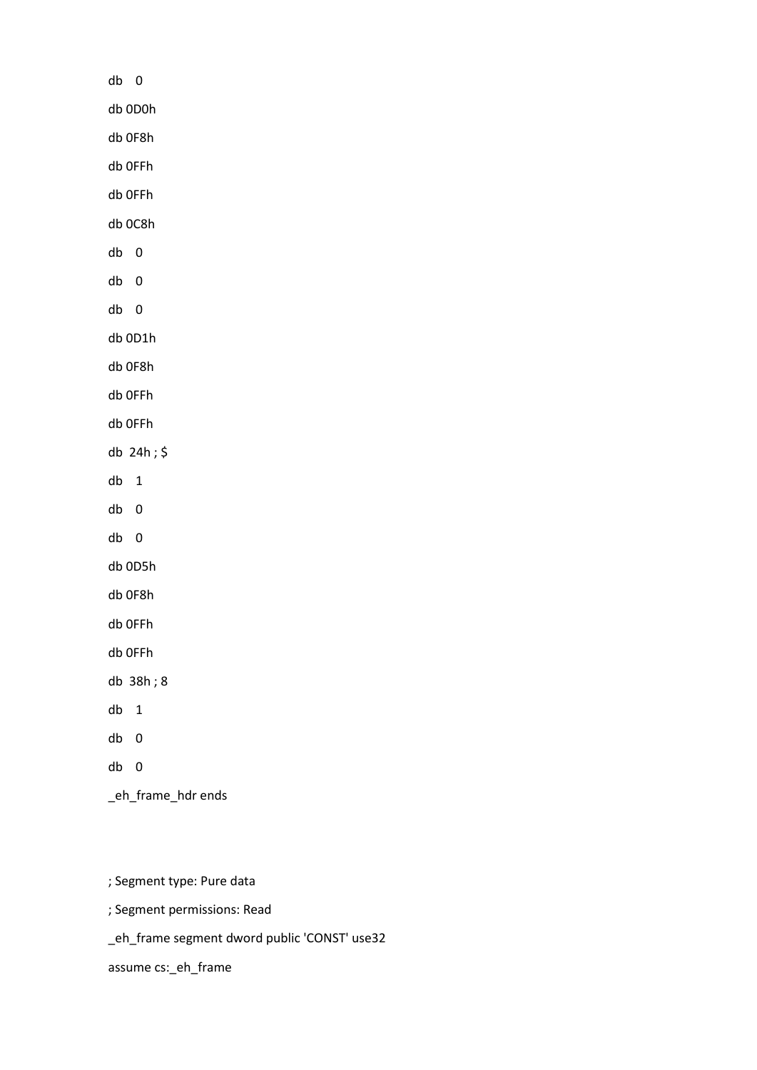| db 0                 |
|----------------------|
| db 0D0h              |
| db 0F8h              |
| db OFFh              |
| db OFFh              |
| db 0C8h              |
| db<br>$\overline{0}$ |
| db<br>$\overline{0}$ |
| db<br>$\overline{0}$ |
| db 0D1h              |
| db 0F8h              |
| db OFFh              |
| db OFFh              |
| db 24h;\$            |
| db<br>$\mathbf 1$    |
| db<br>0              |
| db<br>0              |
| db 0D5h              |
| db 0F8h              |
| db OFFh              |
| db OFFh              |
| db 38h; 8            |
| db<br>1              |
| db<br>$\overline{0}$ |
| db<br>$\overline{0}$ |
| _eh_frame_hdr ends   |

; Segment type: Pure data

; Segment permissions: Read

\_eh\_frame segment dword public 'CONST' use32

assume cs:\_eh\_frame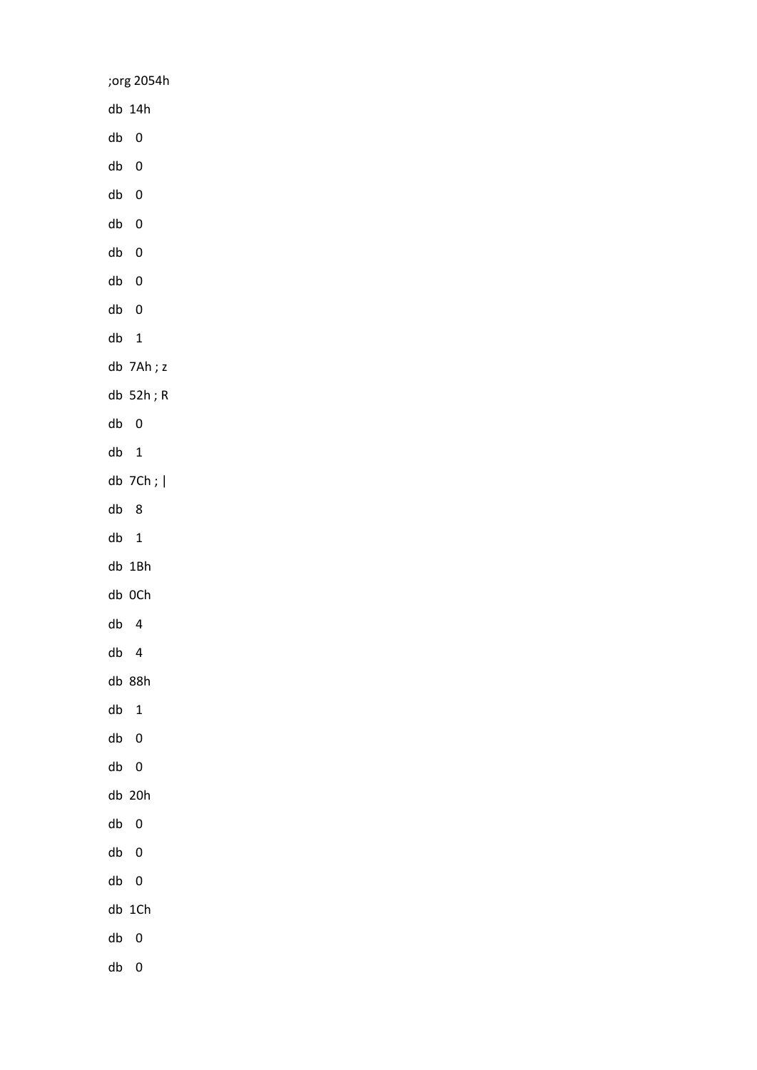;org 2054h db 14h db 0 db 0 db 0 db 0 db 0 db 0 db 0 db 1 db 7Ah ; z db 52h ; R db 0 db 1 db 7Ch ; | db 8 db 1 db 1Bh db 0Ch db 4 db 4 db 88h db 1 db 0 db 0 db 20h db 0 db 0 db 0 db 1Ch db 0 db 0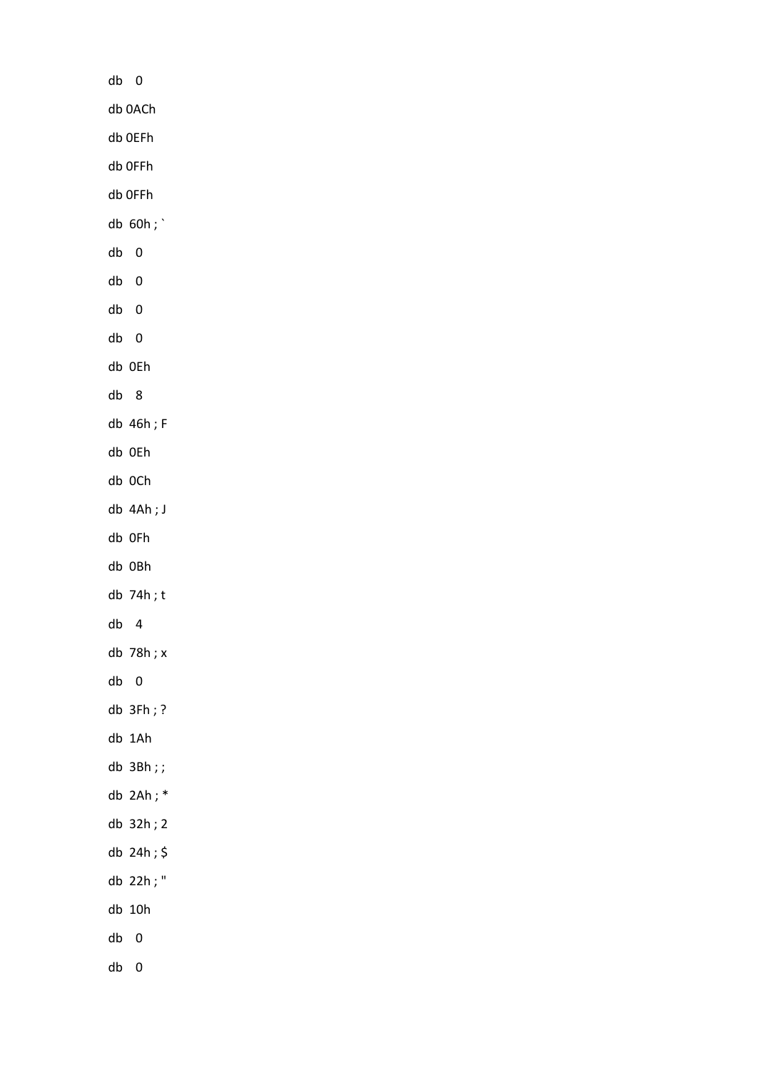| db | 0                |
|----|------------------|
|    | db 0ACh          |
|    | db OEFh          |
|    | db OFFh          |
|    | db OFFh          |
|    | db $60h;$        |
| db | 0                |
| db | 0                |
| db | $\boldsymbol{0}$ |
| db | 0                |
|    | db OEh           |
| db | - 8              |
|    | db 46h; F        |
|    | db OEh           |
|    | db OCh           |
|    | db 4Ah; J        |
|    | db OFh           |
|    | db OBh           |
|    | db 74h;t         |
| db | 4                |
|    | db 78h; x        |
| db | 0                |
|    | $db$ 3Fh; ?      |
|    | db 1Ah           |
|    | db 3Bh;;         |
|    | db $2Ah; *$      |
|    | db 32h; 2        |
|    | db 24h;          |
|    | db 22h; "        |
|    | db 10h           |
| db | 0                |
|    | db 0             |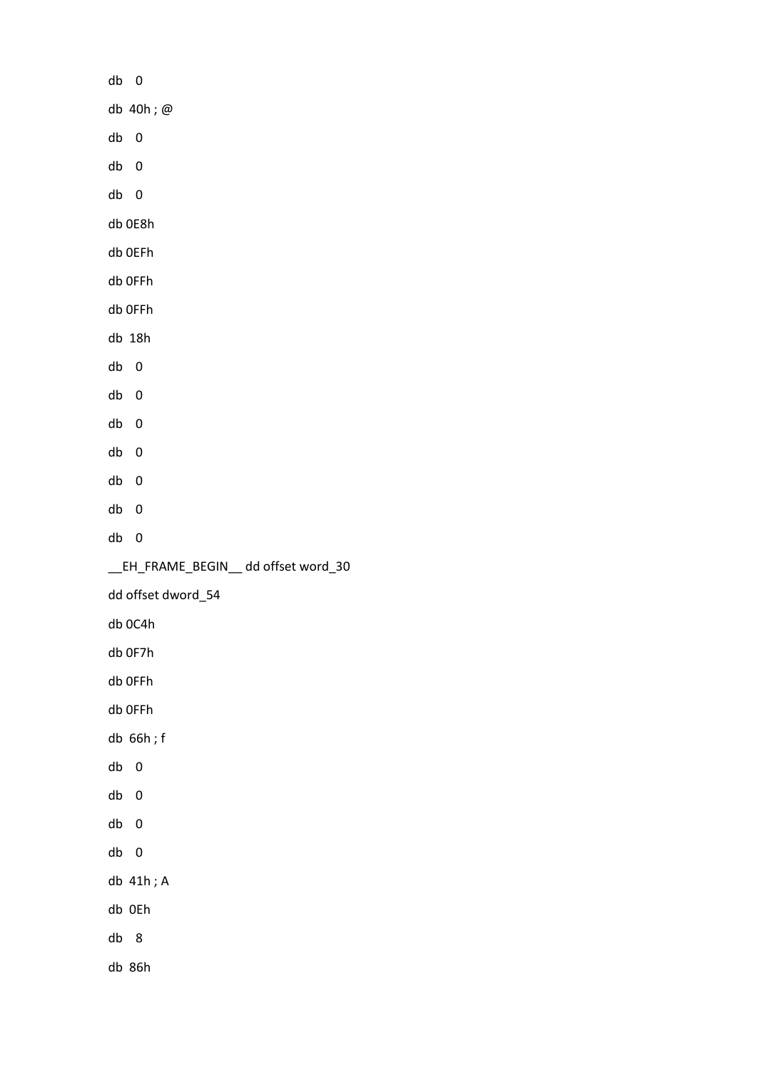db 0 db 40h ; @ db 0 db 0 db 0 db 0E8h db 0EFh db 0FFh db 0FFh db 18h db 0 db 0 db 0 db 0 db 0 db 0 db 0 \_\_EH\_FRAME\_BEGIN\_\_ dd offset word\_30 dd offset dword\_54 db 0C4h db 0F7h db 0FFh db 0FFh db 66h ; f db 0 db 0 db 0 db 0 db 41h ; A db 0Eh db 8 db 86h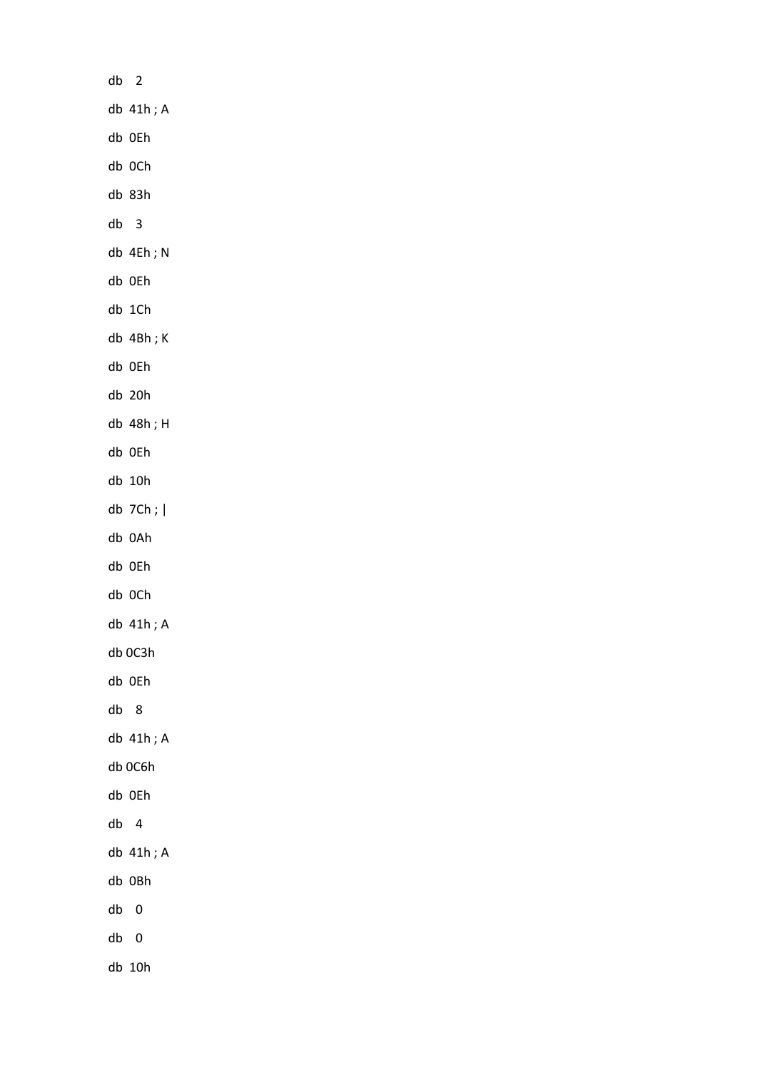| db | $\overline{\phantom{0}}$ |
|----|--------------------------|
|    | db 41h; A                |
|    | db OEh                   |
|    | db OCh                   |
|    | db 83h                   |
| db | 3                        |
|    | db 4Eh; N                |
|    | db OEh                   |
|    | db 1Ch                   |
|    | db 4Bh;K                 |
|    | db OEh                   |
|    | db 20h                   |
|    | db 48h; H                |
|    | db OEh                   |
|    | db 10h                   |
|    | $db$ 7Ch; $ $            |
|    | db 0Ah                   |
|    | db OEh                   |
|    | db OCh                   |
|    | db 41h; A                |
|    | db 0C3h                  |
|    | db OEh                   |
| db | 8                        |
|    | db 41h; A                |
|    | db 0C6h                  |
|    | db OEh                   |
| db | $\overline{4}$           |
|    | db 41h; A                |
|    | db OBh                   |
| db | 0                        |
| db | 0                        |
|    | db 10h                   |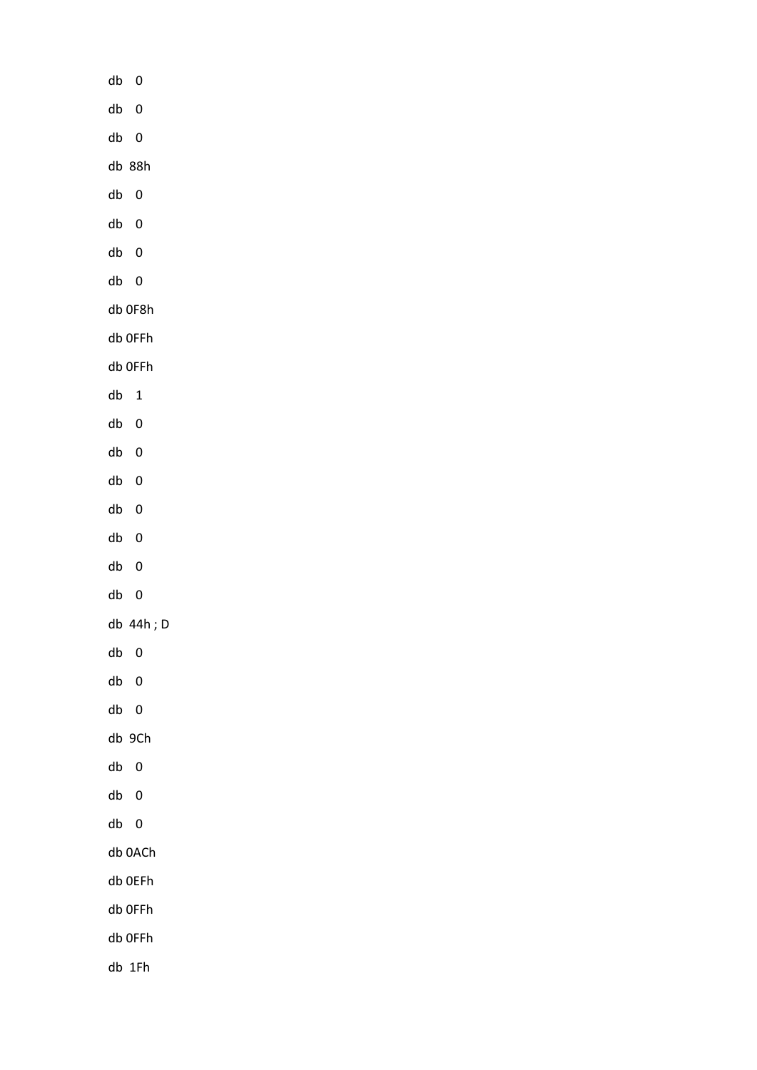| db<br>$\overline{\mathbf{0}}$         |
|---------------------------------------|
| ${\sf db}$<br>$\pmb{0}$               |
| $db$ 0                                |
| db 88h                                |
| $\overline{\mathbf{0}}$<br>${\sf db}$ |
| ${\sf db}$<br>$\mathbf 0$             |
| ${\sf db}$<br>$\pmb{0}$               |
| $db$ 0                                |
| db OF8h                               |
| db OFFh                               |
| db OFFh                               |
| ${\sf db}$<br>$\mathbf{1}$            |
| ${\sf db}$<br>$\pmb{0}$               |
| ${\sf db}$<br>$\mathbf 0$             |
| ${\sf db}$<br>$\mathbf 0$             |
| ${\sf db}$<br>$\mathbf 0$             |
| ${\sf db}$<br>$\pmb{0}$               |
| ${\sf db}$<br>$\pmb{0}$               |
| $db$ 0                                |
| db 44h; D                             |
| db<br>$\overline{\mathbf{0}}$         |
| ${\sf db}$<br>$\pmb{0}$               |
| $db$ 0                                |
| db 9Ch                                |
| ${\sf db}$<br>$\overline{\mathbf{0}}$ |
| ${\sf db}$<br>$\overline{\mathbf{0}}$ |
| $db$ 0                                |
| db 0ACh                               |
| db OEFh                               |
| db OFFh                               |
| db OFFh                               |
| db 1Fh                                |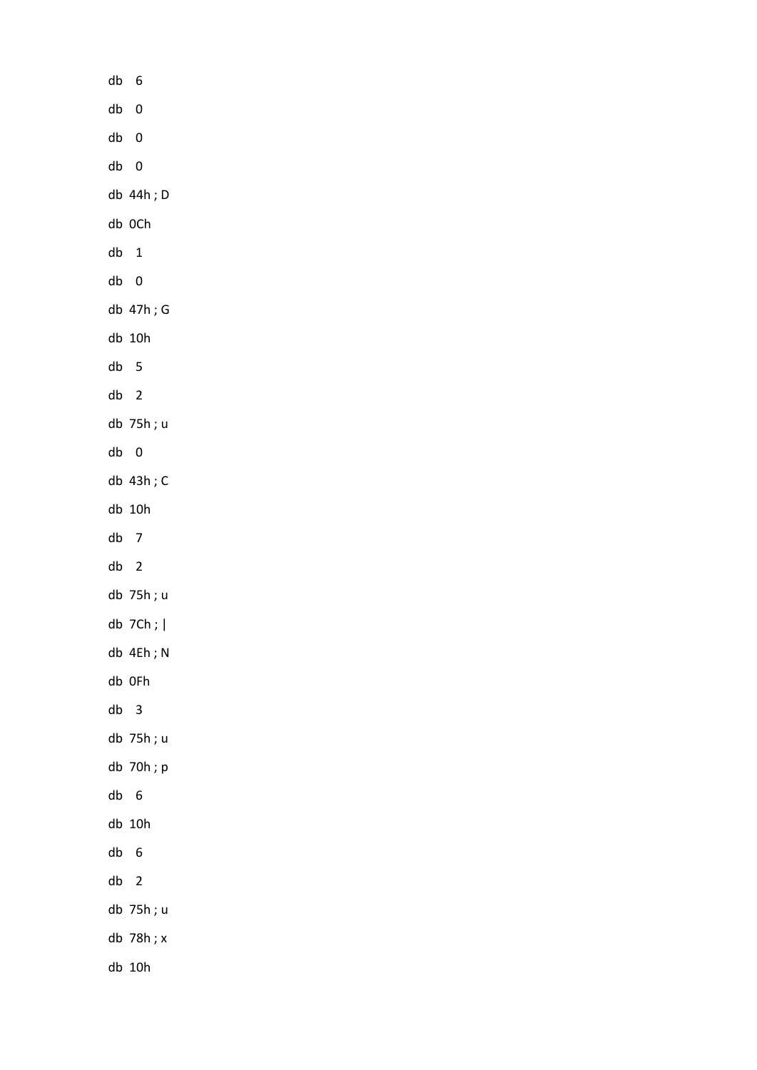| db   | 6              |  |
|------|----------------|--|
| db 0 |                |  |
| db   | $\overline{0}$ |  |
|      | db 0           |  |
|      | db 44h; D      |  |
|      | db OCh         |  |
| db   | 1              |  |
|      | db 0           |  |
|      | db 47h; G      |  |
|      | db 10h         |  |
| db   | 5              |  |
| db   | $\overline{2}$ |  |
|      | db 75h; u      |  |
| db   | 0              |  |
|      | db 43h; C      |  |
|      | db 10h         |  |
| db   | 7              |  |
| db   | $\overline{c}$ |  |
|      | db 75h; u      |  |
|      | db $7Ch;$      |  |
|      | db 4Eh; N      |  |
|      | db OFh         |  |
| db   | 3              |  |
|      | db 75h; u      |  |
|      | db 70h; p      |  |
| db   | 6              |  |
|      | db 10h         |  |
| db   | 6              |  |
| db   | $\overline{2}$ |  |
|      | db 75h; u      |  |
|      | db 78h; x      |  |
|      | db 10h         |  |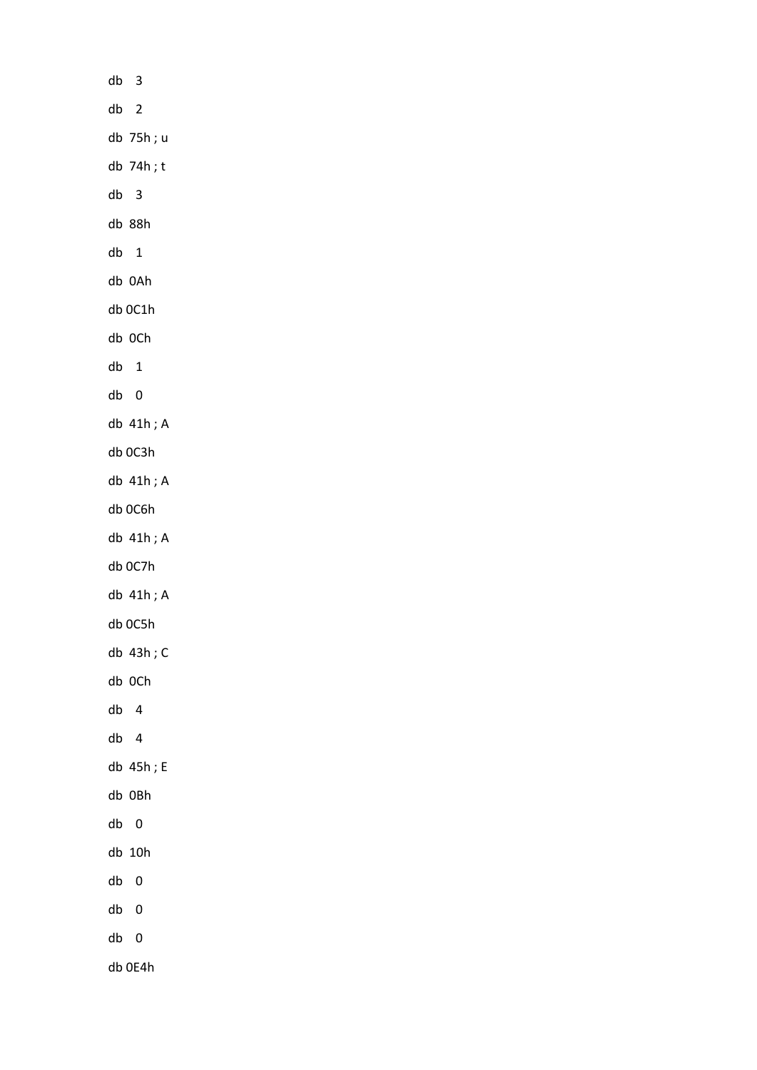| $db$ 3          |  |
|-----------------|--|
| db <sub>2</sub> |  |
| db 75h; u       |  |
| db 74h;t        |  |
| $db$ 3          |  |
| db 88h          |  |
| $db$ 1          |  |
| db 0Ah          |  |
| db 0C1h         |  |
| db OCh          |  |
| $db$ 1          |  |
| db 0            |  |
| db 41h; A       |  |
| db 0C3h         |  |
| db 41h; A       |  |
| db OC6h         |  |
| db 41h; A       |  |
| db 0C7h         |  |
| db 41h; A       |  |
| db 0C5h         |  |
| db 43h; C       |  |
| db OCh          |  |
| db<br>4         |  |
| $db$ 4          |  |
| db 45h; E       |  |
| db OBh          |  |
| db 0            |  |
| db 10h          |  |
| db<br>0         |  |
| db 0            |  |
| db 0            |  |
| db 0E4h         |  |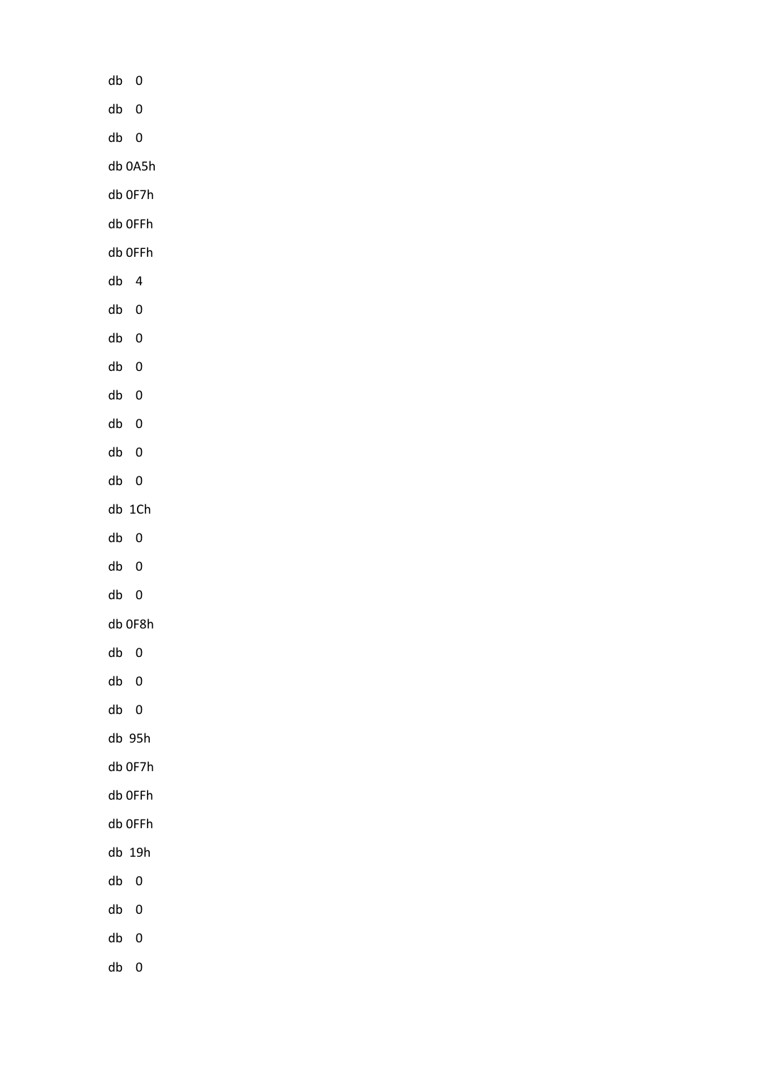| db<br>$\overline{\mathbf{0}}$ |
|-------------------------------|
| $\pmb{0}$<br>${\sf db}$       |
| $db$ 0                        |
| db 0A5h                       |
| db OF7h                       |
| db OFFh                       |
| db OFFh                       |
| db 4                          |
| ${\sf db}$<br>$\pmb{0}$       |
| ${\sf db}$<br>$\pmb{0}$       |
| ${\sf db}$<br>$\pmb{0}$       |
| ${\sf db}$<br>$\pmb{0}$       |
| ${\sf db}$<br>$\pmb{0}$       |
| ${\sf db}$<br>$\pmb{0}$       |
| db<br>$\overline{\mathbf{0}}$ |
| $db$ 1 $Ch$                   |
| db<br>$\overline{\mathbf{0}}$ |
| db<br>$\boldsymbol{0}$        |
| db 0                          |
| db OF8h                       |
| $db$ 0                        |
| ${\sf db}$<br>$\pmb{0}$       |
| $db$ 0                        |
| $db$ 95h                      |
| db OF7h                       |
| db OFFh                       |
| db OFFh                       |
| $db$ 19 $h$                   |
| db<br>$\overline{\mathbf{0}}$ |
| ${\sf db}$<br>$\pmb{0}$       |
| ${\sf db}$<br>$\pmb{0}$       |
| $\mathbf 0$<br>db             |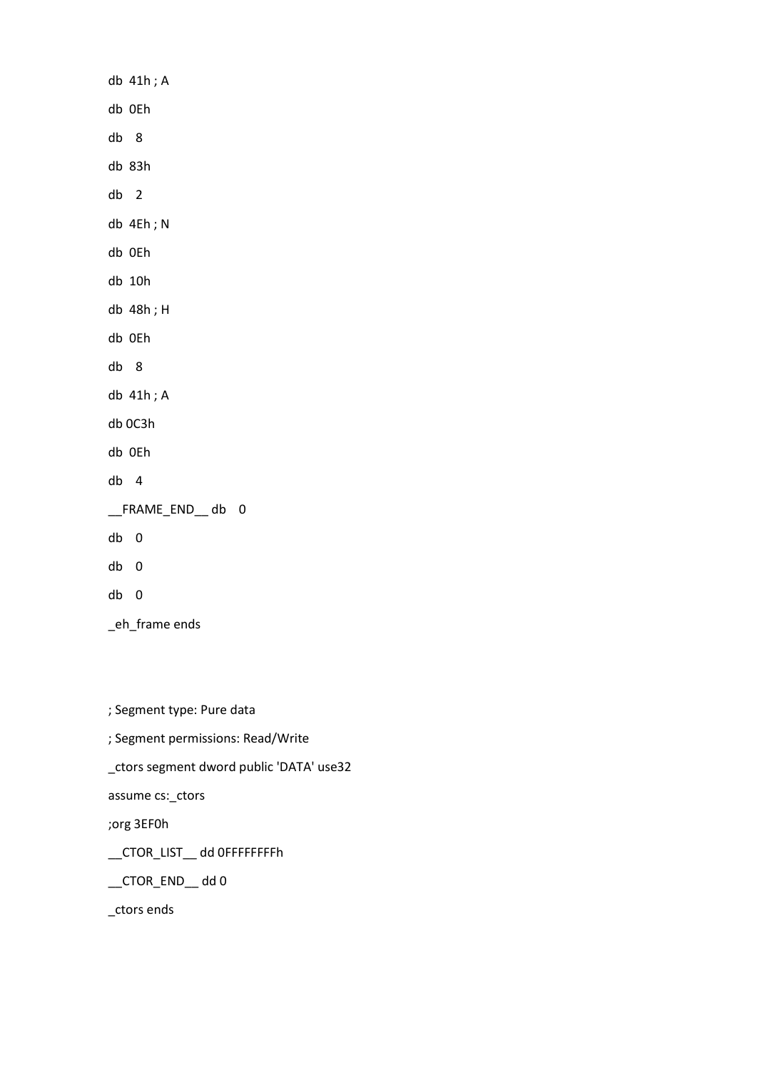db 41h ; A db 0Eh db 8 db 83h db 2 db 4Eh ; N db 0Eh db 10h db 48h ; H db 0Eh db 8 db 41h ; A db 0C3h db 0Eh db 4 \_\_FRAME\_END\_\_ db 0 db 0 db 0 db 0 \_eh\_frame ends

; Segment type: Pure data

; Segment permissions: Read/Write

\_ctors segment dword public 'DATA' use32

assume cs:\_ctors

;org 3EF0h

\_\_CTOR\_LIST\_\_ dd 0FFFFFFFFh

\_\_CTOR\_END\_\_ dd 0

\_ctors ends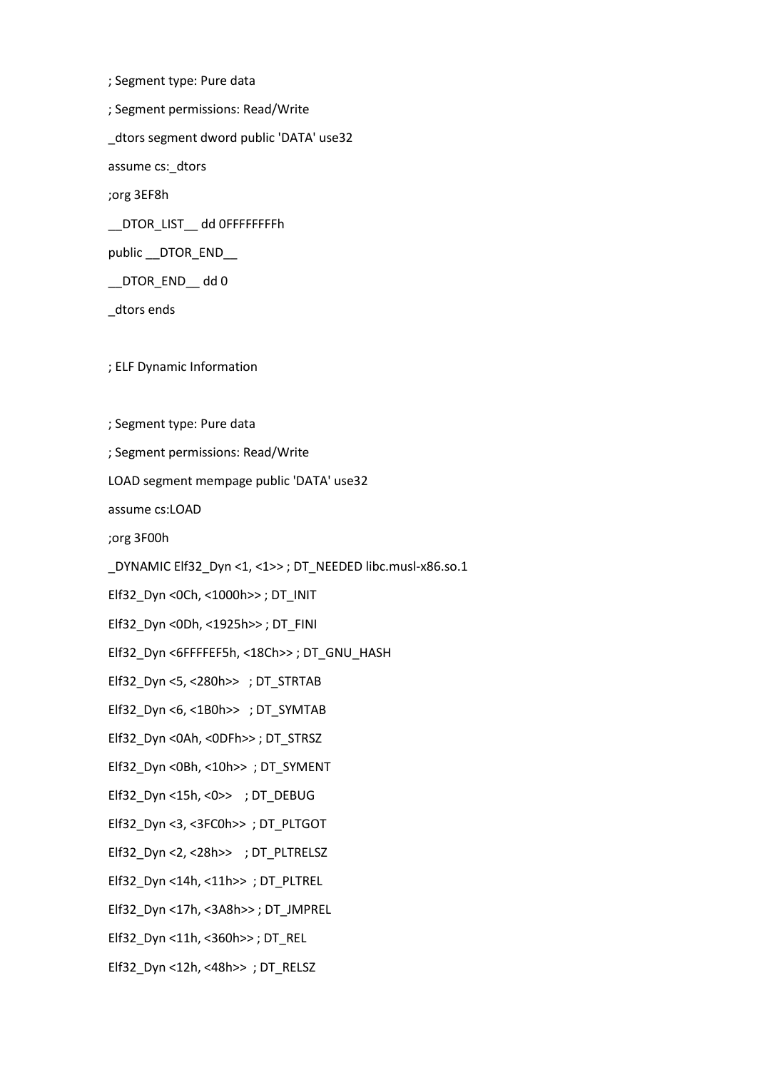; Segment type: Pure data ; Segment permissions: Read/Write \_dtors segment dword public 'DATA' use32 assume cs:\_dtors ;org 3EF8h \_\_DTOR\_LIST\_\_ dd 0FFFFFFFFh public \_\_DTOR\_END\_\_ \_\_DTOR\_END\_\_ dd 0 \_dtors ends ; ELF Dynamic Information

; Segment type: Pure data

; Segment permissions: Read/Write

LOAD segment mempage public 'DATA' use32

assume cs:LOAD

;org 3F00h

\_DYNAMIC Elf32\_Dyn <1, <1>> ; DT\_NEEDED libc.musl-x86.so.1

Elf32\_Dyn <0Ch, <1000h>> ; DT\_INIT

Elf32\_Dyn <0Dh, <1925h>> ; DT\_FINI

Elf32\_Dyn <6FFFFEF5h, <18Ch>> ; DT\_GNU\_HASH

Elf32\_Dyn <5, <280h>> ; DT\_STRTAB

Elf32\_Dyn <6, <1B0h>> ; DT\_SYMTAB

Elf32\_Dyn <0Ah, <0DFh>> ; DT\_STRSZ

Elf32\_Dyn <0Bh, <10h>> ; DT\_SYMENT

Elf32\_Dyn <15h, <0>> ; DT\_DEBUG

Elf32\_Dyn <3, <3FC0h>> ; DT\_PLTGOT

Elf32\_Dyn <2, <28h>> ; DT\_PLTRELSZ

Elf32\_Dyn <14h, <11h>> ; DT\_PLTREL

Elf32\_Dyn <17h, <3A8h>> ; DT\_JMPREL

Elf32\_Dyn <11h, <360h>> ; DT\_REL

Elf32\_Dyn <12h, <48h>> ; DT\_RELSZ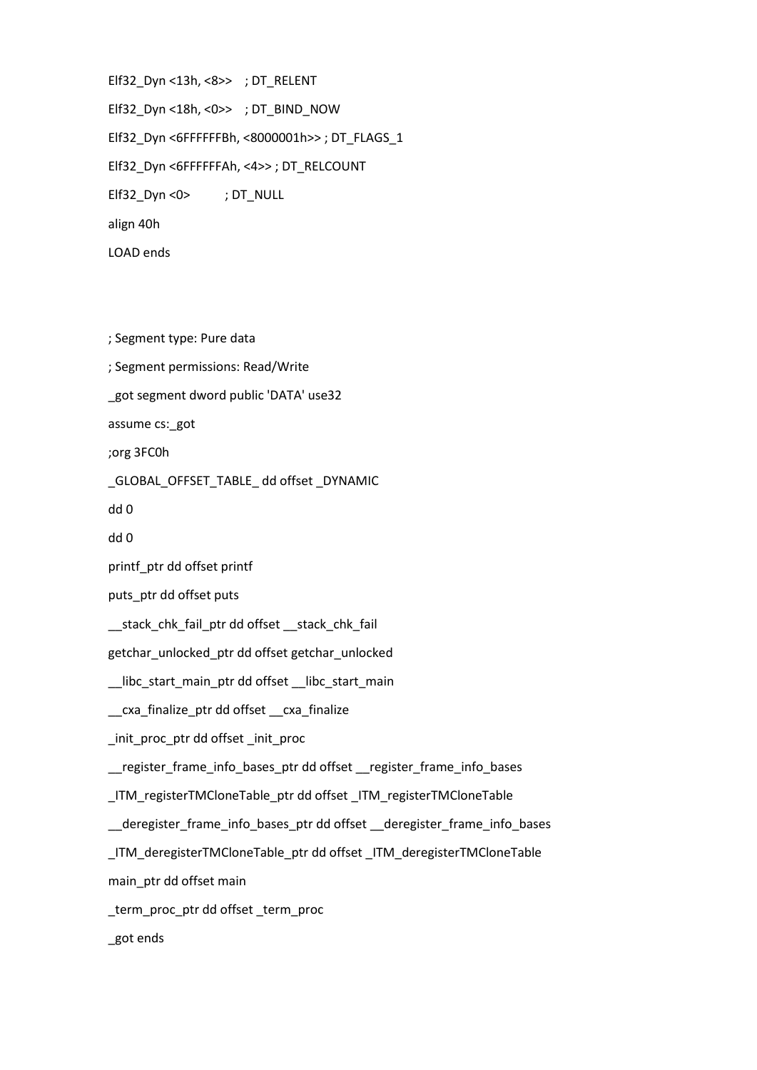Elf32\_Dyn <13h, <8>> ; DT\_RELENT Elf32\_Dyn <18h, <0>> ; DT\_BIND\_NOW Elf32\_Dyn <6FFFFFFBh, <8000001h>> ; DT\_FLAGS\_1 Elf32\_Dyn <6FFFFFFAh, <4>> ; DT\_RELCOUNT Elf32\_Dyn <0> ; DT\_NULL align 40h

LOAD ends

; Segment type: Pure data

; Segment permissions: Read/Write

\_got segment dword public 'DATA' use32

assume cs:\_got

;org 3FC0h

\_GLOBAL\_OFFSET\_TABLE\_ dd offset \_DYNAMIC

dd 0

dd 0

printf\_ptr dd offset printf

puts\_ptr dd offset puts

\_\_stack\_chk\_fail\_ptr dd offset \_\_stack\_chk\_fail

getchar\_unlocked\_ptr dd offset getchar\_unlocked

\_\_libc\_start\_main\_ptr dd offset \_\_libc\_start\_main

\_\_cxa\_finalize\_ptr dd offset \_\_cxa\_finalize

\_init\_proc\_ptr dd offset \_init\_proc

\_\_register\_frame\_info\_bases\_ptr dd offset \_\_register\_frame\_info\_bases

\_ITM\_registerTMCloneTable\_ptr dd offset \_ITM\_registerTMCloneTable

\_\_deregister\_frame\_info\_bases\_ptr dd offset \_\_deregister\_frame\_info\_bases

\_ITM\_deregisterTMCloneTable\_ptr dd offset \_ITM\_deregisterTMCloneTable main\_ptr dd offset main

\_term\_proc\_ptr dd offset \_term\_proc

\_got ends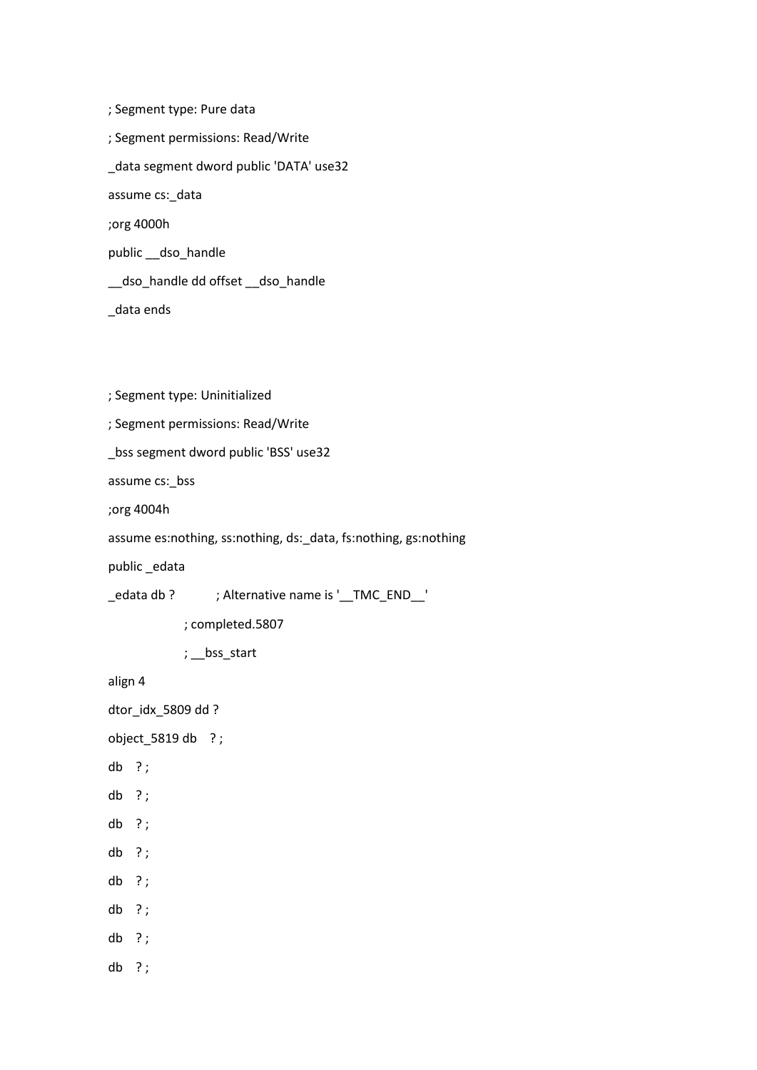; Segment type: Pure data ; Segment permissions: Read/Write \_data segment dword public 'DATA' use32 assume cs:\_data ;org 4000h public \_\_dso\_handle \_\_dso\_handle dd offset \_\_dso\_handle \_data ends

; Segment type: Uninitialized

; Segment permissions: Read/Write

\_bss segment dword public 'BSS' use32

assume cs:\_bss

;org 4004h

assume es:nothing, ss:nothing, ds:\_data, fs:nothing, gs:nothing

public \_edata

\_edata db ? ; Alternative name is '\_\_TMC\_END\_\_'

; completed.5807

; \_\_bss\_start

align 4

dtor\_idx\_5809 dd ?

object\_5819 db ? ;

- db ? ;
- db ? ;
- db ? ;
- db ? ;
- db ? ;
- db ? ;
- db ? ;
- db ? ;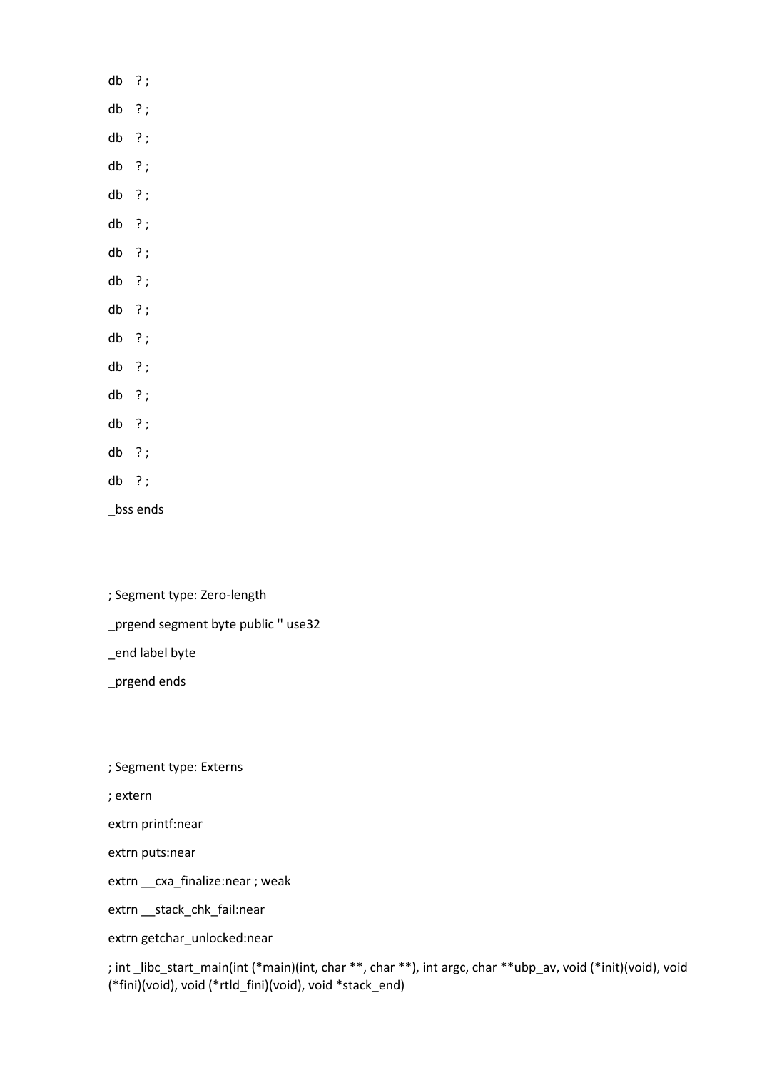## db ? ;

- db ? ;
- db ? ;
- db ? ;
- db ? ;
- db ? ;
- db ? ;
- db ? ;
- db ? ;
- db ? ;
- db ? ;
- db ? ;
- db ? ;
- db ? ;
- db ? ;

\_bss ends

- ; Segment type: Zero-length
- \_prgend segment byte public '' use32

\_end label byte

\_prgend ends

; Segment type: Externs

; extern

extrn printf:near

extrn puts:near

extrn \_\_ cxa\_finalize:near ; weak

extrn \_\_stack\_chk\_fail:near

extrn getchar\_unlocked:near

; int \_libc\_start\_main(int (\*main)(int, char \*\*, char \*\*), int argc, char \*\*ubp\_av, void (\*init)(void), void (\*fini)(void), void (\*rtld\_fini)(void), void \*stack\_end)